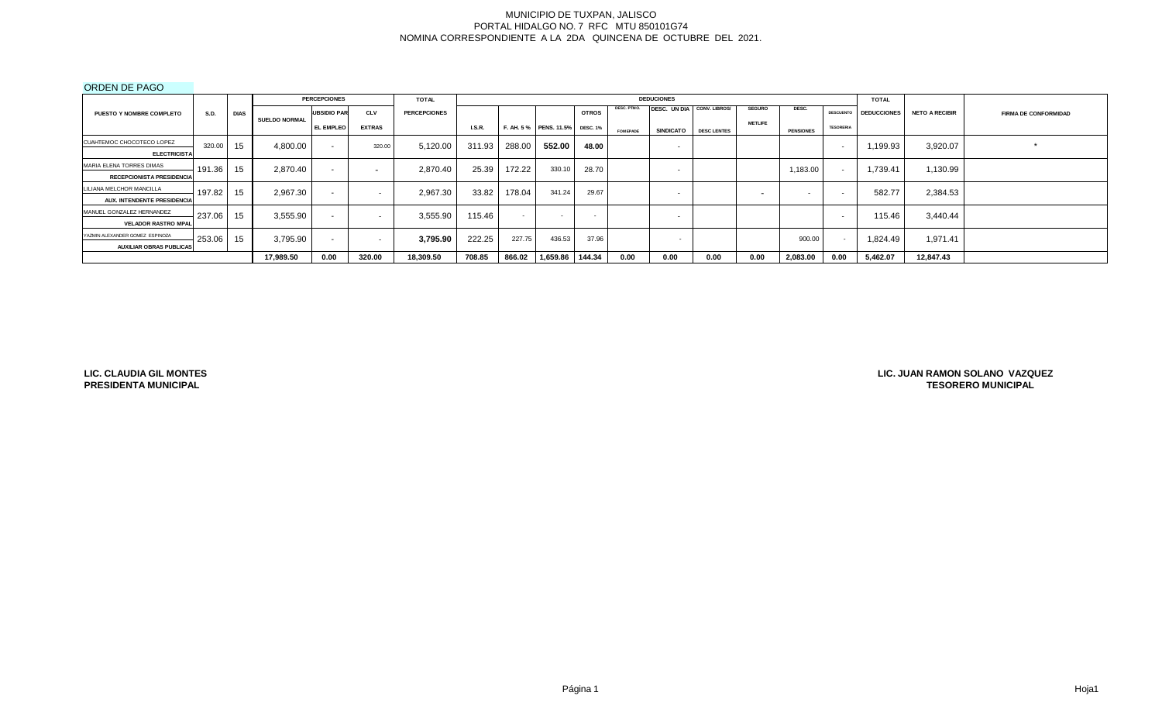# ORDEN DE PAGO

|                                 |        |             |                      | <b>PERCEPCIONES</b>      |               | <b>TOTAL</b>        |               |        |                                |              |                    | <b>DEDUCIONES</b>          |                    |                |                  |                  | <b>TOTAL</b>       |                       |                             |
|---------------------------------|--------|-------------|----------------------|--------------------------|---------------|---------------------|---------------|--------|--------------------------------|--------------|--------------------|----------------------------|--------------------|----------------|------------------|------------------|--------------------|-----------------------|-----------------------------|
| <b>PUESTO Y NOMBRE COMPLETO</b> | S.D.   | <b>DIAS</b> |                      | <b>UBSIDIO PAR</b>       | <b>CLV</b>    | <b>PERCEPCIONES</b> |               |        |                                | <b>OTROS</b> | <b>DESC. PTMO.</b> | DESC. UN DIA CONV. LIBROS/ |                    | <b>SEGURO</b>  | <b>DESC.</b>     | <b>DESCUENTO</b> | <b>DEDUCCIONES</b> | <b>NETO A RECIBIR</b> | <b>FIRMA DE CONFORMIDAD</b> |
|                                 |        |             | <b>SUELDO NORMAL</b> | <b>EL EMPLEO</b>         | <b>EXTRAS</b> |                     | <b>I.S.R.</b> |        | F. AH. 5% PENS. 11.5% DESC. 1% |              | <b>FOMEPADE</b>    | <b>SINDICATO</b>           | <b>DESC LENTES</b> | <b>METLIFE</b> | <b>PENSIONES</b> | <b>TESORERIA</b> |                    |                       |                             |
| CUAHTEMOC CHOCOTECO LOPEZ       | 320.00 | 15          | 4.800.00             | $\sim$                   | 320.00        | 5,120.00            | 311.93        | 288.00 | 552.00                         | 48.00        |                    | $\sim$                     |                    |                |                  |                  | .199.93            | 3,920.07              |                             |
| <b>ELECTRICISTA</b>             |        |             |                      |                          |               |                     |               |        |                                |              |                    |                            |                    |                |                  |                  |                    |                       |                             |
| MARIA ELENA TORRES DIMAS        | 191.36 | 15          | 2,870.40             | $\sim$                   | $\sim$        | 2,870.40            | 25.39         | 172.22 | 330.10                         | 28.70        |                    | $\sim$                     |                    |                | 1,183.00         |                  | 1,739.41           | 1,130.99              |                             |
| RECEPCIONISTA PRESIDENCIA       |        |             |                      |                          |               |                     |               |        |                                |              |                    |                            |                    |                |                  |                  |                    |                       |                             |
| LILIANA MELCHOR MANCILLA        | 197.82 | 15          | 2.967.30             | $\overline{\phantom{0}}$ | $\sim$        | 2,967.30            | 33.82         | 178.04 | 341.24                         | 29.67        |                    | $\sim$                     |                    | . .            |                  |                  | 582.77             | 2,384.53              |                             |
| AUX. INTENDENTE PRESIDENCIA     |        |             |                      |                          |               |                     |               |        |                                |              |                    |                            |                    |                |                  |                  |                    |                       |                             |
| MANUEL GONZALEZ HERNANDEZ       | 237.06 | 15          | 3,555.90             | $\overline{\phantom{0}}$ | $\sim$        | 3,555.90            | 115.46        |        |                                | . .          |                    | $\sim$                     |                    |                |                  |                  | 115.46             | 3,440.44              |                             |
| <b>VELADOR RASTRO MPAL</b>      |        |             |                      |                          |               |                     |               |        |                                |              |                    |                            |                    |                |                  |                  |                    |                       |                             |
| YAZMIN ALEXANDER GOMEZ ESPINOZA | 253.06 | 15          | 3,795.90             | $\sim$                   | $\sim$        | 3,795.90            | 222.25        | 227.75 | 436.53                         | 37.96        |                    |                            |                    |                | 900.00           |                  | 824.49.ا           | 1,971.41              |                             |
| <b>AUXILIAR OBRAS PUBLICAS</b>  |        |             |                      |                          |               |                     |               |        |                                |              |                    |                            |                    |                |                  |                  |                    |                       |                             |
|                                 |        |             | 17,989.50            | 0.00                     | 320.00        | 18,309.50           | 708.85        | 866.02 | 1,659.86                       | 144.34       | 0.00               | 0.00                       | 0.00               | 0.00           | 2,083.00         | 0.00             | 5,462.07           | 12,847.43             |                             |

**LIC. CLAUDIA GIL MONTES PRESIDENTA MUNICIPAL**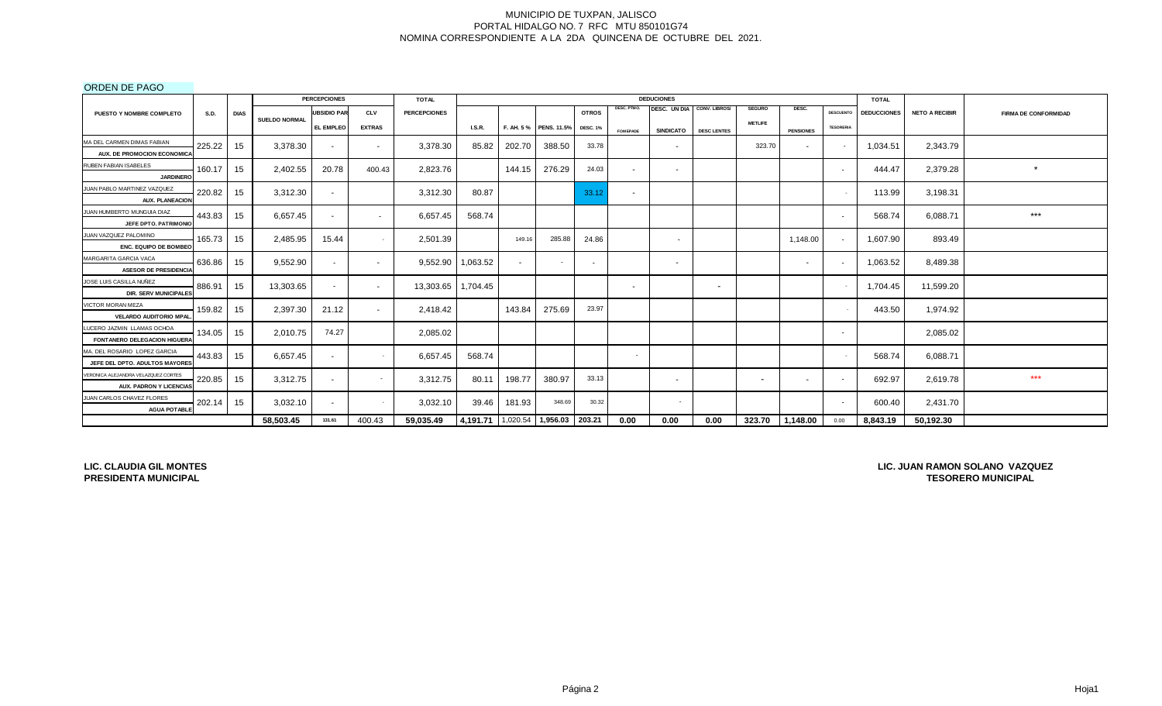# ORDEN DE PAGO

|                                     |             |             |                      | <b>PERCEPCIONES</b> |                          | <b>TOTAL</b>        |                                   |        |                       |                 |                 | <b>DEDUCIONES</b>          |                    |                |                          |                          | <b>TOTAL</b>       |                       |                             |
|-------------------------------------|-------------|-------------|----------------------|---------------------|--------------------------|---------------------|-----------------------------------|--------|-----------------------|-----------------|-----------------|----------------------------|--------------------|----------------|--------------------------|--------------------------|--------------------|-----------------------|-----------------------------|
| <b>PUESTO Y NOMBRE COMPLETO</b>     | <b>S.D.</b> | <b>DIAS</b> |                      | <b>UBSIDIO PAR</b>  | <b>CLV</b>               | <b>PERCEPCIONES</b> |                                   |        |                       | <b>OTROS</b>    | DESC. PTMO.     | DESC. UN DIA CONV. LIBROS/ |                    | <b>SEGURO</b>  | DESC.                    | <b>DESCUENTO</b>         | <b>DEDUCCIONES</b> | <b>NETO A RECIBIR</b> | <b>FIRMA DE CONFORMIDAD</b> |
|                                     |             |             | <b>SUELDO NORMAL</b> | EL EMPLEO           | <b>EXTRAS</b>            |                     | I.S.R.                            |        | F. AH. 5% PENS. 11.5% | <b>DESC. 1%</b> | <b>FOMEPADE</b> | <b>SINDICATO</b>           | <b>DESC LENTES</b> | <b>METLIFE</b> | <b>PENSIONES</b>         | <b>TESORERIA</b>         |                    |                       |                             |
| MA DEL CARMEN DIMAS FABIAN          |             |             |                      |                     |                          |                     |                                   |        |                       |                 |                 |                            |                    |                |                          |                          |                    |                       |                             |
| AUX. DE PROMOCION ECONOMICA         | 225.22      | 15          | 3.378.30             | $\sim$              | $\overline{\phantom{a}}$ | 3,378.30            | 85.82                             | 202.70 | 388.50                | 33.78           |                 | $\overline{\phantom{a}}$   |                    | 323.70         | $\overline{\phantom{a}}$ |                          | 1,034.51           | 2,343.79              |                             |
| <b>RUBEN FABIAN ISABELES</b>        | 160.17      |             | 2,402.55             | 20.78               |                          | 2,823.76            |                                   | 144.15 | 276.29                | 24.03           |                 |                            |                    |                |                          |                          | 444.47             | 2,379.28              | $\star$                     |
| <b>JARDINERO</b>                    |             | 15          |                      |                     | 400.43                   |                     |                                   |        |                       |                 | $\sim$          | $\overline{\phantom{a}}$   |                    |                |                          | $\sim$                   |                    |                       |                             |
| JUAN PABLO MARTINEZ VAZQUEZ         | 220.82      | 15          | 3,312.30             | $\sim$              |                          | 3,312.30            | 80.87                             |        |                       | 33.12           | $\sim$          |                            |                    |                |                          |                          | 113.99             | 3,198.31              |                             |
| <b>AUX. PLANEACION</b>              |             |             |                      |                     |                          |                     |                                   |        |                       |                 |                 |                            |                    |                |                          |                          |                    |                       |                             |
| JUAN HUMBERTO MUNGUIA DIAZ          | 443.83      | 15          | 6,657.45             | $\sim$              | $\sim$                   | 6,657.45            | 568.74                            |        |                       |                 |                 |                            |                    |                |                          | $\sim$                   | 568.74             | 6,088.71              | $***$                       |
| JEFE DPTO. PATRIMONIC               |             |             |                      |                     |                          |                     |                                   |        |                       |                 |                 |                            |                    |                |                          |                          |                    |                       |                             |
| JUAN VAZQUEZ PALOMINO               | 165.73      | 15          | 2,485.95             | 15.44               |                          | 2,501.39            |                                   | 149.16 | 285.88                | 24.86           |                 | $\sim$                     |                    |                | 1,148.00                 | $\overline{\phantom{a}}$ | 1,607.90           | 893.49                |                             |
| <b>ENC. EQUIPO DE BOMBEO</b>        |             |             |                      |                     |                          |                     |                                   |        |                       |                 |                 |                            |                    |                |                          |                          |                    |                       |                             |
| MARGARITA GARCIA VACA               | 636.86      | 15          | 9,552.90             | $\sim$              | $\overline{\phantom{a}}$ | 9,552.90   1,063.52 |                                   | $\sim$ |                       | $\sim$          |                 | $\overline{\phantom{a}}$   |                    |                | $\overline{\phantom{a}}$ | $\sim$                   | 1,063.52           | 8,489.38              |                             |
| <b>ASESOR DE PRESIDENCIA</b>        |             |             |                      |                     |                          |                     |                                   |        |                       |                 |                 |                            |                    |                |                          |                          |                    |                       |                             |
| JOSE LUIS CASILLA NUÑEZ             | 886.91      | 15          | 13,303.65            | $\sim$              | $\overline{\phantom{a}}$ | 13,303.65           | 1,704.45                          |        |                       |                 | $\sim$          |                            | $\sim$             |                |                          |                          | 1,704.45           | 11,599.20             |                             |
| <b>DIR. SERV MUNICIPALES</b>        |             |             |                      |                     |                          |                     |                                   |        |                       |                 |                 |                            |                    |                |                          |                          |                    |                       |                             |
| VICTOR MORAN MEZA                   | 159.82      | 15          | 2,397.30             | 21.12               | $\overline{\phantom{a}}$ | 2,418.42            |                                   | 143.84 | 275.69                | 23.97           |                 |                            |                    |                |                          |                          | 443.50             | 1,974.92              |                             |
| <b>VELARDO AUDITORIO MPAL</b>       |             |             |                      |                     |                          |                     |                                   |        |                       |                 |                 |                            |                    |                |                          |                          |                    |                       |                             |
| LUCERO JAZMIN LLAMAS OCHOA          | 134.05      | 15          | 2,010.75             | 74.27               |                          | 2,085.02            |                                   |        |                       |                 |                 |                            |                    |                |                          | $\sim$                   |                    | 2,085.02              |                             |
| FONTANERO DELEGACION HIGUERA        |             |             |                      |                     |                          |                     |                                   |        |                       |                 |                 |                            |                    |                |                          |                          |                    |                       |                             |
| MA. DEL ROSARIO LOPEZ GARCIA        | 443.83      | 15          | 6,657.45             | $\sim$              |                          | 6,657.45            | 568.74                            |        |                       |                 | $\sim$          |                            |                    |                |                          |                          | 568.74             | 6,088.71              |                             |
| JEFE DEL DPTO, ADULTOS MAYORES      |             |             |                      |                     |                          |                     |                                   |        |                       |                 |                 |                            |                    |                |                          |                          |                    |                       |                             |
| VERONICA ALEJANDRA VELAZQUEZ CORTES | 220.85      | 15          | 3,312.75             | $\sim$              | $\sim$                   | 3,312.75            | 80.11                             | 198.77 | 380.97                | 33.13           |                 | $\overline{\phantom{a}}$   |                    | $\sim$         | $\overline{\phantom{a}}$ | $\sim$                   | 692.97             | 2,619.78              | ***                         |
| AUX. PADRON Y LICENCIAS             |             |             |                      |                     |                          |                     |                                   |        |                       |                 |                 |                            |                    |                |                          |                          |                    |                       |                             |
| JUAN CARLOS CHAVEZ FLORES           | 202.14      | 15          | 3,032.10             | $\sim$              |                          | 3,032.10            | 39.46                             | 181.93 | 348.69                | 30.32           |                 | $\sim$                     |                    |                |                          | $\sim$                   | 600.40             | 2,431.70              |                             |
| <b>AGUA POTABLI</b>                 |             |             |                      |                     |                          |                     |                                   |        |                       |                 |                 |                            |                    |                |                          |                          |                    |                       |                             |
|                                     |             |             | 58,503.45            | 131.61              | 400.43                   | 59,035.49           | 4,191.71 1,020.54 1,956.03 203.21 |        |                       |                 | 0.00            | 0.00                       | 0.00               | 323.70         | 1,148.00                 | 0.00                     | 8,843.19           | 50,192.30             |                             |

**LIC. CLAUDIA GIL MONTES PRESIDENTA MUNICIPAL**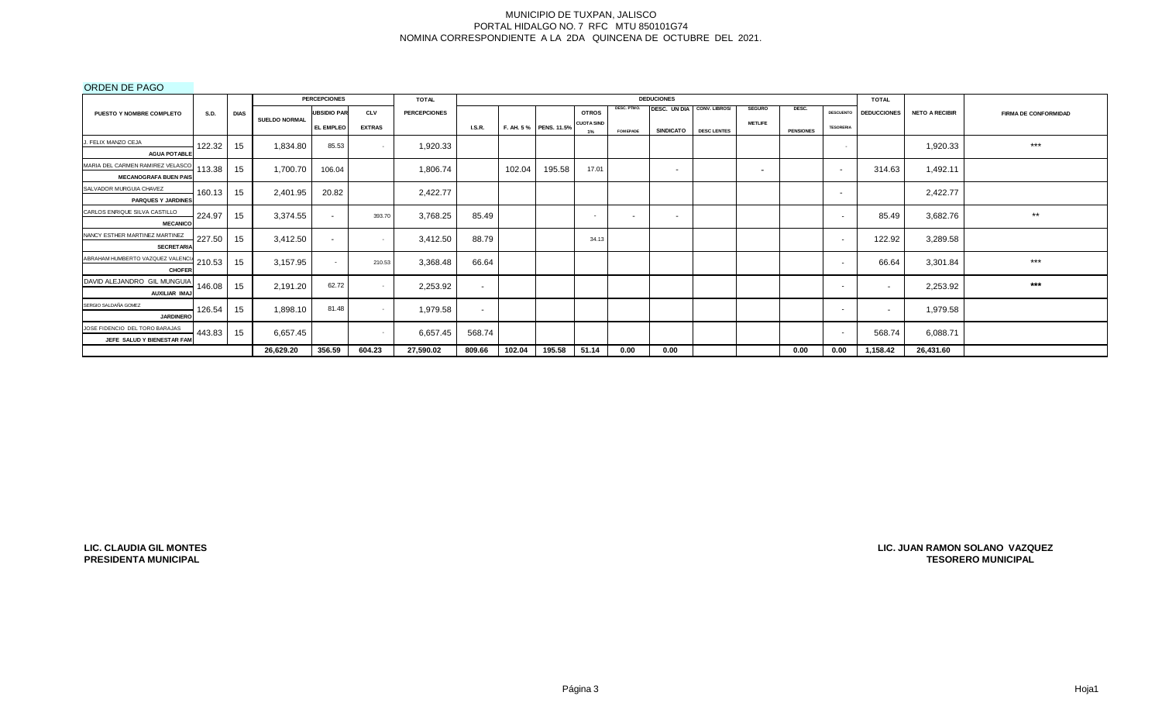ORDEN DE PAGO

|                                   |             |             |                      | <b>PERCEPCIONES</b> |               | TOTAL               |               |        |                       |                         |                          | <b>DEDUCIONES</b>          |                    |                |                  |                          | <b>TOTAL</b>                 |                       |                             |
|-----------------------------------|-------------|-------------|----------------------|---------------------|---------------|---------------------|---------------|--------|-----------------------|-------------------------|--------------------------|----------------------------|--------------------|----------------|------------------|--------------------------|------------------------------|-----------------------|-----------------------------|
| PUESTO Y NOMBRE COMPLETO          | <b>S.D.</b> | <b>DIAS</b> |                      | <b>UBSIDIO PAR</b>  | <b>CLV</b>    | <b>PERCEPCIONES</b> |               |        |                       | <b>OTROS</b>            | DESC. PTMO.              | DESC. UN DIA CONV. LIBROS/ |                    | <b>SEGURO</b>  | DESC.            |                          | <b>DESCUENTO DEDUCCIONES</b> | <b>NETO A RECIBIR</b> | <b>FIRMA DE CONFORMIDAD</b> |
|                                   |             |             | <b>SUELDO NORMAL</b> | <b>EL EMPLEO</b>    | <b>EXTRAS</b> |                     | <b>I.S.R.</b> |        | F. AH. 5% PENS. 11.5% | <b>CUOTA SIND</b><br>1% | <b>FOMEPADE</b>          | <b>SINDICATO</b>           | <b>DESC LENTES</b> | <b>METLIFE</b> | <b>PENSIONES</b> | <b>TESORERIA</b>         |                              |                       |                             |
| J. FELIX MANZO CEJA               | 122.32      | 15          | 1,834.80             | 85.53               |               | 1,920.33            |               |        |                       |                         |                          |                            |                    |                |                  |                          |                              | 1,920.33              | $***$                       |
| <b>AGUA POTABLE</b>               |             |             |                      |                     |               |                     |               |        |                       |                         |                          |                            |                    |                |                  |                          |                              |                       |                             |
| MARIA DEL CARMEN RAMIREZ VELASCO  | 113.38      | 15          | 1,700.70             | 106.04              |               | 1,806.74            |               | 102.04 | 195.58                | 17.01                   |                          | $\overline{\phantom{a}}$   |                    | $\sim$         |                  | $\sim$                   | 314.63                       | 1,492.11              |                             |
| <b>MECANOGRAFA BUEN PAIS</b>      |             |             |                      |                     |               |                     |               |        |                       |                         |                          |                            |                    |                |                  |                          |                              |                       |                             |
| SALVADOR MURGUIA CHAVEZ           | 160.13      | 15          | 2,401.95             | 20.82               |               | 2,422.77            |               |        |                       |                         |                          |                            |                    |                |                  | $\sim$                   |                              | 2,422.77              |                             |
| <b>PARQUES Y JARDINES</b>         |             |             |                      |                     |               |                     |               |        |                       |                         |                          |                            |                    |                |                  |                          |                              |                       |                             |
| CARLOS ENRIQUE SILVA CASTILLO     | 224.97      | 15          | 3,374.55             | $\sim$              | 393.70        | 3,768.25            | 85.49         |        |                       | $\sim$                  | $\overline{\phantom{a}}$ | $\overline{\phantom{a}}$   |                    |                |                  | $\overline{\phantom{a}}$ | 85.49                        | 3,682.76              | $***$                       |
| <b>MECANICO</b>                   |             |             |                      |                     |               |                     |               |        |                       |                         |                          |                            |                    |                |                  |                          |                              |                       |                             |
| NANCY ESTHER MARTINEZ MARTINEZ    | 227.50      | 15          | 3,412.50             | $\sim$              | $\sim$        | 3,412.50            | 88.79         |        |                       | 34.13                   |                          |                            |                    |                |                  | $\overline{\phantom{a}}$ | 122.92                       | 3,289.58              |                             |
| <b>SECRETARIA</b>                 |             |             |                      |                     |               |                     |               |        |                       |                         |                          |                            |                    |                |                  |                          |                              |                       |                             |
| ABRAHAM HUMBERTO VAZQUEZ VALENCIA | 210.53      | 15          | 3.157.95             | $\sim$              | 210.53        | 3,368.48            | 66.64         |        |                       |                         |                          |                            |                    |                |                  | $\sim$                   | 66.64                        | 3,301.84              | ***                         |
| <b>CHOFER</b>                     |             |             |                      |                     |               |                     |               |        |                       |                         |                          |                            |                    |                |                  |                          |                              |                       |                             |
| DAVID ALEJANDRO GIL MUNGUIA       | 146.08      | 15          | 2,191.20             | 62.72               | $\sim$        | 2,253.92            | $\sim$        |        |                       |                         |                          |                            |                    |                |                  | $\sim$                   | $\sim$                       | 2,253.92              | $***$                       |
| AUXILIAR IMAJ                     |             |             |                      |                     |               |                     |               |        |                       |                         |                          |                            |                    |                |                  |                          |                              |                       |                             |
| SERGIO SALDAÑA GOMEZ              | 126.54      | 15          | 1,898.10             | 81.48               | $\sim$        | 1,979.58            | $\sim$        |        |                       |                         |                          |                            |                    |                |                  | $\sim$                   | $\sim$                       | 1,979.58              |                             |
| <b>JARDINERO</b>                  |             |             |                      |                     |               |                     |               |        |                       |                         |                          |                            |                    |                |                  |                          |                              |                       |                             |
| JOSE FIDENCIO DEL TORO BARAJAS    | 443.83      | 15          | 6,657.45             |                     | $\sim$        | 6,657.45            | 568.74        |        |                       |                         |                          |                            |                    |                |                  | $\sim$                   | 568.74                       | 6,088.71              |                             |
| JEFE SALUD Y BIENESTAR FAM        |             |             |                      |                     |               |                     |               |        |                       |                         |                          |                            |                    |                |                  |                          |                              |                       |                             |
|                                   |             |             | 26,629.20            | 356.59              | 604.23        | 27,590.02           | 809.66        | 102.04 | 195.58                | 51.14                   | 0.00                     | 0.00                       |                    |                | 0.00             | 0.00                     | 1,158.42                     | 26,431.60             |                             |

**LIC. CLAUDIA GIL MONTES PRESIDENTA MUNICIPAL**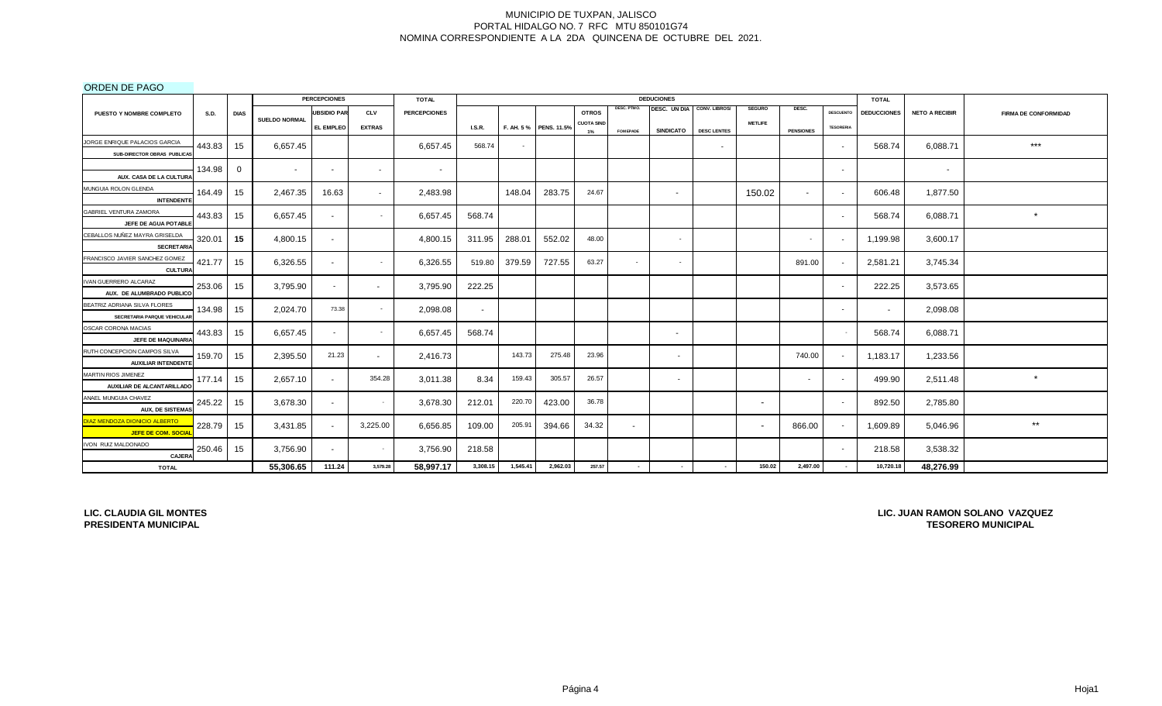ORDEN DE PAGO

| - - - - - - - - - - - - - -                                 |             |             |               | <b>PERCEPCIONES</b> |               | <b>TOTAL</b>        |          |          |                       |                         |                  | <b>DEDUCIONES</b>        |                      |                |                  |                          | <b>TOTAL</b>             |                       |                             |
|-------------------------------------------------------------|-------------|-------------|---------------|---------------------|---------------|---------------------|----------|----------|-----------------------|-------------------------|------------------|--------------------------|----------------------|----------------|------------------|--------------------------|--------------------------|-----------------------|-----------------------------|
| PUESTO Y NOMBRE COMPLETO                                    | <b>S.D.</b> | <b>DIAS</b> |               | <b>UBSIDIO PAR</b>  | <b>CLV</b>    | <b>PERCEPCIONES</b> |          |          |                       | <b>OTROS</b>            | DESC. PTMO.      | <b>DESC. UN DIA</b>      | <b>CONV. LIBROS/</b> | <b>SEGURO</b>  | DESC.            | <b>DESCUENTO</b>         | <b>DEDUCCIONES</b>       | <b>NETO A RECIBIR</b> | <b>FIRMA DE CONFORMIDAD</b> |
|                                                             |             |             | SUELDO NORMAL | <b>EL EMPLEO</b>    | <b>EXTRAS</b> |                     | LS.R.    |          | F. AH. 5% PENS. 11.5% | <b>CUOTA SIND</b><br>1% | <b>FOM EPADE</b> | <b>SINDICATO</b>         | <b>DESC LENTES</b>   | <b>METLIFE</b> | <b>PENSIONES</b> | <b>TESORERIA</b>         |                          |                       |                             |
| JORGE ENRIQUE PALACIOS GARCIA                               | 443.83      | 15          | 6,657.45      |                     |               | 6,657.45            | 568.74   | $\sim$   |                       |                         |                  |                          | $\sim$               |                |                  | $\sim$                   | 568.74                   | 6,088.71              | $***$                       |
| SUB-DIRECTOR OBRAS PUBLICAS                                 |             |             |               |                     |               |                     |          |          |                       |                         |                  |                          |                      |                |                  |                          |                          |                       |                             |
| AUX. CASA DE LA CULTURA                                     | 134.98      | $\mathbf 0$ |               | $\sim$              | $\sim$        | $\sim$              |          |          |                       |                         |                  |                          |                      |                |                  | $\overline{\phantom{a}}$ |                          |                       |                             |
| MUNGUIA ROLON GLENDA                                        |             |             |               |                     |               |                     |          |          |                       |                         |                  |                          |                      |                |                  |                          |                          |                       |                             |
| <b>INTENDENTE</b>                                           | 164.49      | 15          | 2,467.35      | 16.63               |               | 2,483.98            |          | 148.04   | 283.75                | 24.67                   |                  | $\sim$                   |                      | 150.02         | $\sim$           | $\sim$                   | 606.48                   | 1,877.50              |                             |
| GABRIEL VENTURA ZAMORA<br>JEFE DE AGUA POTABLE              | 443.83      | 15          | 6,657.45      | $\sim$              | $\sim$        | 6,657.45            | 568.74   |          |                       |                         |                  |                          |                      |                |                  | $\sim$                   | 568.74                   | 6,088.71              | $\star$                     |
| CEBALLOS NUÑEZ MAYRA GRISELDA<br><b>SECRETARIA</b>          | 320.01      | 15          | 4,800.15      | $\sim$              |               | 4,800.15            | 311.95   | 288.01   | 552.02                | 48.00                   |                  |                          |                      |                |                  | $\sim$                   | 1,199.98                 | 3,600.17              |                             |
| FRANCISCO JAVIER SANCHEZ GOMEZ<br><b>CULTURA</b>            | 421.77      | 15          | 6,326.55      | $\sim$              | $\sim$        | 6,326.55            | 519.80   | 379.59   | 727.55                | 63.27                   | $\sim$           | $\sim$                   |                      |                | 891.00           |                          | 2,581.21                 | 3,745.34              |                             |
| IVAN GUERRERO ALCARAZ<br>AUX. DE ALUMBRADO PUBLICO          | 253.06      | 15          | 3,795.90      | $\sim$              | $\sim$        | 3,795.90            | 222.25   |          |                       |                         |                  |                          |                      |                |                  | $\sim$                   | 222.25                   | 3,573.65              |                             |
| BEATRIZ ADRIANA SILVA FLORES<br>SECRETARIA PARQUE VEHICULAR | 134.98      | 15          | 2,024.70      | 73.38               | $\sim$        | 2,098.08            | $\sim$   |          |                       |                         |                  |                          |                      |                |                  | $\overline{\phantom{a}}$ | $\overline{\phantom{a}}$ | 2,098.08              |                             |
| OSCAR CORONA MACIAS<br>JEFE DE MAQUINARIA                   | 443.83      | 15          | 6,657.45      | $\sim$              | $\sim$        | 6,657.45            | 568.74   |          |                       |                         |                  | $\overline{\phantom{a}}$ |                      |                |                  |                          | 568.74                   | 6,088.71              |                             |
| RUTH CONCEPCION CAMPOS SILVA<br><b>AUXILIAR INTENDENTE</b>  | 159.70      | 15          | 2,395.50      | 21.23               | $\sim$        | 2,416.73            |          | 143.73   | 275.48                | 23.96                   |                  | $\sim$                   |                      |                | 740.00           | - -                      | 1,183.17                 | 1,233.56              |                             |
| MARTIN RIOS JIMENEZ<br>AUXILIAR DE ALCANTARILLADO           | 177.14      | 15          | 2,657.10      | $\sim$              | 354.28        | 3,011.38            | 8.34     | 159.43   | 305.57                | 26.57                   |                  | $\sim$                   |                      |                | $\sim$           | $\sim$                   | 499.90                   | 2,511.48              | $\star$                     |
| ANAEL MUNGUIA CHAVEZ<br><b>AUX, DE SISTEMAS</b>             | 245.22      | 15          | 3,678.30      | $\sim$              |               | 3,678.30            | 212.01   | 220.70   | 423.00                | 36.78                   |                  |                          |                      |                |                  | $\overline{\phantom{a}}$ | 892.50                   | 2,785.80              |                             |
| <b>DIAZ MENDOZA DIONICIO ALBERTO</b><br>JEFE DE COM. SOCIAL | 228.79      | 15          | 3,431.85      | $\sim$              | 3,225.00      | 6,656.85            | 109.00   | 205.91   | 394.66                | 34.32                   | $\sim$           |                          |                      | $\sim$         | 866.00           | $\sim$                   | 1,609.89                 | 5,046.96              | $\star\star$                |
| IVON RUIZ MALDONADO<br><b>CAJERA</b>                        | 250.46      | 15          | 3,756.90      | $\sim$              | $\sim$        | 3,756.90            | 218.58   |          |                       |                         |                  |                          |                      |                |                  | $\sim$                   | 218.58                   | 3,538.32              |                             |
| <b>TOTAL</b>                                                |             |             | 55,306.65     | 111.24              | 3,579.28      | 58,997.17           | 3,308.15 | 1,545.41 | 2,962.03              | 257.57                  | $\sim$           | $\sim$                   | $\sim$               | 150.02         | 2,497.00         |                          | 10,720.18                | 48,276.99             |                             |

**LIC. CLAUDIA GIL MONTES PRESIDENTA MUNICIPAL**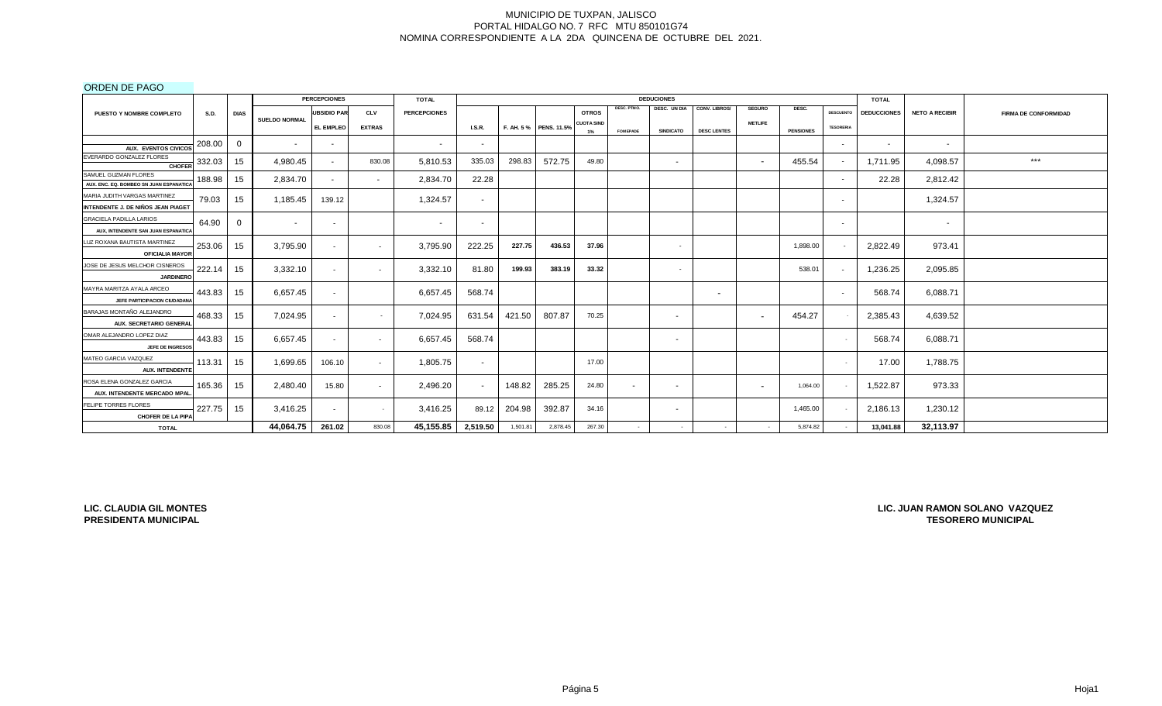# ORDEN DE PAGO

|                                                                     |             |                 |                      | <b>PERCEPCIONES</b>      |               | <b>TOTAL</b>             |                          |          |                                            |        |                 | <b>DEDUCIONES</b>          |                    |                |                  |                  | <b>TOTAL</b>       |                          |                             |
|---------------------------------------------------------------------|-------------|-----------------|----------------------|--------------------------|---------------|--------------------------|--------------------------|----------|--------------------------------------------|--------|-----------------|----------------------------|--------------------|----------------|------------------|------------------|--------------------|--------------------------|-----------------------------|
| PUESTO Y NOMBRE COMPLETO                                            | <b>S.D.</b> | <b>DIAS</b>     |                      | <b>UBSIDIO PAR</b>       | <b>CLV</b>    | <b>PERCEPCIONES</b>      |                          |          | <b>OTROS</b>                               |        | DESC. PTMO.     | DESC. UN DIA CONV. LIBROS/ |                    | <b>SEGURO</b>  | DESC.            | <b>DESCUENTO</b> | <b>DEDUCCIONES</b> | <b>NETO A RECIBIR</b>    | <b>FIRMA DE CONFORMIDAD</b> |
|                                                                     |             |                 | <b>SUELDO NORMAL</b> | <b>EL EMPLEO</b>         | <b>EXTRAS</b> |                          | <b>I.S.R.</b>            |          | <b>CUOTA SIND</b><br>F. AH. 5% PENS. 11.5% |        | <b>FOMEPADE</b> | <b>SINDICATO</b>           | <b>DESC LENTES</b> | <b>METLIFE</b> | <b>PENSIONES</b> | <b>TESORERIA</b> |                    |                          |                             |
| <b>AUX. EVENTOS CIVICOS</b>                                         | 208.00      | $\mathbf{0}$    | $\sim$               | $\sim$                   |               | $\overline{\phantom{a}}$ | $\overline{\phantom{a}}$ |          |                                            |        |                 |                            |                    |                |                  | $\sim$           | $\sim$             | $\overline{\phantom{a}}$ |                             |
| EVERARDO GONZALEZ FLORES<br><b>CHOFER</b>                           | 332.03      | 15 <sub>1</sub> | 4,980.45             |                          | 830.08        | 5,810.53                 | 335.03                   | 298.83   | 572.75                                     | 49.80  |                 | $\overline{\phantom{a}}$   |                    |                | 455.54           |                  | 1,711.95           | 4,098.57                 | $***$                       |
| SAMUEL GUZMAN FLORES<br>AUX, ENC. EQ. BOMBEO SN JUAN ESPANATICA     | 188.98      | 15              | 2,834.70             |                          | $\sim$        | 2,834.70                 | 22.28                    |          |                                            |        |                 |                            |                    |                |                  |                  | 22.28              | 2,812.42                 |                             |
| MARIA JUDITH VARGAS MARTINEZ<br>INTENDENTE J. DE NIÑOS JEAN PIAGET  | 79.03       | 15              | 1,185.45             | 139.12                   |               | 1,324.57                 | $\overline{\phantom{a}}$ |          |                                            |        |                 |                            |                    |                |                  |                  |                    | 1,324.57                 |                             |
| <b>GRACIELA PADILLA LARIOS</b>                                      | 64.90       | $\mathbf{0}$    | $\sim$               | $\overline{\phantom{a}}$ |               | $\overline{a}$           | $\sim$                   |          |                                            |        |                 |                            |                    |                |                  |                  |                    | $\overline{\phantom{a}}$ |                             |
| AUX, INTENDENTE SAN JUAN ESPANATICA<br>LUZ ROXANA BAUTISTA MARTINEZ | 253.06      | 15              | 3,795.90             |                          | $\sim$        | 3,795.90                 | 222.25                   | 227.75   | 436.53                                     | 37.96  |                 | $\sim$                     |                    |                | 1,898.00         |                  | 2,822.49           | 973.41                   |                             |
| <b>OFICIALIA MAYOR</b><br>JOSE DE JESUS MELCHOR CISNEROS            | 222.14      | 15              | 3,332.10             |                          | $\sim$        | 3,332.10                 | 81.80                    | 199.93   | 383.19                                     | 33.32  |                 | $\sim$                     |                    |                | 538.01           |                  | 1,236.25           | 2,095.85                 |                             |
| <b>JARDINERO</b>                                                    |             |                 |                      |                          |               |                          |                          |          |                                            |        |                 |                            |                    |                |                  |                  |                    |                          |                             |
| MAYRA MARITZA AYALA ARCEO<br>JEFE PARTICIPACION CIUDADANA           | 443.83      | 15              | 6,657.45             |                          |               | 6,657.45                 | 568.74                   |          |                                            |        |                 |                            | $\blacksquare$     |                |                  |                  | 568.74             | 6,088.71                 |                             |
| BARAJAS MONTAÑO ALEJANDRO<br><b>AUX. SECRETARIO GENERAL</b>         | 468.33      | 15              | 7,024.95             |                          | $\sim$        | 7,024.95                 | 631.54                   | 421.50   | 807.87                                     | 70.25  |                 | $\overline{\phantom{a}}$   |                    | $\sim$         | 454.27           |                  | 2,385.43           | 4,639.52                 |                             |
| OMAR ALEJANDRO LOPEZ DIAZ<br>JEFE DE INGRESOS                       | 443.83      | 15              | 6,657.45             | $\sim$                   | $\sim$        | 6,657.45                 | 568.74                   |          |                                            |        |                 | $\overline{\phantom{a}}$   |                    |                |                  |                  | 568.74             | 6,088.71                 |                             |
| MATEO GARCIA VAZQUEZ<br><b>AUX. INTENDENTE</b>                      | 113.31      | 15              | 1,699.65             | 106.10                   | $\sim$        | 1,805.75                 | $\sim$                   |          |                                            | 17.00  |                 |                            |                    |                |                  |                  | 17.00              | 1,788.75                 |                             |
| ROSA ELENA GONZALEZ GARCIA<br>AUX. INTENDENTE MERCADO MPAL.         | 165.36      | 15              | 2,480.40             | 15.80                    | $\sim$        | 2,496.20                 | $\sim$                   | 148.82   | 285.25                                     | 24.80  | $\sim$          | $\overline{\phantom{a}}$   |                    | $\sim$         | 1,064.00         |                  | 1,522.87           | 973.33                   |                             |
| FELIPE TORRES FLORES<br>CHOFER DE LA PIPA                           | 227.75      | 15              | 3,416.25             | $\sim$                   | $\sim$        | 3,416.25                 | 89.12                    | 204.98   | 392.87                                     | 34.16  |                 | $\overline{\phantom{a}}$   |                    |                | 1,465.00         |                  | 2,186.13           | 1,230.12                 |                             |
| <b>TOTAL</b>                                                        |             |                 | 44,064.75            | 261.02                   | 830.08        | 45,155.85                | 2,519.50                 | 1,501.81 | 2,878.45                                   | 267.30 |                 |                            |                    | $\sim$         | 5,874.82         |                  | 13,041.88          | 32,113.97                |                             |

**LIC. CLAUDIA GIL MONTES PRESIDENTA MUNICIPAL**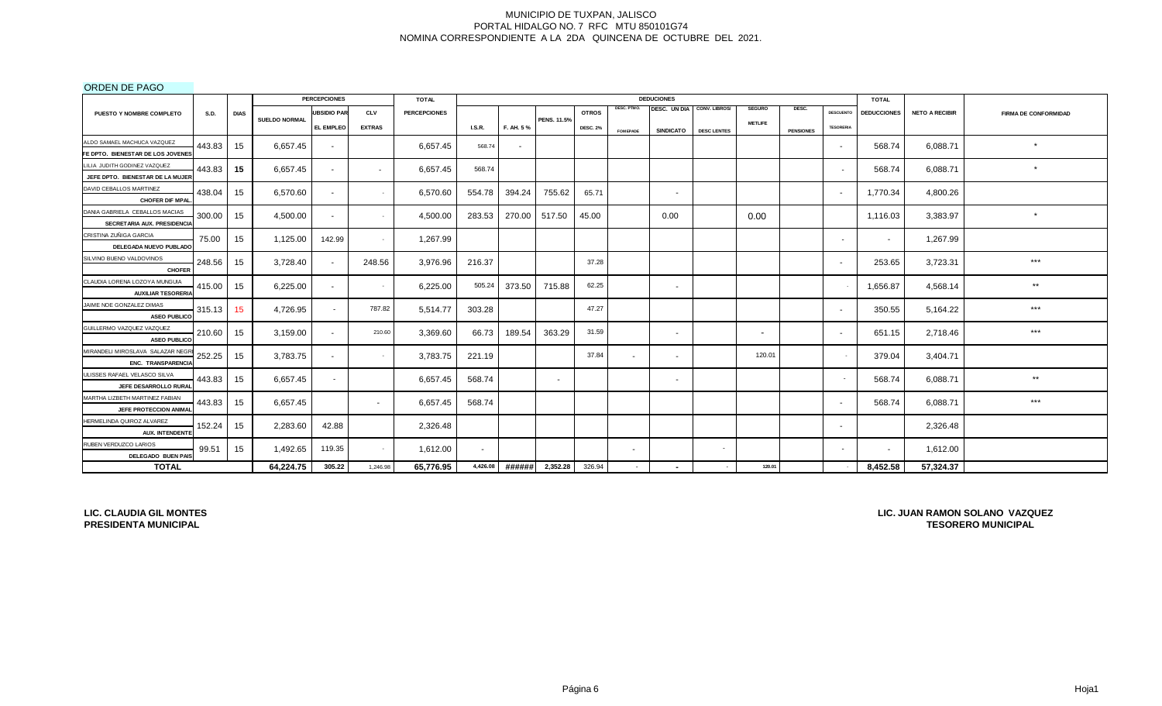# ORDEN DE PAGO

|                                                          |             |             |               | <b>PERCEPCIONES</b>      |               | <b>TOTAL</b>        |          |                          |                    |                 |                          | <b>DEDUCIONES</b>          |                    |                |                  |                          | <b>TOTAL</b>       |                       |                             |
|----------------------------------------------------------|-------------|-------------|---------------|--------------------------|---------------|---------------------|----------|--------------------------|--------------------|-----------------|--------------------------|----------------------------|--------------------|----------------|------------------|--------------------------|--------------------|-----------------------|-----------------------------|
| PUESTO Y NOMBRE COMPLETO                                 | <b>S.D.</b> | <b>DIAS</b> |               | <b>UBSIDIO PAR</b>       | <b>CLV</b>    | <b>PERCEPCIONES</b> |          |                          |                    | <b>OTROS</b>    | DESC. PTMO.              | DESC. UN DIA CONV. LIBROS/ |                    | <b>SEGURO</b>  | DESC.            | <b>DESCUENTO</b>         | <b>DEDUCCIONES</b> | <b>NETO A RECIBIR</b> | <b>FIRMA DE CONFORMIDAD</b> |
|                                                          |             |             | SUELDO NORMAL | <b>EL EMPLEO</b>         | <b>EXTRAS</b> |                     | I.S.R.   | F. AH. 5%                | <b>PENS. 11.5%</b> | <b>DESC. 2%</b> | <b>FOMEPADE</b>          | <b>SINDICATO</b>           | <b>DESC LENTES</b> | <b>METLIFE</b> | <b>PENSIONES</b> | <b>TESORERIA</b>         |                    |                       |                             |
| ALDO SAMAEL MACHUCA VAZQUEZ                              |             |             |               |                          |               |                     |          |                          |                    |                 |                          |                            |                    |                |                  |                          |                    |                       |                             |
| FE DPTO. BIENESTAR DE LOS JOVENES                        | 443.83      | 15          | 6,657.45      | $\sim$                   |               | 6.657.45            | 568.74   | $\overline{\phantom{0}}$ |                    |                 |                          |                            |                    |                |                  | $\sim$                   | 568.74             | 6,088.71              | $\star$                     |
| LILIA JUDITH GODINEZ VAZQUEZ                             |             |             |               |                          |               |                     |          |                          |                    |                 |                          |                            |                    |                |                  |                          |                    |                       | $\star$                     |
| JEFE DPTO. BIENESTAR DE LA MUJER                         | 443.83      | 15          | 6,657.45      | $\sim$                   | $\sim$        | 6,657.45            | 568.74   |                          |                    |                 |                          |                            |                    |                |                  | $\overline{\phantom{a}}$ | 568.74             | 6,088.71              |                             |
| DAVID CEBALLOS MARTINEZ                                  | 438.04      | 15          | 6.570.60      | $\sim$                   | $\sim$        | 6,570.60            | 554.78   | 394.24                   | 755.62             | 65.71           |                          | $\overline{\phantom{a}}$   |                    |                |                  | $\sim$                   | 1.770.34           | 4,800.26              |                             |
| <b>CHOFER DIF MPAL</b>                                   |             |             |               |                          |               |                     |          |                          |                    |                 |                          |                            |                    |                |                  |                          |                    |                       |                             |
| DANIA GABRIELA CEBALLOS MACIAS                           | 300.00      | 15          | 4,500.00      | $\overline{\phantom{a}}$ | $\sim$        | 4,500.00            | 283.53   | 270.00                   | 517.50             | 45.00           |                          | 0.00                       |                    | 0.00           |                  |                          | 1,116.03           | 3,383.97              | $\star$                     |
| SECRETARIA AUX. PRESIDENCIA                              |             |             |               |                          |               |                     |          |                          |                    |                 |                          |                            |                    |                |                  |                          |                    |                       |                             |
| CRISTINA ZUÑIGA GARCIA                                   | 75.00       | 15          | 1,125.00      | 142.99                   | $\sim$        | 1,267.99            |          |                          |                    |                 |                          |                            |                    |                |                  | $\overline{\phantom{a}}$ |                    | 1,267.99              |                             |
| DELEGADA NUEVO PUBLADO                                   |             |             |               |                          |               |                     |          |                          |                    |                 |                          |                            |                    |                |                  |                          |                    |                       |                             |
| SILVINO BUENO VALDOVINOS<br><b>CHOFER</b>                | 248.56      | 15          | 3,728.40      | $\sim$                   | 248.56        | 3,976.96            | 216.37   |                          |                    | 37.28           |                          |                            |                    |                |                  | $\sim$                   | 253.65             | 3,723.31              | $***$                       |
| CLAUDIA LORENA LOZOYA MUNGUIA                            |             |             |               |                          |               |                     |          |                          |                    |                 |                          |                            |                    |                |                  |                          |                    |                       | $\star\star$                |
| <b>AUXILIAR TESORERIA</b>                                | 415.00      | 15          | 6,225.00      | $\overline{\phantom{a}}$ | $\sim$        | 6,225.00            | 505.24   | 373.50                   | 715.88             | 62.25           |                          | $\overline{\phantom{a}}$   |                    |                |                  |                          | 1,656.87           | 4,568.14              |                             |
| JAIME NOE GONZALEZ DIMAS                                 | 315.13      | 15          | 4,726.95      | $\overline{\phantom{a}}$ | 787.82        | 5,514.77            | 303.28   |                          |                    | 47.27           |                          |                            |                    |                |                  | $\overline{\phantom{a}}$ | 350.55             | 5,164.22              | $***$                       |
| <b>ASEO PUBLICO</b>                                      |             |             |               |                          |               |                     |          |                          |                    |                 |                          |                            |                    |                |                  |                          |                    |                       |                             |
| GUILLERMO VAZQUEZ VAZQUEZ                                | 210.60      | 15          | 3,159.00      | $\sim$                   | 210.60        | 3,369.60            | 66.73    | 189.54                   | 363.29             | 31.59           |                          | $\overline{\phantom{a}}$   |                    | $\sim$         |                  | $\sim$                   | 651.15             | 2,718.46              | $***$                       |
| <b>ASEO PUBLICO</b>                                      |             |             |               |                          |               |                     |          |                          |                    |                 |                          |                            |                    |                |                  |                          |                    |                       |                             |
| MIRANDELI MIROSLAVA SALAZAR NEGRI                        | 252.25      | 15          | 3,783.75      | $\overline{\phantom{a}}$ | $\sim$        | 3,783.75            | 221.19   |                          |                    | 37.84           | $\overline{\phantom{a}}$ | $\overline{\phantom{a}}$   |                    | 120.01         |                  |                          | 379.04             | 3,404.71              |                             |
| ENC. TRANSPARENCIA                                       |             |             |               |                          |               |                     |          |                          |                    |                 |                          |                            |                    |                |                  |                          |                    |                       |                             |
| ULISSES RAFAEL VELASCO SILVA                             | 443.83      | 15          | 6,657.45      |                          |               | 6,657.45            | 568.74   |                          | $\overline{a}$     |                 |                          | $\overline{\phantom{a}}$   |                    |                |                  |                          | 568.74             | 6,088.71              | $\star\star$                |
| JEFE DESARROLLO RURAL                                    |             |             |               |                          |               |                     |          |                          |                    |                 |                          |                            |                    |                |                  |                          |                    |                       |                             |
| MARTHA LIZBETH MARTINEZ FABIAN<br>JEFE PROTECCION ANIMAL | 443.83      | 15          | 6,657.45      |                          |               | 6,657.45            | 568.74   |                          |                    |                 |                          |                            |                    |                |                  | $\overline{\phantom{a}}$ | 568.74             | 6,088.71              | $***$                       |
| HERMELINDA QUIROZ ALVAREZ                                |             |             |               |                          |               |                     |          |                          |                    |                 |                          |                            |                    |                |                  |                          |                    |                       |                             |
| AUX. INTENDENTE                                          | 152.24      | 15          | 2,283.60      | 42.88                    |               | 2,326.48            |          |                          |                    |                 |                          |                            |                    |                |                  | $\sim$                   |                    | 2,326.48              |                             |
| RUBEN VERDUZCO LARIOS                                    |             |             |               |                          |               |                     |          |                          |                    |                 |                          |                            |                    |                |                  |                          |                    |                       |                             |
| DELEGADO BUEN PAIS                                       | 99.51       | 15          | 1,492.65      | 119.35                   | $\sim$        | 1,612.00            | $\sim$   |                          |                    |                 | $\sim$                   |                            | $\sim$             |                |                  | $\sim$                   | $\sim$             | 1,612.00              |                             |
| <b>TOTAL</b>                                             |             |             | 64,224.75     | 305.22                   | 1,246.98      | 65,776.95           | 4,426.08 | ######                   | 2,352.28           | 326.94          | $\sim$                   | $\sim$                     | $\sim$             | 120.01         |                  |                          | 8,452.58           | 57,324.37             |                             |

**LIC. CLAUDIA GIL MONTES PRESIDENTA MUNICIPAL**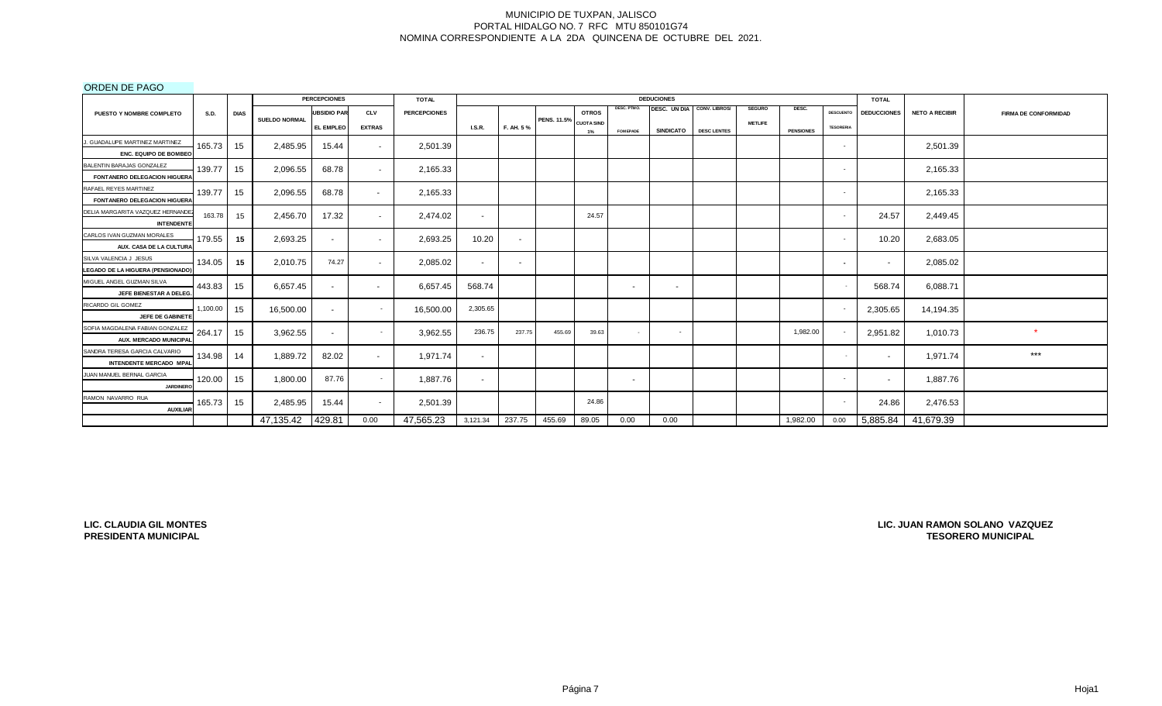ORDEN DE PAGO

|                                   |             |             |               | <b>PERCEPCIONES</b>      |                          | <b>TOTAL</b>        |                          |           |                        |              |                          | <b>DEDUCIONES</b>   |                      |                |                  |                  | <b>TOTAL</b>             |                       |                             |
|-----------------------------------|-------------|-------------|---------------|--------------------------|--------------------------|---------------------|--------------------------|-----------|------------------------|--------------|--------------------------|---------------------|----------------------|----------------|------------------|------------------|--------------------------|-----------------------|-----------------------------|
| PUESTO Y NOMBRE COMPLETO          | <b>S.D.</b> | <b>DIAS</b> |               | <b>UBSIDIO PAR</b>       | <b>CLV</b>               | <b>PERCEPCIONES</b> |                          |           |                        | <b>OTROS</b> | DESC. PTMO.              | <b>DESC. UN DIA</b> | <b>CONV. LIBROS/</b> | <b>SEGURO</b>  | DESC.            | <b>DESCUENTO</b> | <b>DEDUCCIONES</b>       | <b>NETO A RECIBIR</b> | <b>FIRMA DE CONFORMIDAD</b> |
|                                   |             |             | SUELDO NORMAL | <b>EL EMPLEO</b>         | <b>EXTRAS</b>            |                     | <b>I.S.R.</b>            | F. AH. 5% | PENS. 11.5% CUOTA SIND |              |                          |                     |                      | <b>METLIFE</b> |                  | <b>TESORERIA</b> |                          |                       |                             |
|                                   |             |             |               |                          |                          |                     |                          |           |                        | 1%           | <b>FOMEPADE</b>          | <b>SINDICATO</b>    | <b>DESC LENTES</b>   |                | <b>PENSIONES</b> |                  |                          |                       |                             |
| . GUADALUPE MARTINEZ MARTINEZ     | 165.73      | 15          | 2,485.95      | 15.44                    | $\overline{\phantom{a}}$ | 2,501.39            |                          |           |                        |              |                          |                     |                      |                |                  |                  |                          | 2,501.39              |                             |
| ENC. EQUIPO DE BOMBEC             |             |             |               |                          |                          |                     |                          |           |                        |              |                          |                     |                      |                |                  |                  |                          |                       |                             |
| BALENTIN BARAJAS GONZALEZ         | 139.77      | 15          | 2,096.55      | 68.78                    | $\sim$                   | 2,165.33            |                          |           |                        |              |                          |                     |                      |                |                  |                  |                          | 2,165.33              |                             |
| FONTANERO DELEGACION HIGUERA      |             |             |               |                          |                          |                     |                          |           |                        |              |                          |                     |                      |                |                  |                  |                          |                       |                             |
| RAFAEL REYES MARTINEZ             | 139.77      | 15          | 2,096.55      | 68.78                    | $\sim$                   | 2,165.33            |                          |           |                        |              |                          |                     |                      |                |                  |                  |                          | 2,165.33              |                             |
| FONTANERO DELEGACION HIGUERA      |             |             |               |                          |                          |                     |                          |           |                        |              |                          |                     |                      |                |                  |                  |                          |                       |                             |
| DELIA MARGARITA VAZQUEZ HERNANDE  | 163.78      | 15          | 2,456.70      | 17.32                    | $\sim$                   | 2,474.02            | $\sim$                   |           |                        | 24.57        |                          |                     |                      |                |                  |                  | 24.57                    | 2,449.45              |                             |
| <b>INTENDENTE</b>                 |             |             |               |                          |                          |                     |                          |           |                        |              |                          |                     |                      |                |                  |                  |                          |                       |                             |
| CARLOS IVAN GUZMAN MORALES        | 179.55      | 15          | 2,693.25      | $\overline{\phantom{a}}$ | $\overline{\phantom{a}}$ | 2,693.25            | 10.20                    | $\sim$    |                        |              |                          |                     |                      |                |                  |                  | 10.20                    | 2,683.05              |                             |
| AUX. CASA DE LA CULTURA           |             |             |               |                          |                          |                     |                          |           |                        |              |                          |                     |                      |                |                  |                  |                          |                       |                             |
| SILVA VALENCIA J JESUS            | 134.05      | 15          | 2.010.75      | 74.27                    | $\overline{\phantom{a}}$ | 2,085.02            | $\sim$                   | $\sim$    |                        |              |                          |                     |                      |                |                  |                  | $\overline{a}$           | 2,085.02              |                             |
| LEGADO DE LA HIGUERA (PENSIONADO) |             |             |               |                          |                          |                     |                          |           |                        |              |                          |                     |                      |                |                  |                  |                          |                       |                             |
| MIGUEL ANGEL GUZMAN SILVA         | 443.83      | 15          | 6,657.45      | $\sim$                   | $\overline{\phantom{a}}$ | 6,657.45            | 568.74                   |           |                        |              | $\sim$                   | $\sim$              |                      |                |                  |                  | 568.74                   | 6,088.71              |                             |
| JEFE BIENESTAR A DELEG            |             |             |               |                          |                          |                     |                          |           |                        |              |                          |                     |                      |                |                  |                  |                          |                       |                             |
| RICARDO GIL GOMEZ                 | 1,100.00    | 15          | 16,500.00     | $\overline{\phantom{a}}$ | $\sim$                   | 16,500.00           | 2,305.65                 |           |                        |              |                          |                     |                      |                |                  |                  | 2,305.65                 | 14,194.35             |                             |
| JEFE DE GABINETE                  |             |             |               |                          |                          |                     |                          |           |                        |              |                          |                     |                      |                |                  |                  |                          |                       |                             |
| SOFIA MAGDALENA FABIAN GONZALEZ   | 264.17      | 15          | 3,962.55      | $\sim$                   | $\sim$                   | 3,962.55            | 236.75                   | 237.75    | 455.69                 | 39.63        |                          | $\sim$              |                      |                | 1,982.00         |                  | 2,951.82                 | 1,010.73              |                             |
| AUX. MERCADO MUNICIPAL            |             |             |               |                          |                          |                     |                          |           |                        |              |                          |                     |                      |                |                  |                  |                          |                       |                             |
| SANDRA TERESA GARCIA CALVARIO     | 134.98      | 14          | 1,889.72      | 82.02                    | $\sim$                   | 1,971.74            | $\overline{\phantom{a}}$ |           |                        |              |                          |                     |                      |                |                  |                  | $\sim$                   | 1,971.74              | $***$                       |
| INTENDENTE MERCADO MPAL           |             |             |               |                          |                          |                     |                          |           |                        |              |                          |                     |                      |                |                  |                  |                          |                       |                             |
| JUAN MANUEL BERNAL GARCIA         | 120.00      | 15          | 1,800.00      | 87.76                    | $\sim$                   | 1,887.76            | $\sim$                   |           |                        |              | $\overline{\phantom{a}}$ |                     |                      |                |                  |                  | $\overline{\phantom{a}}$ | 1,887.76              |                             |
| <b>JARDINERC</b>                  |             |             |               |                          |                          |                     |                          |           |                        |              |                          |                     |                      |                |                  |                  |                          |                       |                             |
| RAMON NAVARRO RUA                 | 165.73      | 15          | 2,485.95      | 15.44                    | $\sim$                   | 2,501.39            |                          |           |                        | 24.86        |                          |                     |                      |                |                  |                  | 24.86                    | 2,476.53              |                             |
| <b>AUXILIAR</b>                   |             |             |               |                          |                          |                     |                          |           |                        |              |                          |                     |                      |                |                  |                  |                          |                       |                             |
|                                   |             |             | 47,135.42     | 429.81                   | 0.00                     | 47,565.23           | 3,121.34                 | 237.75    | 455.69                 | 89.05        | 0.00                     | 0.00                |                      |                | 1,982.00         | 0.00             | 5,885.84                 | 41,679.39             |                             |

**LIC. CLAUDIA GIL MONTES PRESIDENTA MUNICIPAL**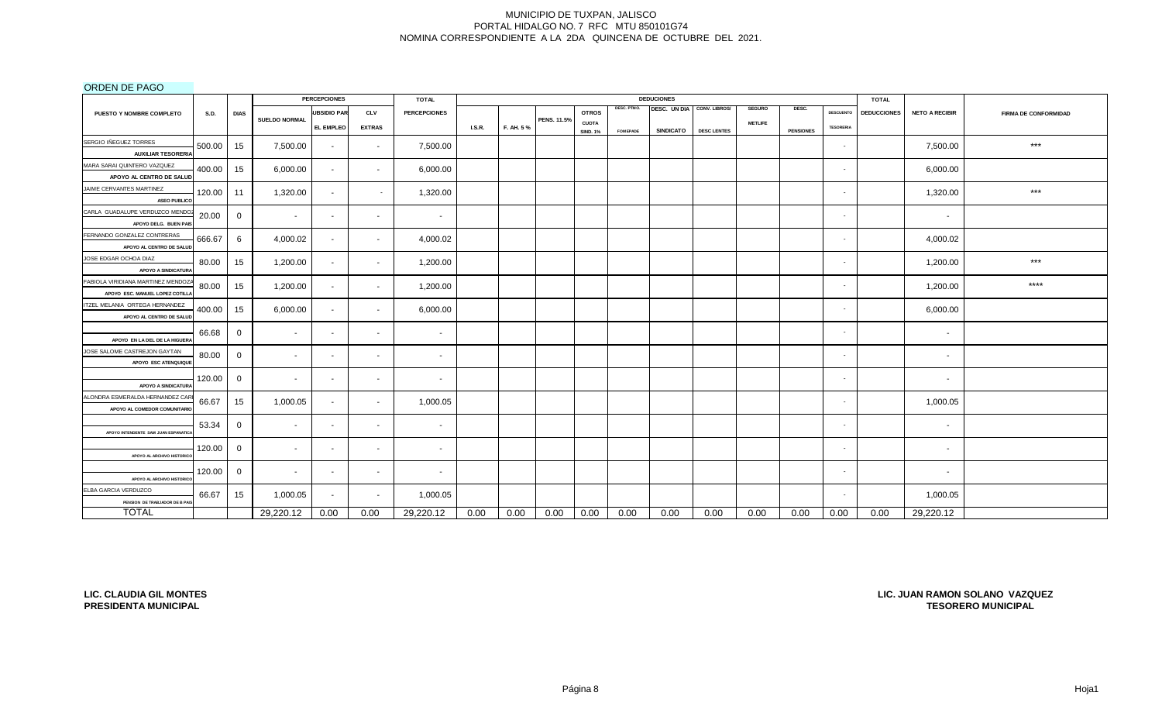# ORDEN DE PAGO

|                                                                   |             |              |                          | <b>PERCEPCIONES</b> |                          | <b>TOTAL</b>             |               |           |             |                 |                 | <b>DEDUCIONES</b> |                      |                |                  |                          | <b>TOTAL</b>       |                          |                             |
|-------------------------------------------------------------------|-------------|--------------|--------------------------|---------------------|--------------------------|--------------------------|---------------|-----------|-------------|-----------------|-----------------|-------------------|----------------------|----------------|------------------|--------------------------|--------------------|--------------------------|-----------------------------|
| PUESTO Y NOMBRE COMPLETO                                          | <b>S.D.</b> | <b>DIAS</b>  |                          | <b>UBSIDIO PAR</b>  | <b>CLV</b>               | <b>PERCEPCIONES</b>      |               |           |             | <b>OTROS</b>    | DESC. PTMO.     | DESC. UN DIA      | <b>CONV. LIBROS/</b> | <b>SEGURO</b>  | DESC.            | <b>DESCUENTO</b>         | <b>DEDUCCIONES</b> | <b>NETO A RECIBIR</b>    | <b>FIRMA DE CONFORMIDAD</b> |
|                                                                   |             |              | SUELDO NORMAL            | <b>EL EMPLEO</b>    | <b>EXTRAS</b>            |                          | <b>I.S.R.</b> | F. AH. 5% | PENS. 11.5% | <b>CUOTA</b>    |                 |                   |                      | <b>METLIFE</b> |                  | <b>TESORERIA</b>         |                    |                          |                             |
| SERGIO IÑEGUEZ TORRES                                             |             |              |                          |                     |                          |                          |               |           |             | <b>SIND. 1%</b> | <b>FOMEPADE</b> | <b>SINDICATO</b>  | <b>DESC LENTES</b>   |                | <b>PENSIONES</b> |                          |                    |                          |                             |
| <b>AUXILIAR TESORERIA</b>                                         | 500.00      | 15           | 7,500.00                 | $\sim$              | $\sim$                   | 7,500.00                 |               |           |             |                 |                 |                   |                      |                |                  | $\overline{\phantom{a}}$ |                    | 7,500.00                 | $***$                       |
| MARA SARAI QUINTERO VAZQUEZ                                       |             |              |                          |                     |                          |                          |               |           |             |                 |                 |                   |                      |                |                  |                          |                    |                          |                             |
| APOYO AL CENTRO DE SALUD                                          | 400.00      | 15           | 6,000.00                 | $\sim$              | $\sim$                   | 6,000.00                 |               |           |             |                 |                 |                   |                      |                |                  |                          |                    | 6,000.00                 |                             |
| JAIME CERVANTES MARTINEZ                                          | 120.00      | 11           | 1,320.00                 | $\sim$              | $\sim$                   | 1,320.00                 |               |           |             |                 |                 |                   |                      |                |                  | ٠.                       |                    | 1,320.00                 | $***$                       |
| <b>ASEO PUBLICO</b>                                               |             |              |                          |                     |                          |                          |               |           |             |                 |                 |                   |                      |                |                  |                          |                    |                          |                             |
| CARLA GUADALUPE VERDUZCO MENDO                                    | 20.00       | $\mathbf{0}$ | $\overline{\phantom{a}}$ | $\sim$              | $\sim$                   | $\sim$                   |               |           |             |                 |                 |                   |                      |                |                  | $\sim$                   |                    | $\sim$                   |                             |
| APOYO DELG. BUEN PAIS                                             |             |              |                          |                     |                          |                          |               |           |             |                 |                 |                   |                      |                |                  |                          |                    |                          |                             |
| FERNANDO GONZALEZ CONTRERAS                                       | 666.67      | 6            | 4,000.02                 | $\sim$              | $\sim$                   | 4,000.02                 |               |           |             |                 |                 |                   |                      |                |                  | $\sim$                   |                    | 4,000.02                 |                             |
| APOYO AL CENTRO DE SALUD                                          |             |              |                          |                     |                          |                          |               |           |             |                 |                 |                   |                      |                |                  |                          |                    |                          |                             |
| JOSE EDGAR OCHOA DIAZ                                             | 80.00       | 15           | 1,200.00                 | $\sim$              | $\overline{\phantom{a}}$ | 1,200.00                 |               |           |             |                 |                 |                   |                      |                |                  | ٠.                       |                    | 1,200.00                 | $***$                       |
| <b>APOYO A SINDICATURA</b>                                        |             |              |                          |                     |                          |                          |               |           |             |                 |                 |                   |                      |                |                  |                          |                    |                          |                             |
| FABIOLA VIRIDIANA MARTINEZ MENDOZ                                 | 80.00       | 15           | 1,200.00                 | $\sim$              | $\sim$                   | 1,200.00                 |               |           |             |                 |                 |                   |                      |                |                  |                          |                    | 1,200.00                 | $****$                      |
| APOYO ESC. MANUEL LOPEZ COTILL.<br>ITZEL MELANIA ORTEGA HERNANDEZ |             |              |                          |                     |                          |                          |               |           |             |                 |                 |                   |                      |                |                  |                          |                    |                          |                             |
| APOYO AL CENTRO DE SALUD                                          | 400.00      | 15           | 6,000.00                 | $\sim$              | $\sim$                   | 6,000.00                 |               |           |             |                 |                 |                   |                      |                |                  |                          |                    | 6,000.00                 |                             |
|                                                                   |             |              |                          |                     |                          |                          |               |           |             |                 |                 |                   |                      |                |                  |                          |                    |                          |                             |
| APOYO EN LA DEL DE LA HIGUERA                                     | 66.68       | 0            | $\overline{\phantom{a}}$ | $\sim$              | $\sim$                   | $\sim$                   |               |           |             |                 |                 |                   |                      |                |                  | $\sim$                   |                    | $\overline{\phantom{a}}$ |                             |
| JOSE SALOME CASTREJON GAYTAN                                      | 80.00       | $\mathbf{0}$ | $\overline{\phantom{a}}$ | $\sim$              | $\sim$                   | $\overline{\phantom{a}}$ |               |           |             |                 |                 |                   |                      |                |                  | $\sim$                   |                    | $\overline{\phantom{a}}$ |                             |
| APOYO ESC ATENQUIQUE                                              |             |              |                          |                     |                          |                          |               |           |             |                 |                 |                   |                      |                |                  |                          |                    |                          |                             |
|                                                                   | 120.00      | 0            | $\overline{\phantom{a}}$ | $\sim$              | $\sim$                   | $\sim$                   |               |           |             |                 |                 |                   |                      |                |                  | $\sim$                   |                    | $\overline{\phantom{a}}$ |                             |
| <b>APOYO A SINDICATURA</b>                                        |             |              |                          |                     |                          |                          |               |           |             |                 |                 |                   |                      |                |                  |                          |                    |                          |                             |
| ALONDRA ESMERALDA HERNANDEZ CARI                                  | 66.67       | 15           | 1,000.05                 | $\sim$              | $\sim$                   | 1,000.05                 |               |           |             |                 |                 |                   |                      |                |                  | $\sim$                   |                    | 1,000.05                 |                             |
| APOYO AL COMEDOR COMUNITARIO                                      |             |              |                          |                     |                          |                          |               |           |             |                 |                 |                   |                      |                |                  |                          |                    |                          |                             |
| APOYO INTENDENTE SAM JUAN ESPANATIC/                              | 53.34       | $\mathbf{0}$ | $\overline{\phantom{a}}$ | $\sim$              | $\sim$                   | $\sim$                   |               |           |             |                 |                 |                   |                      |                |                  | $\overline{\phantom{a}}$ |                    | $\overline{\phantom{a}}$ |                             |
|                                                                   |             |              |                          |                     |                          |                          |               |           |             |                 |                 |                   |                      |                |                  |                          |                    |                          |                             |
| APOYO AL ARCHIVO HISTORIC                                         | 120.00      | $\mathbf{0}$ | $\sim$                   | $\sim$              | $\sim$                   | $\sim$                   |               |           |             |                 |                 |                   |                      |                |                  | ٠.                       |                    | $\overline{\phantom{a}}$ |                             |
|                                                                   |             |              |                          |                     |                          |                          |               |           |             |                 |                 |                   |                      |                |                  |                          |                    |                          |                             |
| APOYO AL ARCHIVO HISTORICO                                        | 120.00      | $\mathbf{0}$ | $\overline{\phantom{0}}$ | $\sim$              | $\sim$                   | $\sim$                   |               |           |             |                 |                 |                   |                      |                |                  | $\overline{\phantom{a}}$ |                    | $\overline{\phantom{a}}$ |                             |
| ELBA GARCIA VERDUZCO                                              | 66.67       | 15           | 1,000.05                 | $\sim$              | $\sim$                   | 1,000.05                 |               |           |             |                 |                 |                   |                      |                |                  | $\overline{\phantom{a}}$ |                    | 1,000.05                 |                             |
| PENSION DE TRABJADOR DE B PAIS                                    |             |              |                          |                     |                          |                          |               |           |             |                 |                 |                   |                      |                |                  |                          |                    |                          |                             |
| <b>TOTAL</b>                                                      |             |              | 29,220.12                | 0.00                | 0.00                     | 29,220.12                | 0.00          | 0.00      | 0.00        | 0.00            | 0.00            | 0.00              | 0.00                 | 0.00           | 0.00             | 0.00                     | 0.00               | 29,220.12                |                             |

**LIC. CLAUDIA GIL MONTES PRESIDENTA MUNICIPAL**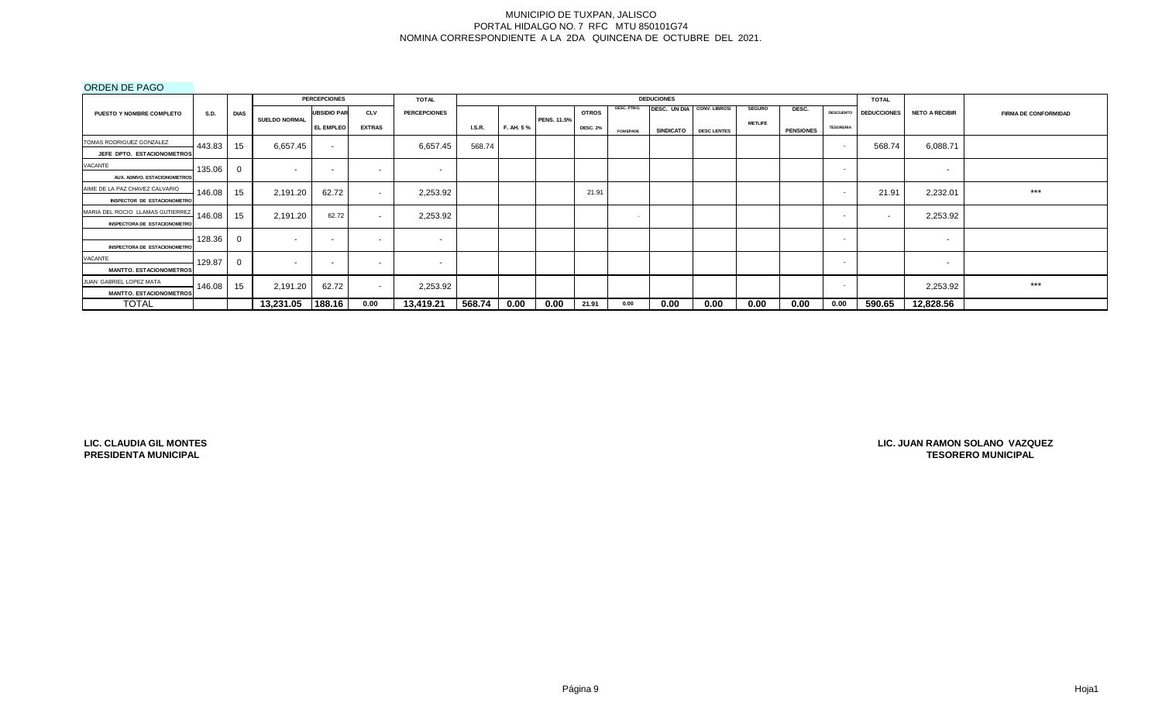# ORDEN DE PAGO

|                                     |             |             |                          | <b>PERCEPCIONES</b>      |                          | <b>TOTAL</b>             |               |           |                    |                 |                 | <b>DEDUCIONES</b> |                      |                |                  |                          | <b>TOTAL</b>             |                          |                             |
|-------------------------------------|-------------|-------------|--------------------------|--------------------------|--------------------------|--------------------------|---------------|-----------|--------------------|-----------------|-----------------|-------------------|----------------------|----------------|------------------|--------------------------|--------------------------|--------------------------|-----------------------------|
| PUESTO Y NOMBRE COMPLETO            | <b>S.D.</b> | <b>DIAS</b> |                          | <b>UBSIDIO PAR</b>       | <b>CLV</b>               | <b>PERCEPCIONES</b>      |               |           |                    | <b>OTROS</b>    | DESC. PTMO.     | DESC. UN DIA      | <b>CONV. LIBROS/</b> | <b>SEGURO</b>  | DESC.            | <b>DESCUENTO</b>         | <b>DEDUCCIONES</b>       | <b>NETO A RECIBIR</b>    | <b>FIRMA DE CONFORMIDAD</b> |
|                                     |             |             | <b>SUELDO NORMAL</b>     | <b>EL EMPLEO</b>         | <b>EXTRAS</b>            |                          | <b>I.S.R.</b> | F. AH. 5% | <b>PENS. 11.5%</b> | <b>DESC. 2%</b> | <b>FOMEPADE</b> | <b>SINDICATO</b>  | <b>DESC LENTES</b>   | <b>METLIFE</b> | <b>PENSIONES</b> | <b>TESORERIA</b>         |                          |                          |                             |
| TOMAS RODRIGUEZ GONZALEZ            | 443.83      | 15          | 6,657.45                 |                          |                          | 6,657.45                 | 568.74        |           |                    |                 |                 |                   |                      |                |                  |                          | 568.74                   | 6,088.71                 |                             |
| JEFE DPTO. ESTACIONOMETROS          |             |             |                          | $\overline{\phantom{0}}$ |                          |                          |               |           |                    |                 |                 |                   |                      |                |                  |                          |                          |                          |                             |
| VACANTE                             | 135.06      | 0           | $\overline{\phantom{a}}$ | . .                      | $\sim$                   | $\overline{\phantom{a}}$ |               |           |                    |                 |                 |                   |                      |                |                  |                          |                          | $\overline{\phantom{a}}$ |                             |
| AUX. ADMVO. ESTACIONOMETROS         |             |             |                          |                          |                          |                          |               |           |                    |                 |                 |                   |                      |                |                  |                          |                          |                          |                             |
| AIME DE LA PAZ CHAVEZ CALVARIO      | 146.08      | 15          | 2,191.20                 | 62.72                    | $\sim$                   | 2,253.92                 |               |           |                    | 21.91           |                 |                   |                      |                |                  | $\overline{\phantom{a}}$ | 21.91                    | 2,232.01                 | $***$                       |
| INSPECTOR DE ESTACIONOMETRO         |             |             |                          |                          |                          |                          |               |           |                    |                 |                 |                   |                      |                |                  |                          |                          |                          |                             |
| MARIA DEL ROCIO LLAMAS GUTIERREZ    | 146.08      | 15          | 2,191.20                 | 62.72                    | $\overline{\phantom{a}}$ | 2,253.92                 |               |           |                    |                 |                 |                   |                      |                |                  |                          | $\overline{\phantom{a}}$ | 2,253.92                 |                             |
| <b>INSPECTORA DE ESTACIONOMETRO</b> |             |             |                          |                          |                          |                          |               |           |                    |                 |                 |                   |                      |                |                  |                          |                          |                          |                             |
| INSPECTORA DE ESTACIONOMETRO        | 128.36      | $\Omega$    |                          | $\overline{\phantom{a}}$ | $\sim$                   | $\overline{\phantom{a}}$ |               |           |                    |                 |                 |                   |                      |                |                  |                          |                          | $\overline{\phantom{a}}$ |                             |
| VACANTE                             |             |             |                          |                          |                          |                          |               |           |                    |                 |                 |                   |                      |                |                  |                          |                          |                          |                             |
| <b>MANTTO, ESTACIONOMETROS</b>      | 129.87      | $\Omega$    |                          | . .                      | $\sim$                   | $\overline{\phantom{a}}$ |               |           |                    |                 |                 |                   |                      |                |                  | $\sim$                   |                          | $\overline{\phantom{a}}$ |                             |
| JUAN GABRIEL LOPEZ MATA             | 146.08      | 15          | 2,191.20                 | 62.72                    |                          | 2,253.92                 |               |           |                    |                 |                 |                   |                      |                |                  |                          |                          | 2,253.92                 | ***                         |
| <b>MANTTO. ESTACIONOMETROS</b>      |             |             |                          |                          | $\sim$                   |                          |               |           |                    |                 |                 |                   |                      |                |                  | $\sim$                   |                          |                          |                             |
| <b>TOTAL</b>                        |             |             | 13,231.05                | 188.16                   | 0.00                     | 13,419.21                | 568.74        | 0.00      | 0.00               | 21.91           | 0.00            | 0.00              | 0.00                 | 0.00           | 0.00             | 0.00                     | 590.65                   | 12,828.56                |                             |

**LIC. CLAUDIA GIL MONTES PRESIDENTA MUNICIPAL**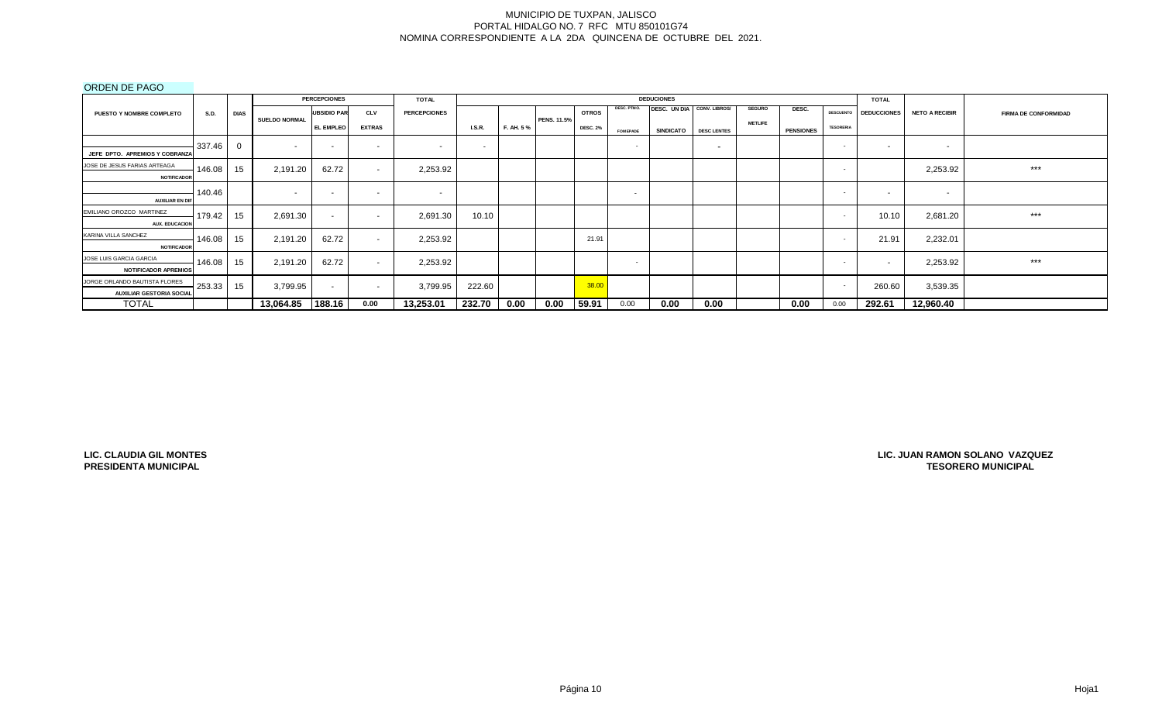ORDEN DE PAGO

|                                 |             |             |                          | <b>PERCEPCIONES</b>      |                          | <b>TOTAL</b>             |               |           |                    |                 |                          | <b>DEDUCIONES</b> |                      |                |                  |                  | <b>TOTAL</b>          |                       |                             |
|---------------------------------|-------------|-------------|--------------------------|--------------------------|--------------------------|--------------------------|---------------|-----------|--------------------|-----------------|--------------------------|-------------------|----------------------|----------------|------------------|------------------|-----------------------|-----------------------|-----------------------------|
| PUESTO Y NOMBRE COMPLETO        | <b>S.D.</b> | <b>DIAS</b> |                          | <b>IUBSIDIO PAR</b>      | <b>CLV</b>               | <b>PERCEPCIONES</b>      |               |           |                    | <b>OTROS</b>    | DESC. PTMO.              | DESC. UN DIA      | <b>CONV. LIBROS/</b> | <b>SEGURO</b>  | DESC.            |                  | DESCUENTO DEDUCCIONES | <b>NETO A RECIBIR</b> | <b>FIRMA DE CONFORMIDAD</b> |
|                                 |             |             | <b>SUELDO NORMAL</b>     | <b>EL EMPLEO</b>         | <b>EXTRAS</b>            |                          | <b>I.S.R.</b> | F. AH. 5% | <b>PENS. 11.5%</b> | <b>DESC. 2%</b> | <b>FOM EPADE</b>         | <b>SINDICATO</b>  | <b>DESC LENTES</b>   | <b>METLIFE</b> | <b>PENSIONES</b> | <b>TESORERIA</b> |                       |                       |                             |
|                                 | 337.46      |             | $\sim$                   | $\sim$                   | $\overline{\phantom{a}}$ | $\sim$                   | $\sim$        |           |                    |                 | $\overline{\phantom{a}}$ |                   | $\sim$               |                |                  |                  | $\sim$                | $\sim$                |                             |
| JEFE DPTO. APREMIOS Y COBRANZA  |             |             |                          |                          |                          |                          |               |           |                    |                 |                          |                   |                      |                |                  |                  |                       |                       |                             |
| JOSE DE JESUS FARIAS ARTEAGA    | 146.08      | 15          | 2,191.20                 | 62.72                    | $\sim$                   | 2,253.92                 |               |           |                    |                 |                          |                   |                      |                |                  |                  |                       | 2,253.92              | $***$                       |
| <b>NOTIFICADOR</b>              |             |             |                          |                          |                          |                          |               |           |                    |                 |                          |                   |                      |                |                  |                  |                       |                       |                             |
|                                 | 140.46      |             | $\overline{\phantom{a}}$ | $\overline{\phantom{a}}$ | $\sim$                   | $\overline{\phantom{a}}$ |               |           |                    |                 | . .                      |                   |                      |                |                  | $\sim$           |                       | $\sim$                |                             |
| <b>AUXILIAR EN DIF</b>          |             |             |                          |                          |                          |                          |               |           |                    |                 |                          |                   |                      |                |                  |                  |                       |                       |                             |
| EMILIANO OROZCO MARTINEZ        | 179.42      | 15          | 2,691.30                 | $\sim$                   | $\sim$                   | 2,691.30                 | 10.10         |           |                    |                 |                          |                   |                      |                |                  | $\sim$           | 10.10                 | 2,681.20              | ***                         |
| <b>AUX. EDUCACION</b>           |             |             |                          |                          |                          |                          |               |           |                    |                 |                          |                   |                      |                |                  |                  |                       |                       |                             |
| KARINA VILLA SANCHEZ            | 146.08      | 15          | 2,191.20                 | 62.72                    | $\sim$                   | 2,253.92                 |               |           |                    | 21.91           |                          |                   |                      |                |                  | $\sim$           | 21.91                 | 2,232.01              |                             |
| <b>NOTIFICADOR</b>              |             |             |                          |                          |                          |                          |               |           |                    |                 |                          |                   |                      |                |                  |                  |                       |                       |                             |
| JOSE LUIS GARCIA GARCIA         | 146.08      | 15          | 2,191.20                 | 62.72                    | $\sim$                   | 2,253.92                 |               |           |                    |                 | $\sim$                   |                   |                      |                |                  | $\sim$           | $\sim$                | 2,253.92              | ***                         |
| <b>NOTIFICADOR APREMIOS</b>     |             |             |                          |                          |                          |                          |               |           |                    |                 |                          |                   |                      |                |                  |                  |                       |                       |                             |
| JORGE ORLANDO BAUTISTA FLORES   | 253.33      | 15          | 3,799.95                 | $\sim$                   | $\sim$                   | 3,799.95                 | 222.60        |           |                    | 38.00           |                          |                   |                      |                |                  | $\sim$           | 260.60                | 3,539.35              |                             |
| <b>AUXILIAR GESTORIA SOCIAL</b> |             |             |                          |                          |                          |                          |               |           |                    |                 |                          |                   |                      |                |                  |                  |                       |                       |                             |
| <b>TOTAL</b>                    |             |             | 13,064.85                | 188.16                   | 0.00                     | 13,253.01                | 232.70        | 0.00      | 0.00               | 59.91           | 0.00                     | 0.00              | 0.00                 |                | 0.00             | 0.00             | 292.61                | 12,960.40             |                             |

**LIC. CLAUDIA GIL MONTES PRESIDENTA MUNICIPAL**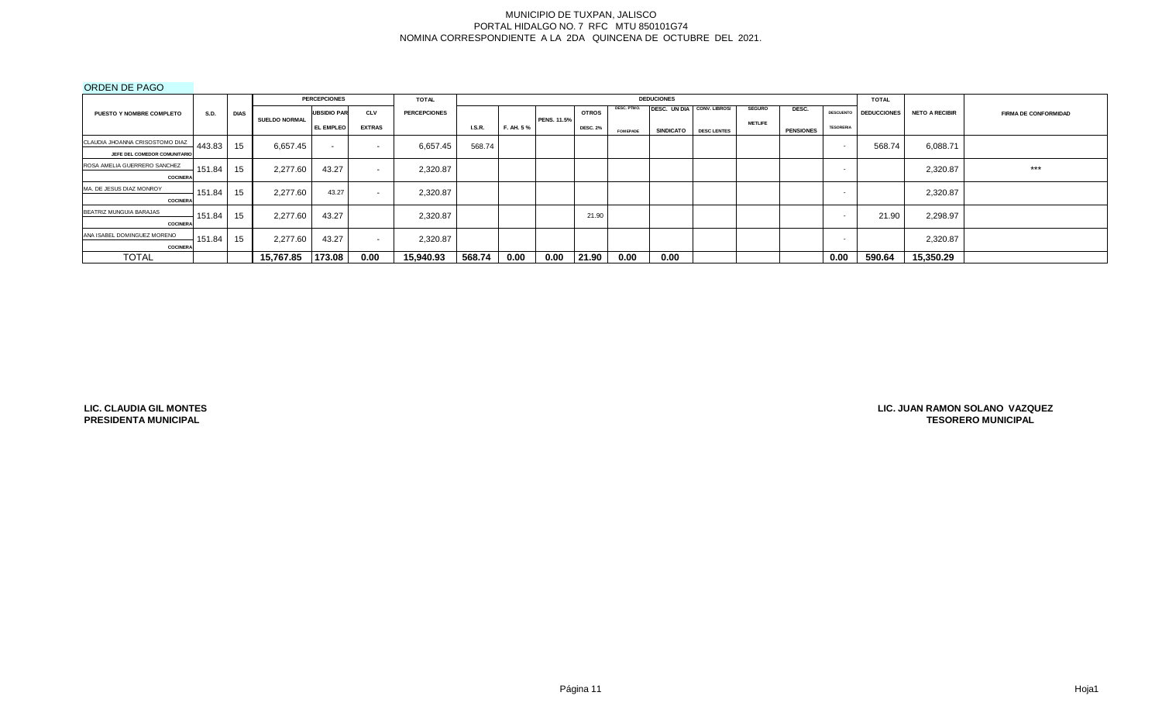# ORDEN DE PAGO

| --------------                  |             |             |                      |                     |               |                     |               |           |                    |                 |                  |                            |                    |                |                  |                          |                    |                       |                             |
|---------------------------------|-------------|-------------|----------------------|---------------------|---------------|---------------------|---------------|-----------|--------------------|-----------------|------------------|----------------------------|--------------------|----------------|------------------|--------------------------|--------------------|-----------------------|-----------------------------|
|                                 |             |             |                      | <b>PERCEPCIONES</b> |               | <b>TOTAL</b>        |               |           |                    |                 |                  | <b>DEDUCIONES</b>          |                    |                |                  |                          | <b>TOTAL</b>       |                       |                             |
| <b>PUESTO Y NOMBRE COMPLETO</b> | <b>S.D.</b> | <b>DIAS</b> | <b>SUELDO NORMAL</b> | <b>UBSIDIO PAR</b>  | <b>CLV</b>    | <b>PERCEPCIONES</b> |               |           | <b>PENS. 11.5%</b> | <b>OTROS</b>    | DESC. PTMO.      | DESC. UN DIA CONV. LIBROS/ |                    | <b>SEGURO</b>  | DESC.            | <b>DESCUENTO</b>         | <b>DEDUCCIONES</b> | <b>NETO A RECIBIR</b> | <b>FIRMA DE CONFORMIDAD</b> |
|                                 |             |             |                      | <b>EL EMPLEO</b>    | <b>EXTRAS</b> |                     | <b>I.S.R.</b> | F. AH. 5% |                    | <b>DESC. 2%</b> | <b>FOM EPADE</b> | SINDICATO                  | <b>DESC LENTES</b> | <b>METLIFE</b> | <b>PENSIONES</b> | <b>TESORERIA</b>         |                    |                       |                             |
| CLAUDIA JHOANNA CRISOSTOMO DIAZ | 443.83      | 15          | 6.657.45             | $\sim$              | $\sim$        | 6,657.45            | 568.74        |           |                    |                 |                  |                            |                    |                |                  |                          | 568.74             | 6,088.71              |                             |
| JEFE DEL COMEDOR COMUNITARIO    |             |             |                      |                     |               |                     |               |           |                    |                 |                  |                            |                    |                |                  |                          |                    |                       |                             |
| ROSA AMELIA GUERRERO SANCHEZ    | 151.84      | $\vert$ 15  | 2.277.60             | 43.27               | $\sim$        | 2,320.87            |               |           |                    |                 |                  |                            |                    |                |                  |                          |                    | 2,320.87              | $***$                       |
| <b>COCINERA</b>                 |             |             |                      |                     |               |                     |               |           |                    |                 |                  |                            |                    |                |                  |                          |                    |                       |                             |
| MA. DE JESUS DIAZ MONROY        | $151.84$ 15 |             | 2.277.60             | 43.27               | $\sim$        | 2,320.87            |               |           |                    |                 |                  |                            |                    |                |                  | $\overline{\phantom{0}}$ |                    | 2,320.87              |                             |
| <b>COCINERA</b>                 |             |             |                      |                     |               |                     |               |           |                    |                 |                  |                            |                    |                |                  |                          |                    |                       |                             |
| BEATRIZ MUNGUIA BARAJAS         | 151.84 15   |             | 2.277.60             | 43.27               |               | 2,320.87            |               |           |                    | 21.90           |                  |                            |                    |                |                  | $\sim$                   | 21.90              | 2,298.97              |                             |
| <b>COCINERA</b>                 |             |             |                      |                     |               |                     |               |           |                    |                 |                  |                            |                    |                |                  |                          |                    |                       |                             |
| ANA ISABEL DOMINGUEZ MORENO     | 151.84      | $\vert$ 15  | 2.277.60             | 43.27               | $\sim$        | 2,320.87            |               |           |                    |                 |                  |                            |                    |                |                  | $\sim$                   |                    | 2,320.87              |                             |
| <b>COCINERA</b>                 |             |             |                      |                     |               |                     |               |           |                    |                 |                  |                            |                    |                |                  |                          |                    |                       |                             |
| <b>TOTAL</b>                    |             |             | 15.767.85            | 173.08              | 0.00          | 15,940.93           | 568.74        | 0.00      | 0.00               | 21.90           | 0.00             | 0.00                       |                    |                |                  | 0.00                     | 590.64             | 15,350.29             |                             |

**LIC. CLAUDIA GIL MONTES PRESIDENTA MUNICIPAL**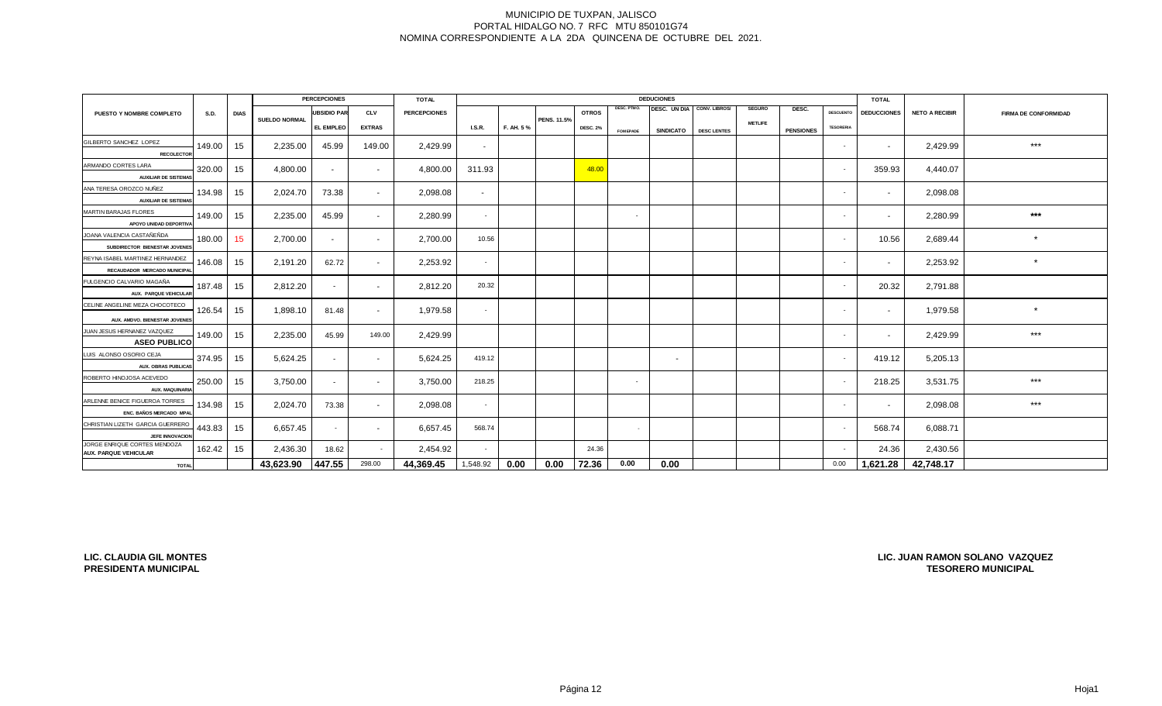|                                                                 |             |             |               | <b>PERCEPCIONES</b> |                          | <b>TOTAL</b>        |                          |           |                    |                 |                 | <b>DEDUCIONES</b> |                      |                |                  |                  | <b>TOTAL</b>       |                       |                             |
|-----------------------------------------------------------------|-------------|-------------|---------------|---------------------|--------------------------|---------------------|--------------------------|-----------|--------------------|-----------------|-----------------|-------------------|----------------------|----------------|------------------|------------------|--------------------|-----------------------|-----------------------------|
| PUESTO Y NOMBRE COMPLETO                                        | <b>S.D.</b> | <b>DIAS</b> |               | UBSIDIO PAR         | <b>CLV</b>               | <b>PERCEPCIONES</b> |                          |           |                    | <b>OTROS</b>    | DESC. PTMO.     | DESC. UN DIA      | <b>CONV. LIBROS/</b> | <b>SEGURO</b>  | DESC.            | <b>DESCUENTO</b> | <b>DEDUCCIONES</b> | <b>NETO A RECIBIR</b> | <b>FIRMA DE CONFORMIDAD</b> |
|                                                                 |             |             | SUELDO NORMAL | <b>EL EMPLEO</b>    | <b>EXTRAS</b>            |                     | <b>I.S.R.</b>            | F. AH. 5% | <b>PENS. 11.5%</b> | <b>DESC. 2%</b> | <b>FOMEPADE</b> | SINDICATO         | <b>DESC LENTES</b>   | <b>METLIFE</b> | <b>PENSIONES</b> | <b>TESORERIA</b> |                    |                       |                             |
| GILBERTO SANCHEZ LOPEZ                                          |             |             |               |                     |                          |                     |                          |           |                    |                 |                 |                   |                      |                |                  |                  |                    |                       | $***$                       |
| <b>RECOLECTOR</b>                                               | 149.00      | 15          | 2,235.00      | 45.99               | 149.00                   | 2,429.99            | $\sim$                   |           |                    |                 |                 |                   |                      |                |                  | $\sim$           | $\sim$             | 2,429.99              |                             |
| ARMANDO CORTES LARA                                             | 320.00      | 15          | 4,800.00      | $\sim$              | $\sim$                   | 4,800.00            | 311.93                   |           |                    | 48.00           |                 |                   |                      |                |                  |                  | 359.93             | 4,440.07              |                             |
| <b>AUXILIAR DE SISTEMAS</b>                                     |             |             |               |                     |                          |                     |                          |           |                    |                 |                 |                   |                      |                |                  |                  |                    |                       |                             |
| ANA TERESA OROZCO NUÑEZ                                         | 134.98      | 15          | 2,024.70      | 73.38               | $\overline{\phantom{a}}$ | 2,098.08            | $\sim$                   |           |                    |                 |                 |                   |                      |                |                  |                  | $\sim$             | 2,098.08              |                             |
| <b>AUXILIAR DE SISTEMAS</b>                                     |             |             |               |                     |                          |                     |                          |           |                    |                 |                 |                   |                      |                |                  |                  |                    |                       |                             |
| MARTIN BARAJAS FLORES                                           | 149.00      | 15          | 2,235.00      | 45.99               | $\sim$                   | 2,280.99            | $\sim$                   |           |                    |                 | $\sim$          |                   |                      |                |                  |                  | $\sim$             | 2,280.99              | $***$                       |
| APOYO UNIDAD DEPORTIVA                                          |             |             |               |                     |                          |                     |                          |           |                    |                 |                 |                   |                      |                |                  |                  |                    |                       |                             |
| JOANA VALENCIA CASTAÑEÑDA                                       | 180.00      | 15          | 2,700.00      | $\sim$              | $\overline{\phantom{a}}$ | 2,700.00            | 10.56                    |           |                    |                 |                 |                   |                      |                |                  |                  | 10.56              | 2,689.44              | $\star$                     |
| SUBDIRECTOR BIENESTAR JOVENES                                   |             |             |               |                     |                          |                     |                          |           |                    |                 |                 |                   |                      |                |                  |                  |                    |                       |                             |
| REYNA ISABEL MARTINEZ HERNANDEZ<br>RECAUDADOR MERCADO MUNICIPAL | 146.08      | 15          | 2,191.20      | 62.72               | $\sim$                   | 2,253.92            | $\sim$                   |           |                    |                 |                 |                   |                      |                |                  | $\sim$           | $\sim$             | 2,253.92              | $\star$                     |
| FULGENCIO CALVARIO MAGAÑA                                       |             |             |               |                     |                          |                     |                          |           |                    |                 |                 |                   |                      |                |                  |                  |                    |                       |                             |
| AUX. PARQUE VEHICULAR                                           | 187.48      | 15          | 2,812.20      | $\sim$              | $\sim$                   | 2,812.20            | 20.32                    |           |                    |                 |                 |                   |                      |                |                  |                  | 20.32              | 2,791.88              |                             |
| CELINE ANGELINE MEZA CHOCOTECO                                  |             |             |               |                     |                          |                     |                          |           |                    |                 |                 |                   |                      |                |                  |                  |                    |                       | $\star$                     |
| AUX. AMDVO. BIENESTAR JOVENES                                   | 126.54      | 15          | 1,898.10      | 81.48               | $\sim$                   | 1,979.58            | $\sim$                   |           |                    |                 |                 |                   |                      |                |                  |                  | $\sim$             | 1,979.58              |                             |
| JUAN JESUS HERNANEZ VAZQUEZ                                     |             |             | 2,235.00      |                     | 149.00                   |                     |                          |           |                    |                 |                 |                   |                      |                |                  |                  |                    |                       | $***$                       |
| <b>ASEO PUBLICO</b>                                             | 149.00      | 15          |               | 45.99               |                          | 2,429.99            |                          |           |                    |                 |                 |                   |                      |                |                  | $\sim$           |                    | 2,429.99              |                             |
| LUIS ALONSO OSORIO CEJA                                         | 374.95      | 15          | 5,624.25      | $\sim$              | $\overline{\phantom{a}}$ | 5,624.25            | 419.12                   |           |                    |                 |                 | $\sim$            |                      |                |                  |                  | 419.12             | 5,205.13              |                             |
| <b>AUX. OBRAS PUBLICAS</b>                                      |             |             |               |                     |                          |                     |                          |           |                    |                 |                 |                   |                      |                |                  |                  |                    |                       |                             |
| ROBERTO HINOJOSA ACEVEDO                                        | 250.00      | 15          | 3,750.00      | $\sim$              | $\sim$                   | 3,750.00            | 218.25                   |           |                    |                 | $\sim$          |                   |                      |                |                  |                  | 218.25             | 3,531.75              | $***$                       |
| AUX. MAQUINARIA                                                 |             |             |               |                     |                          |                     |                          |           |                    |                 |                 |                   |                      |                |                  |                  |                    |                       |                             |
| ARLENNE BENICE FIGUEROA TORRES                                  | 134.98      | 15          | 2,024.70      | 73.38               | $\sim$                   | 2,098.08            | $\sim$                   |           |                    |                 |                 |                   |                      |                |                  |                  | $\sim$             | 2,098.08              | $***$                       |
| ENC. BAÑOS MERCADO MPAL                                         |             |             |               |                     |                          |                     |                          |           |                    |                 |                 |                   |                      |                |                  |                  |                    |                       |                             |
| CHRISTIAN LIZETH GARCIA GUERRERO                                | 443.83      | 15          | 6,657.45      | $\sim$              | $\sim$                   | 6,657.45            | 568.74                   |           |                    |                 | $\sim$          |                   |                      |                |                  |                  | 568.74             | 6,088.71              |                             |
| JEFE INNOVACION<br>JORGE ENRIQUE CORTES MENDOZA                 |             |             |               |                     |                          |                     |                          |           |                    |                 |                 |                   |                      |                |                  |                  |                    |                       |                             |
| <b>AUX. PARQUE VEHICULAR</b>                                    | 162.42      | 15          | 2,436.30      | 18.62               | $\sim$                   | 2,454.92            | $\overline{\phantom{a}}$ |           |                    | 24.36           |                 |                   |                      |                |                  |                  | 24.36              | 2,430.56              |                             |
| <b>TOTAL</b>                                                    |             |             | 43,623.90     | 447.55              | 298.00                   | 44,369.45           | 1,548.92                 | 0.00      | 0.00               | 72.36           | 0.00            | 0.00              |                      |                |                  | 0.00             | 1,621.28           | 42,748.17             |                             |

**LIC. CLAUDIA GIL MONTES PRESIDENTA MUNICIPAL**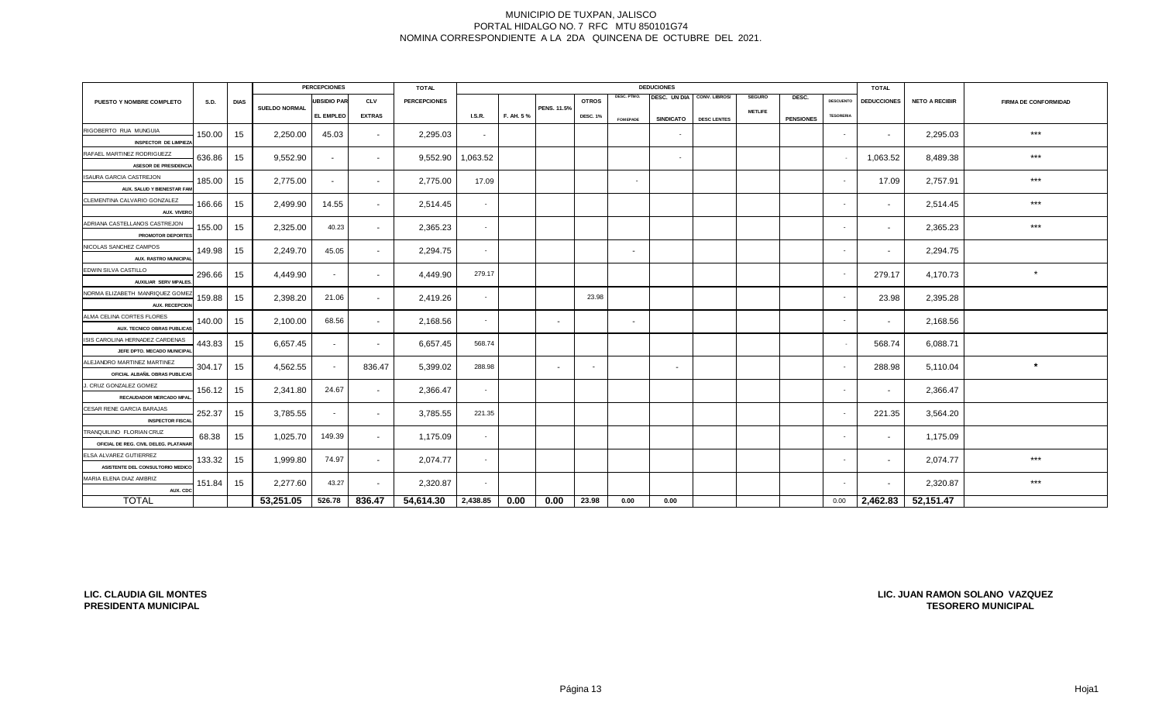|                                                                |             |             |                      | <b>PERCEPCIONES</b><br><b>DEDUCIONES</b><br><b>TOTAL</b> |                          |                     |               |           |                          |                 |                          |                  |                    |                | <b>TOTAL</b>     |                          |                          |                       |                             |
|----------------------------------------------------------------|-------------|-------------|----------------------|----------------------------------------------------------|--------------------------|---------------------|---------------|-----------|--------------------------|-----------------|--------------------------|------------------|--------------------|----------------|------------------|--------------------------|--------------------------|-----------------------|-----------------------------|
| PUESTO Y NOMBRE COMPLETO                                       | <b>S.D.</b> | <b>DIAS</b> |                      | UBSIDIO PAR                                              | <b>CLV</b>               | <b>PERCEPCIONES</b> |               |           |                          | <b>OTROS</b>    | DESC. PTMO.              | DESC. UN DIA     | CONV. LIBROS/      | <b>SEGURO</b>  | DESC.            | <b>DESCUENTO</b>         | <b>DEDUCCIONES</b>       | <b>NETO A RECIBIR</b> | <b>FIRMA DE CONFORMIDAD</b> |
|                                                                |             |             | <b>SUELDO NORMAL</b> | <b>EL EMPLEO</b>                                         | <b>EXTRAS</b>            |                     | <b>I.S.R.</b> | F. AH. 5% | <b>PENS. 11.5%</b>       | <b>DESC. 1%</b> | <b>FOMEPADE</b>          | <b>SINDICATO</b> | <b>DESC LENTES</b> | <b>METLIFE</b> | <b>PENSIONES</b> | <b>TESORERIA</b>         |                          |                       |                             |
| RIGOBERTO RUA MUNGUIA                                          |             | 15          | 2,250.00             |                                                          |                          |                     |               |           |                          |                 |                          | $\sim$           |                    |                |                  |                          |                          |                       | $***$                       |
| <b>INSPECTOR DE LIMPIEZA</b>                                   | 150.00      |             |                      | 45.03                                                    | $\sim$                   | 2,295.03            | $\sim$        |           |                          |                 |                          |                  |                    |                |                  |                          | $\overline{\phantom{a}}$ | 2,295.03              |                             |
| RAFAEL MARTINEZ RODRIGUEZZ                                     | 636.86      | 15          | 9,552.90             | $\sim$                                                   | $\sim$                   | 9,552.90            | 1,063.52      |           |                          |                 |                          | $\sim$           |                    |                |                  |                          | 1,063.52                 | 8,489.38              | $***$                       |
| <b>ASESOR DE PRESIDENCIA</b>                                   |             |             |                      |                                                          |                          |                     |               |           |                          |                 |                          |                  |                    |                |                  |                          |                          |                       |                             |
| <b>ISAURA GARCIA CASTREJON</b>                                 | 185.00      | 15          | 2,775.00             | $\sim$                                                   | $\sim$                   | 2,775.00            | 17.09         |           |                          |                 | $\overline{\phantom{a}}$ |                  |                    |                |                  |                          | 17.09                    | 2,757.91              | $***$                       |
| AUX. SALUD Y BIENESTAR FAN                                     |             |             |                      |                                                          |                          |                     |               |           |                          |                 |                          |                  |                    |                |                  |                          |                          |                       |                             |
| CLEMENTINA CALVARIO GONZALEZ<br>AUX. VIVERO                    | 166.66      | 15          | 2,499.90             | 14.55                                                    | $\sim$                   | 2,514.45            | $\sim$        |           |                          |                 |                          |                  |                    |                |                  |                          | $\sim$                   | 2,514.45              | $***$                       |
| ADRIANA CASTELLANOS CASTREJON                                  | 155.00      | 15          | 2,325.00             | 40.23                                                    | $\sim$                   | 2,365.23            | $\sim$        |           |                          |                 |                          |                  |                    |                |                  |                          | $\sim$                   | 2,365.23              | $***$                       |
| PROMOTOR DEPORTES                                              |             |             |                      |                                                          |                          |                     |               |           |                          |                 |                          |                  |                    |                |                  |                          |                          |                       |                             |
| NICOLAS SANCHEZ CAMPOS                                         | 149.98      | 15          | 2,249.70             | 45.05                                                    | $\overline{\phantom{a}}$ | 2,294.75            | $\sim$        |           |                          |                 | $\sim$                   |                  |                    |                |                  |                          | $\overline{\phantom{a}}$ | 2,294.75              |                             |
| <b>AUX. RASTRO MUNICIPAL</b>                                   |             |             |                      |                                                          |                          |                     |               |           |                          |                 |                          |                  |                    |                |                  |                          |                          |                       |                             |
| EDWIN SILVA CASTILLO                                           | 296.66      | 15          | 4,449.90             | $\sim$                                                   | $\overline{\phantom{a}}$ | 4,449.90            | 279.17        |           |                          |                 |                          |                  |                    |                |                  |                          | 279.17                   | 4,170.73              | $\star$                     |
| <b>AUXILIAR SERV MPALES</b>                                    |             |             |                      |                                                          |                          |                     |               |           |                          |                 |                          |                  |                    |                |                  |                          |                          |                       |                             |
| NORMA ELIZABETH MANRIQUEZ GOMEZ                                | 159.88      | 15          | 2,398.20             | 21.06                                                    | $\overline{\phantom{a}}$ | 2,419.26            | $\sim$        |           |                          | 23.98           |                          |                  |                    |                |                  |                          | 23.98                    | 2,395.28              |                             |
| <b>AUX. RECEPCION</b>                                          |             |             |                      |                                                          |                          |                     |               |           |                          |                 |                          |                  |                    |                |                  |                          |                          |                       |                             |
| ALMA CELINA CORTES FLORES                                      | 140.00      | 15          | 2,100.00             | 68.56                                                    | $\overline{\phantom{a}}$ | 2,168.56            | $\sim$        |           | $\sim$                   |                 | $\sim$                   |                  |                    |                |                  |                          | $\overline{\phantom{a}}$ | 2,168.56              |                             |
| AUX. TECNICO OBRAS PUBLICAS<br>ISIS CAROLINA HERNADEZ CARDENAS |             |             |                      |                                                          |                          |                     |               |           |                          |                 |                          |                  |                    |                |                  |                          |                          |                       |                             |
| JEFE DPTO. MECADO MUNICIPAL                                    | 443.83      | 15          | 6,657.45             | $\sim$                                                   | $\sim$                   | 6,657.45            | 568.74        |           |                          |                 |                          |                  |                    |                |                  |                          | 568.74                   | 6,088.71              |                             |
| ALEJANDRO MARTINEZ MARTINEZ                                    |             |             |                      |                                                          |                          |                     |               |           |                          |                 |                          |                  |                    |                |                  |                          |                          |                       | $\star$                     |
| OFICIAL ALBAÑIL OBRAS PUBLICAS                                 | 304.17      | 15          | 4,562.55             | $\sim$                                                   | 836.47                   | 5,399.02            | 288.98        |           | $\overline{\phantom{a}}$ | $\sim$          |                          | $\sim$           |                    |                |                  |                          | 288.98                   | 5,110.04              |                             |
| . CRUZ GONZALEZ GOMEZ                                          |             |             |                      |                                                          |                          |                     |               |           |                          |                 |                          |                  |                    |                |                  |                          |                          |                       |                             |
| RECAUDADOR MERCADO MPAL                                        | 156.12      | 15          | 2,341.80             | 24.67                                                    | $\sim$                   | 2,366.47            | $\sim$        |           |                          |                 |                          |                  |                    |                |                  | $\overline{\phantom{a}}$ | $\sim$                   | 2,366.47              |                             |
| CESAR RENE GARCIA BARAJAS                                      | 252.37      | 15          | 3,785.55             | $\sim$                                                   | $\sim$                   | 3,785.55            | 221.35        |           |                          |                 |                          |                  |                    |                |                  |                          | 221.35                   | 3,564.20              |                             |
| <b>INSPECTOR FISCAL</b>                                        |             |             |                      |                                                          |                          |                     |               |           |                          |                 |                          |                  |                    |                |                  |                          |                          |                       |                             |
| TRANQUILINO FLORIAN CRUZ                                       | 68.38       | 15          | 1,025.70             | 149.39                                                   | $\sim$                   | 1,175.09            | $\sim$        |           |                          |                 |                          |                  |                    |                |                  |                          | $\sim$                   | 1,175.09              |                             |
| OFICIAL DE REG. CIVIL DELEG. PLATANAP                          |             |             |                      |                                                          |                          |                     |               |           |                          |                 |                          |                  |                    |                |                  |                          |                          |                       |                             |
| ELSA ALVAREZ GUTIERREZ                                         | 133.32      | 15          | 1,999.80             | 74.97                                                    | $\overline{\phantom{a}}$ | 2,074.77            | $\sim$        |           |                          |                 |                          |                  |                    |                |                  |                          | $\sim$                   | 2,074.77              | $***$                       |
| ASISTENTE DEL CONSULTORIO MEDICO                               |             |             |                      |                                                          |                          |                     |               |           |                          |                 |                          |                  |                    |                |                  |                          |                          |                       |                             |
| MARIA ELENA DIAZ AMBRIZ                                        | 151.84      | 15          | 2,277.60             | 43.27                                                    | $\sim$                   | 2,320.87            | $\sim$        |           |                          |                 |                          |                  |                    |                |                  | $\sim$                   |                          | 2,320.87              | $\star\star\star$           |
| AUX. CDC                                                       |             |             |                      |                                                          |                          |                     |               |           |                          |                 |                          |                  |                    |                |                  |                          |                          |                       |                             |
| <b>TOTAL</b>                                                   |             |             | 53,251.05            | 526.78                                                   | 836.47                   | 54,614.30           | 2,438.85      | 0.00      | 0.00                     | 23.98           | 0.00                     | 0.00             |                    |                |                  | 0.00                     | 2,462.83                 | 52.151.47             |                             |

**LIC. CLAUDIA GIL MONTES PRESIDENTA MUNICIPAL**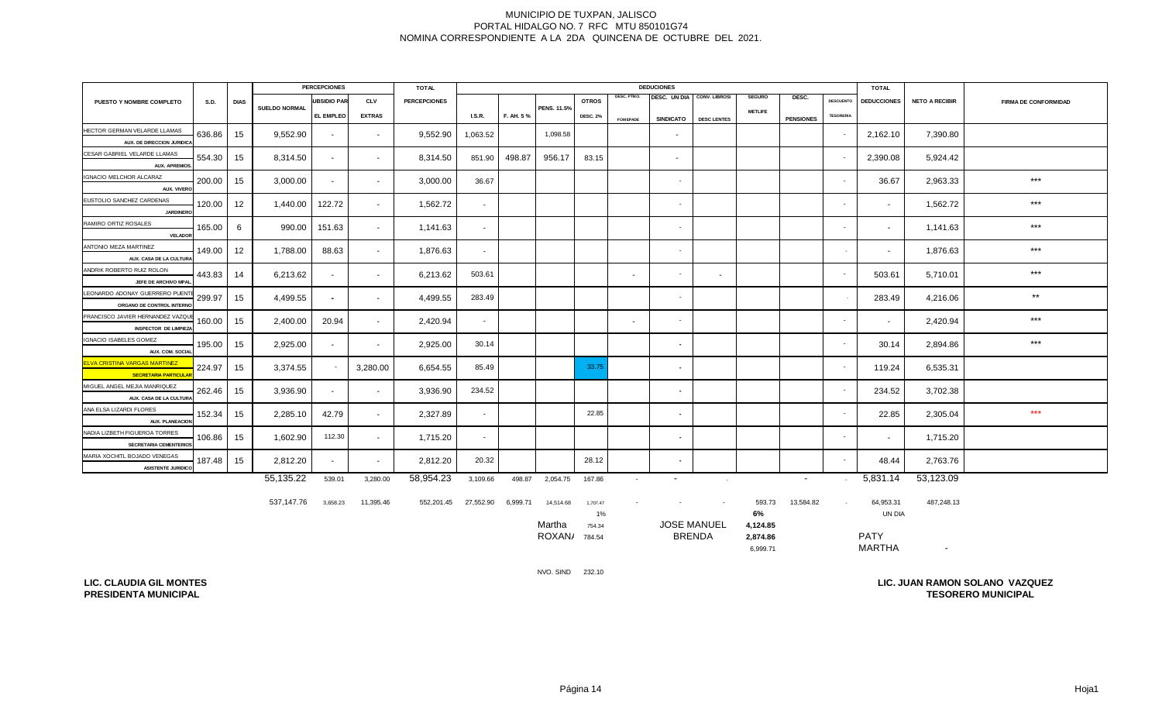|                                                                      |             |             |               | <b>PERCEPCIONES</b> |                          | <b>DEDUCIONES</b><br><b>TOTAL</b> |           |           |                  |                  |                  |                                     |                    | <b>TOTAL</b>                     |                  |                          |                       |                       |                             |
|----------------------------------------------------------------------|-------------|-------------|---------------|---------------------|--------------------------|-----------------------------------|-----------|-----------|------------------|------------------|------------------|-------------------------------------|--------------------|----------------------------------|------------------|--------------------------|-----------------------|-----------------------|-----------------------------|
| PUESTO Y NOMBRE COMPLETO                                             | <b>S.D.</b> | <b>DIAS</b> |               | UBSIDIO PAR         | <b>CLV</b>               | <b>PERCEPCIONES</b>               |           |           |                  | <b>OTROS</b>     | DESC. PTMO.      | DESC. UN DIA CONV. LIBROS/          |                    | <b>SEGURO</b>                    | DESC.            | <b>DESCUENTO</b>         | <b>DEDUCCIONES</b>    | <b>NETO A RECIBIR</b> | <b>FIRMA DE CONFORMIDAD</b> |
|                                                                      |             |             | SUELDO NORMAL | EL EMPLEO           | <b>EXTRAS</b>            |                                   | LS.R.     | F. AH. 5% | PENS. 11.5%      | <b>DESC. 2%</b>  | <b>FOM EPADE</b> | <b>SINDICATO</b>                    | <b>DESC LENTES</b> | <b>METLIFE</b>                   | <b>PENSIONES</b> | <b>TESORERIA</b>         |                       |                       |                             |
| HECTOR GERMAN VELARDE LLAMAS                                         |             |             |               |                     |                          |                                   |           |           |                  |                  |                  |                                     |                    |                                  |                  |                          |                       |                       |                             |
| AUX. DE DIRECCION JURIDICA                                           | 636.86      | 15          | 9,552.90      | $\sim$              | $\sim$                   | 9,552.90                          | 1,063.52  |           | 1,098.58         |                  |                  | $\sim$                              |                    |                                  |                  | $\sim$                   | 2,162.10              | 7,390.80              |                             |
| CESAR GABRIEL VELARDE LLAMAS                                         |             |             |               |                     |                          |                                   |           |           |                  |                  |                  |                                     |                    |                                  |                  |                          |                       |                       |                             |
| <b>AUX. APREMIOS</b>                                                 | 554.30      | 15          | 8.314.50      | $\sim$              | $\overline{\phantom{a}}$ | 8.314.50                          | 851.90    | 498.87    | 956.17           | 83.15            |                  | $\overline{\phantom{a}}$            |                    |                                  |                  | $\overline{\phantom{a}}$ | 2,390.08              | 5.924.42              |                             |
| IGNACIO MELCHOR ALCARAZ<br>AUX. VIVERO                               | 200.00      | 15          | 3,000.00      | $\sim$              | $\overline{\phantom{a}}$ | 3,000.00                          | 36.67     |           |                  |                  |                  | $\sim$                              |                    |                                  |                  | $\sim$                   | 36.67                 | 2,963.33              | $***$                       |
| EUSTOLIO SANCHEZ CARDENAS<br><b>JARDINERO</b>                        | 120.00      | 12          | 1,440.00      | 122.72              | $\overline{\phantom{a}}$ | 1,562.72                          | $\sim$    |           |                  |                  |                  | $\sim$                              |                    |                                  |                  | $\sim$                   | $\sim$                | 1,562.72              | $***$                       |
| RAMIRO ORTIZ ROSALES<br><b>VELADOR</b>                               | 165.00      | 6           | 990.00        | 151.63              | $\sim$                   | 1,141.63                          | $\sim$    |           |                  |                  |                  | $\sim$                              |                    |                                  |                  | $\sim$                   | $\sim$                | 1,141.63              | $***$                       |
| ANTONIO MEZA MARTINEZ<br>AUX. CASA DE LA CULTURA                     | 149.00      | 12          | 1,788.00      | 88.63               | $\overline{\phantom{a}}$ | 1.876.63                          | $\sim$    |           |                  |                  |                  | $\sim$                              |                    |                                  |                  | $\sim$                   | $\sim$                | 1,876.63              | $***$                       |
| ANDRIK ROBERTO RUIZ ROLON                                            | 443.83      | 14          | 6,213.62      | $\sim$              | $\overline{a}$           | 6,213.62                          | 503.61    |           |                  |                  | $\blacksquare$   | $\sim$                              | $\sim$             |                                  |                  | $\sim$                   | 503.61                | 5,710.01              | $***$                       |
| JEFE DE ARCHIVO MPAL                                                 |             |             |               |                     |                          |                                   |           |           |                  |                  |                  |                                     |                    |                                  |                  |                          |                       |                       |                             |
| LEONARDO ADONAY GUERRERO PUENTE<br>ORGANO DE CONTROL INTERNO         | 299.97      | 15          | 4,499.55      | $\sim$              | $\overline{\phantom{a}}$ | 4,499.55                          | 283.49    |           |                  |                  |                  | $\sim$                              |                    |                                  |                  |                          | 283.49                | 4,216.06              | $***$                       |
| FRANCISCO JAVIER HERNANDEZ VAZQUE<br>INSPECTOR DE LIMPIEZA           | 160.00      | 15          | 2,400.00      | 20.94               | $\sim$                   | 2,420.94                          | $\sim$    |           |                  |                  | $\sim$           | $\sim$                              |                    |                                  |                  | $\sim$                   | $\sim$                | 2,420.94              | $***$                       |
| <b>IGNACIO ISABELES GOMEZ</b>                                        | 195.00      | 15          | 2,925.00      | $\sim$              |                          | 2,925.00                          | 30.14     |           |                  |                  |                  | $\overline{\phantom{a}}$            |                    |                                  |                  | $\overline{\phantom{a}}$ | 30.14                 | 2,894.86              | $***$                       |
| AUX. COM. SOCIAL                                                     |             |             |               |                     |                          |                                   |           |           |                  |                  |                  |                                     |                    |                                  |                  |                          |                       |                       |                             |
| <b>ELVA CRISTINA VARGAS MARTINEZ</b><br><b>SECRETARIA PARTICULAI</b> | 224.97      | 15          | 3,374.55      | $\sim$              | 3,280.00                 | 6,654.55                          | 85.49     |           |                  | 33.75            |                  | $\sim$                              |                    |                                  |                  | $\sim$                   | 119.24                | 6,535.31              |                             |
| MIGUEL ANGEL MEJIA MANRIQUEZ<br>AUX. CASA DE LA CULTURA              | 262.46      | 15          | 3,936.90      | $\sim$              | $\overline{\phantom{a}}$ | 3,936.90                          | 234.52    |           |                  |                  |                  | $\sim$                              |                    |                                  |                  | $\sim$                   | 234.52                | 3,702.38              |                             |
| ANA ELSA LIZARDI FLORES                                              |             |             |               |                     |                          |                                   |           |           |                  | 22.85            |                  |                                     |                    |                                  |                  | $\sim$                   |                       |                       | $***$                       |
| <b>AUX. PLANEACION</b>                                               | 152.34      | 15          | 2,285.10      | 42.79               | $\overline{a}$           | 2,327.89                          | $\sim$    |           |                  |                  |                  | $\overline{\phantom{a}}$            |                    |                                  |                  |                          | 22.85                 | 2,305.04              |                             |
| NADIA LIZBETH FIGUEROA TORRES<br><b>SECRETARIA CEMENTERIOS</b>       | 106.86      | 15          | 1,602.90      | 112.30              | $\overline{\phantom{a}}$ | 1,715.20                          | $\sim$    |           |                  |                  |                  | $\overline{\phantom{a}}$            |                    |                                  |                  | $\sim$                   | $\sim$                | 1,715.20              |                             |
| MARIA XOCHITL BOJADO VENEGAS<br><b>ASISTENTE JURIDICO</b>            | 187.48      | 15          | 2,812.20      | $\sim$              | $\overline{\phantom{a}}$ | 2,812.20                          | 20.32     |           |                  | 28.12            |                  | $\overline{\phantom{a}}$            |                    |                                  |                  | $\sim$                   | 48.44                 | 2,763.76              |                             |
|                                                                      |             |             | 55,135.22     | 539.01              | 3,280.00                 | 58,954.23                         | 3,109.66  | 498.87    | 2,054.75         | 167.86           | $\sim$           | $\sim$                              | $\sim$             |                                  | $\sim$           |                          | 5,831.14              | 53,123.09             |                             |
|                                                                      |             |             | 537,147.76    | 3,658.23            | 11,395.46                | 552,201.45                        | 27,552.90 | 6,999.71  | 14,514.68        | 1,707.47<br>1%   | $\sim$           | $\sim$                              | $\sim$             | 593.73<br>6%                     | 13,584.82        | $\sim$                   | 64,953.31<br>UN DIA   | 487,248.13            |                             |
|                                                                      |             |             |               |                     |                          |                                   |           |           | Martha<br>ROXAN/ | 754.34<br>784.54 |                  | <b>JOSE MANUEL</b><br><b>BRENDA</b> |                    | 4,124.85<br>2,874.86<br>6,999.71 |                  |                          | <b>PATY</b><br>MARTHA | $\sim$                |                             |

NVO. SIND 232.10

**LIC. CLAUDIA GIL MONTES PRESIDENTA MUNICIPAL**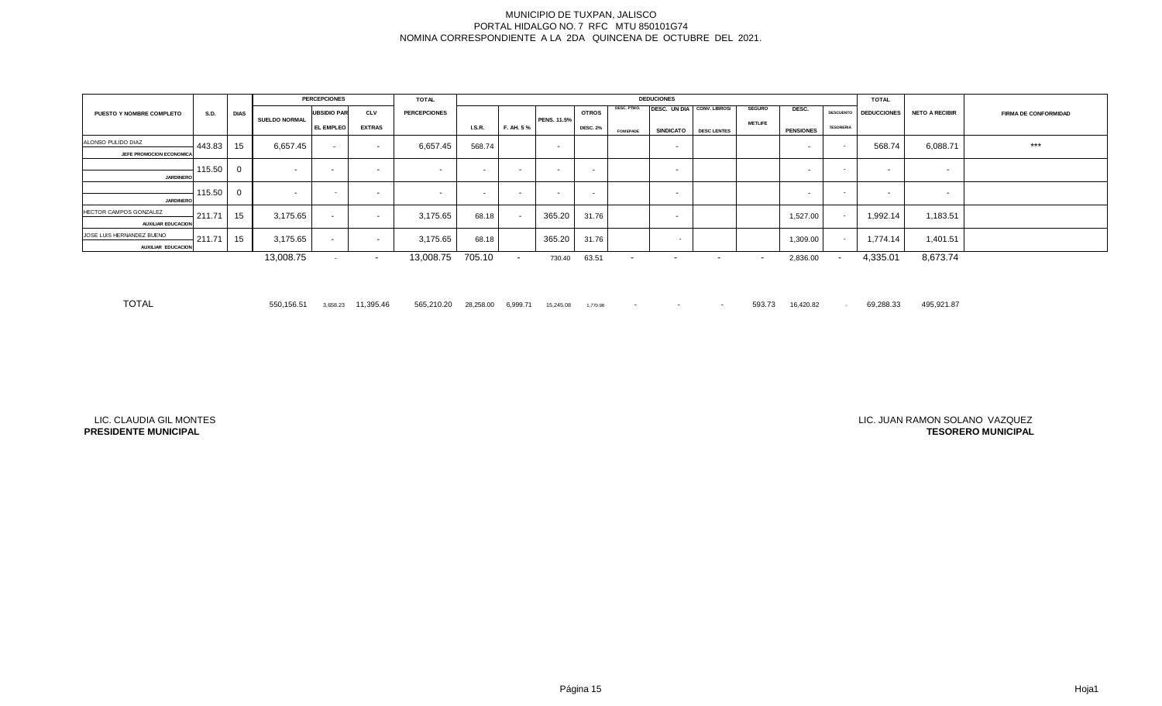|                                 | <b>TOTAL</b> |             |                          |                    |                          | <b>DEDUCIONES</b>        |                          | <b>TOTAL</b> |                          |                 |                  |                            |                    |                |                  |                          |                    |                          |                             |
|---------------------------------|--------------|-------------|--------------------------|--------------------|--------------------------|--------------------------|--------------------------|--------------|--------------------------|-----------------|------------------|----------------------------|--------------------|----------------|------------------|--------------------------|--------------------|--------------------------|-----------------------------|
| <b>PUESTO Y NOMBRE COMPLETO</b> | <b>S.D.</b>  | <b>DIAS</b> |                          | <b>UBSIDIO PAR</b> | <b>CLV</b>               | <b>PERCEPCIONES</b>      |                          |              |                          | <b>OTROS</b>    | DESC. PTMO.      | DESC. UN DIA CONV. LIBROS/ |                    | <b>SEGURO</b>  | DESC.            | <b>DESCUENTO</b>         | <b>DEDUCCIONES</b> | <b>NETO A RECIBIR</b>    | <b>FIRMA DE CONFORMIDAD</b> |
|                                 |              |             | <b>SUELDO NORMAL</b>     | EL EMPLEO          | <b>EXTRAS</b>            |                          | <b>I.S.R.</b>            | F. AH. 5%    | PENS. 11.5%              | <b>DESC. 2%</b> | <b>FOM EPADE</b> | <b>SINDICATO</b>           | <b>DESC LENTES</b> | <b>METLIFE</b> | <b>PENSIONES</b> | <b>TESORERIA</b>         |                    |                          |                             |
| ALONSO PULIDO DIAZ              | 443.83       | 15          | 6,657.45                 | $\sim$             | $\overline{\phantom{a}}$ | 6,657.45                 | 568.74                   |              | $\sim$                   |                 |                  | $\overline{\phantom{a}}$   |                    |                |                  | $\overline{\phantom{a}}$ | 568.74             | 6,088.71                 | ***                         |
| JEFE PROMOCION ECONOMICA        |              |             |                          |                    |                          |                          |                          |              |                          |                 |                  |                            |                    |                |                  |                          |                    |                          |                             |
|                                 | 115.50       | $\Omega$    | $\overline{\phantom{a}}$ |                    | $\overline{\phantom{a}}$ | $\sim$                   | $\overline{\phantom{0}}$ |              |                          | $\sim$          |                  | $\overline{\phantom{0}}$   |                    |                |                  | $\sim$                   |                    | $\overline{\phantom{a}}$ |                             |
| <b>JARDINERO</b>                |              |             |                          |                    |                          |                          |                          |              |                          |                 |                  |                            |                    |                |                  |                          |                    |                          |                             |
|                                 | $115.50$ 0   |             | $\overline{\phantom{0}}$ |                    | $\overline{\phantom{a}}$ | $\overline{\phantom{a}}$ |                          | $\sim$       | $\overline{\phantom{0}}$ | $\sim$          |                  | $\overline{\phantom{a}}$   |                    |                | $\sim$           | $\sim$                   |                    | $\overline{\phantom{a}}$ |                             |
| <b>JARDINERO</b>                |              |             |                          |                    |                          |                          |                          |              |                          |                 |                  |                            |                    |                |                  |                          |                    |                          |                             |
| HECTOR CAMPOS GONZALEZ          | 211.71       | 15          | 3,175.65                 | $\sim$             | $\overline{\phantom{a}}$ | 3,175.65                 | 68.18                    |              | 365.20                   | 31.76           |                  | $\overline{\phantom{0}}$   |                    |                | 1,527.00         |                          | 1,992.14           | 1,183.51                 |                             |
| <b>AUXILIAR EDUCACION</b>       |              |             |                          |                    |                          |                          |                          |              |                          |                 |                  |                            |                    |                |                  |                          |                    |                          |                             |
| JOSE LUIS HERNANDEZ BUENO       | 211.71       | 15          | 3,175.65                 | $\sim$             | $\overline{\phantom{a}}$ | 3,175.65                 | 68.18                    |              | 365.20                   | 31.76           |                  | $\sim$                     |                    |                | 1,309.00         |                          | 1,774.14           | 1,401.51                 |                             |
| <b>AUXILIAR EDUCACION</b>       |              |             |                          |                    |                          |                          |                          |              |                          |                 |                  |                            |                    |                |                  |                          |                    |                          |                             |
|                                 |              |             | 13,008.75                |                    |                          | 13,008.75 705.10         |                          | $\sim$       | 730.40                   | 63.51           | -                | . .                        | -                  | $\sim$         | 2,836.00         | $\sim$                   | 4,335.01           | 8,673.74                 |                             |

TOTAL

550,156.51 3,658.23 11,395.46 565,210.20 28,258.00 6,999.71 15,245.08 1,770.98 - - - 593.73 16,420.82 - 69,288.33 495,921.87

**PRESIDENTE MUNICIPAL** LIC. CLAUDIA GIL MONTES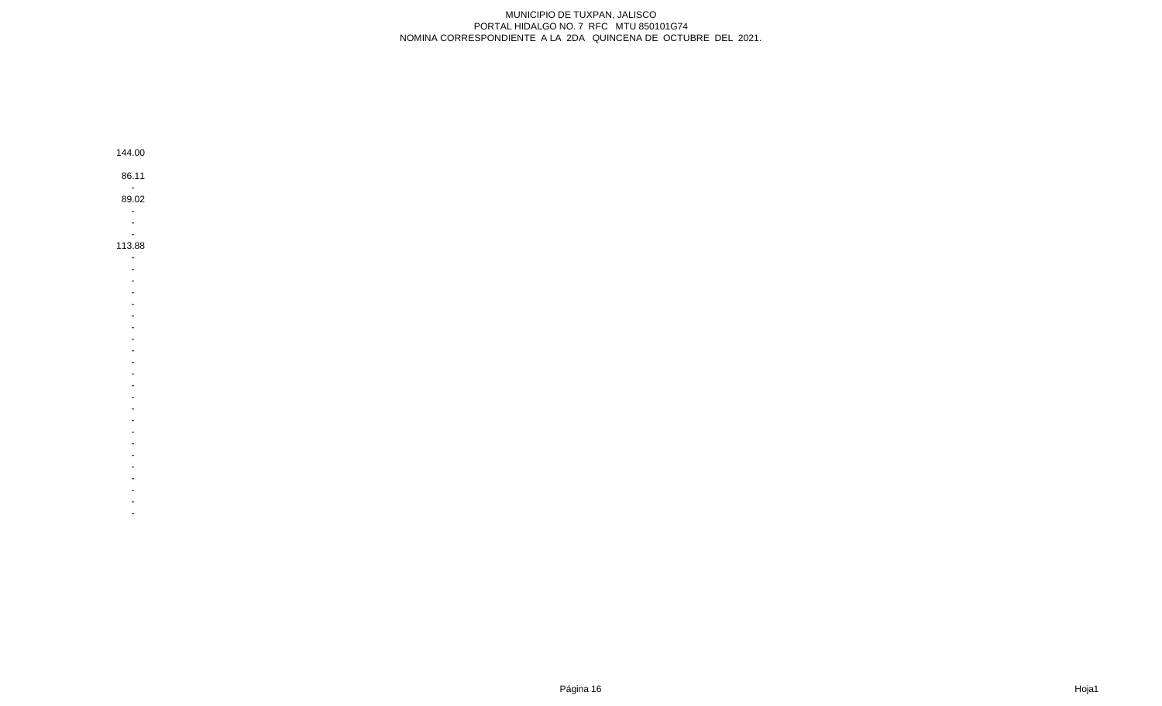144.00 86.11 - 89.02 - - - 113.88 -

- 1990 - 1991<br>1991 - 1992 - 1992 - 1990 - 1991<br>1991 - 1992 - 1992 - 100 pm - 100 pm - 1990 - 1990 -- 1990 - 1991<br>1991 - 1992 - 1992 - 1990 - 1991<br>1991 - 1992 - 1992 - 1990 - 1991<br>1991 - 1992 - 1992 - 1990 - 1991<br>1991 - 1992 - 1992 - 1990 - 1991<br>1991 - 1992 - 1992 - 100 pm - 100 pm - 100 pm - 1990 - 1990 -- 1990 - 1991<br>1991 - 1992 - 1992 - 1990 - 1991<br>1991 - 1992 - 1992 - 1990 - 1991<br>1991 - 1992 - 1992 - 1990 - 1990<br>1990 - 1990 - 1990 - 1990 - 1990 - 1990 - 1990 - 1990 - 1990 - 1990 - 1990 - 1990 - 1990 - 1990 - 1990 - 1990 - 1990 - 1990<br>1990 - 1990 - 1990 - 1990 - 1990 - 1990 - 1990 - 1990 - 1990 - 1990 - 1990 - 1990 - 1990 - 1990 - 1990 - 1990 - 1990 - 1990<br>1990 - 1990 - 1990 - 1990 - 1990 - 1990 - 1990 - 1990 - 1990 - 1990 - 1990 - 1990 - 1990 - 1990 - 1990 - 1990 - 1990 - 1990 - 1991<br>1991 - 1992 - 1992 - 1992 - 1992 - 1992 - 1992 - 1992 - 1992 - 1992 - 1992 - 1992 - 1992 - 1992 - 1992 - 1992<br>1992 - 1992 - 1992 - 1992 - 1992 - 1992 - 1992 - 1992 - 1992 - 1992 - 1992 - 1992 - 1992 - - 1990 - 1990 - 1991<br>1991 - 1992 - 1992 - 1992 - 1992 - 1992 - 1992 - 1992 - 1992 - 1992 - 1992 - 1992 - 1992 - 1992 - 1992 - 1992<br>1992 - 1992 - 1992 - 1992 - 1992 - 1992 - 1992 - 1992 - 1992 - 1992 - 1992 - 1992 - 1992 -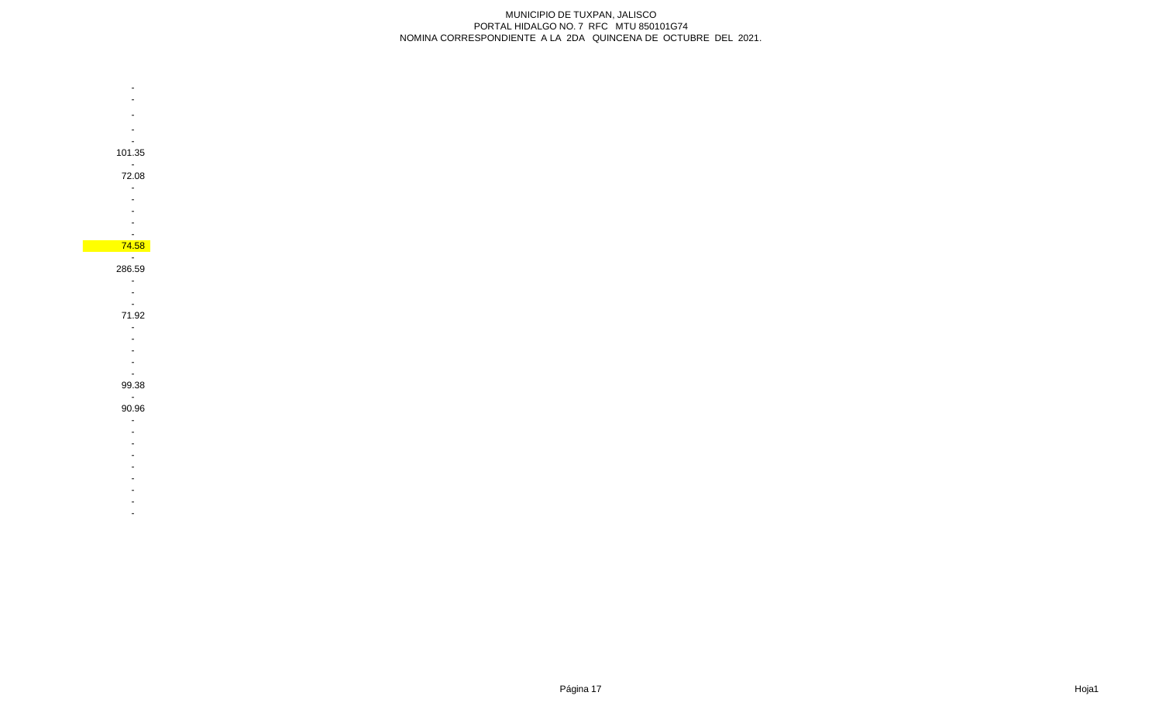- -
- - 1990 - 1990 - 1991<br>1991 - 1992 - 1992 - 1992 - 1992 - 1992 - 1992 - 1992 - 1992 - 1992 - 1992 - 1992 - 1992 - 1992 - 1992 - 1992<br>1992 - 1992 - 1992 - 1992 - 1992 - 1992 - 1992 - 1992 - 1992 - 1992 - 1992 - 1992 - 1992 -
	-
	- -
	- 101.35
	- -
	- 72.08 -
- 1990 1990 1991<br>1991 1992 1992 1992 1992 1992 1992 1992 1992 1992 1992 1992 1992 1992 1992 1992<br>1992 1992 1992 1992 1992 1992 1992 1992 1992 1992 1992 1992 1992
	- -
	- -
	-
	- 74.58
	- -
	- 286.59

- -
- -
- 
- 71.92 -
- -
- -
- -
- -

# 99.38

# -

- 90.96
- -
- 1990 1990<br>1990 1990 1990 1990 1990 1990 1990 1990 1990 1990 1990 1990 1990 1990 1990 1990
- 1990 1990<br>1990 1990 1990 1990 1990 1990 1990 1990 1990 1990 1990 1990 1990 1990 1990 1990
- 1990 1990<br>1990 1990 1990 1990 1990 1990 1990 1990 1990 1990 1990 1990 1990 1990 1990 1990
- 1990 1990<br>1990 1990 1990 1990 1990 1990 1990 1990 1990 1990 1990 1990 1990 1990 1990 1990
- 1990 1990<br>1990 1990 1990 1990 1990 1990 1990 1990 1990 1990 1990 1990 1990 1990 1990 1990
- 1990 1990<br>1990 1990 1990 1990 1990 1990 1990 1990 1990 1990 1990 1990 1990 1990 1990 1990
- 1990 1990 1991<br>1991 1992 1992 1992 1992 1992 1992 1992 1992 1992 1992 1992 1992 1992 1992 1992<br>1992 1992 1992 1992 1992 1992 1992 1992 1992 1992 1992 1992 1992 -
- 1990 1990 1991<br>1991 1992 1992 1992 1992 1992 1992 1992 1992 1992 1992 1992 1992 1992 1992 1992<br>1992 1992 1992 1992 1992 1992 1992 1992 1992 1992 1992 1992 1992 -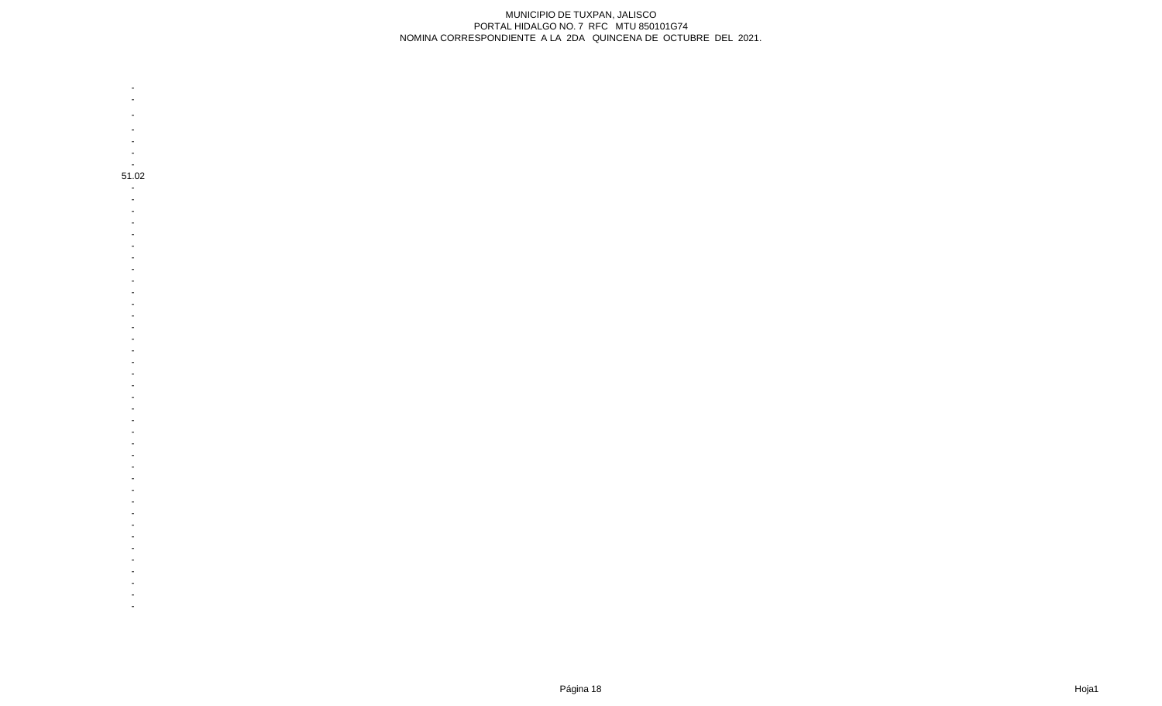## - 1990 - 1990<br>1990 - 1990 - 1990 - 1990 - 1990 - 1990 - 1990 - 1990 - 1990 - 1990 - 1990 - 1990 - 1990 - 1990 - 1990 - 1990 - 1990 - 1990 - 1991<br>1991 - 1992 - 1992 - 1992 - 1992 - 1992 - 1992 - 1992 - 1992 - 1992 - 1992 - 1992 - 1992 - 1992 - 1992 - 1992<br>1992 - 1992 - 1992 - 1992 - 1992 - 1992 - 1992 - 1992 - 1992 - 1992 - 1992 - 1992 - 1992 - - 1990 - 1990<br>1990 - 1990 - 1990 - 1990 - 1990 - 1990 - 1990 - 1990 - 1990 - 1990 - 1990 - 1990 - 1990 - 1990 - 1990 - 1990 - 1990 - 1990<br>1990 - 1990 - 1990 - 1990 - 1990 - 1990 - 1990 - 1990 - 1990 - 1990 - 1990 - 1990 - 1990 - 1990 - 1990 - 1990 - - 51.02 - - 1990 - 1990 - 1991<br>1991 - 1992 - 1992 - 1992 - 1992 - 1992 - 1992 - 1992 - 1992 - 1992 - 1992 - 1992 - 1992 - 1992 - 1992 - 1992<br>1992 - 1992 - 1992 - 1992 - 1992 - 1992 - 1992 - 1992 - 1992 - 1992 - 1992 - 1992 - 1992 - - 1990 - 1990 -- 1990 - 1991<br>1991 - 1992 - 1992 - 1990 - 1991<br>1991 - 1992 - 1992 - 1990 - 1991<br>1991 - 1992 - 1992 - 1990 - 1991<br>1991 - 1992 - 1992 - 1990 - 1991<br>1991 - 1992 - 1992 - 1990 - 1991<br>1991 - 1992 - 1992 - 100 pm - 100 pm - 1990 - 1990 -- 1990 - 1991<br>1991 - 1992 - 1992 - 1990 - 1991<br>1991 - 1992 - 1992 - 1990 - 1991<br>1991 - 1992 - 1992 - 1990 - 1991<br>1991 - 1992 - 1992 - 1990 - 1991<br>1991 - 1992 - 1992 - 100 pm - 100 pm - 1990 - 1990 - 1991<br>1991 - 1992 - 1992 - 1992 - 1992 - 1992 - 1992 - 1992 - 1992 - 1992 - 1992 - 1992 - 1992 - 1992 - 1992 - 1992<br>1992 - 1992 - 1992 - 1992 - 1992 - 1992 - 1992 - 1992 - 1992 - 1992 - 1992 - 1992 - 1992 - - 1990 - 1990 -- 1990 - 1990<br>1990 - 1990 - 1990 - 1990 - 1990 - 1990 - 1990 - 1990 - 1990 - 1990 - 1990 - 1990 - 1990 - 1990 - 1990 - 1990 - 1990 - 1990<br>1990 - 1990 - 1990 - 1990 - 1990 - 1990 - 1990 - 1990 - 1990 - 1990 - 1990 - 1990 - 1990 - 1990 - 1990 - 1990 - 1990 - 1990<br>1990 - 1990 - 1990 - 1990 - 1990 - 1990 - 1990 - 1990 - 1990 - 1990 - 1990 - 1990 - 1990 - 1990 - 1990 - 1990 - 1990 - 1990<br>1990 - 1990 - 1990 - 1990 - 1990 - 1990 - 1990 - 1990 - 1990 - 1990 - 1990 - 1990 - 1990 - 1990 - 1990 - 1990 - 1990 - 1990<br>1990 - 1990 - 1990 - 1990 - 1990 - 1990 - 1990 - 1990 - 1990 - 1990 - 1990 - 1990 - 1990 - 1990 - 1990 - 1990 - 1990 - 1990<br>1990 - 1990 - 1990 - 1990 - 1990 - 1990 - 1990 - 1990 - 1990 - 1990 - 1990 - 1990 - 1990 - 1990 - 1990 - 1990 - 1990 - 1990 - 1991<br>1991 - 1992 - 1992 - 1992 - 1992 - 1992 - 1992 - 1992 - 1992 - 1992 - 1992 - 1992 - 1992 - 1992 - 1992 - 1992<br>1992 - 1992 - 1992 - 1992 - 1992 - 1992 - 1992 - 1992 - 1992 - 1992 - 1992 - 1992 - 1992 - - 1990 - 1990 - 1991<br>1991 - 1992 - 1992 - 1992 - 1992 - 1992 - 1992 - 1992 - 1992 - 1992 - 1992 - 1992 - 1992 - 1992 - 1992 - 1992<br>1992 - 1992 - 1992 - 1992 - 1992 - 1992 - 1992 - 1992 - 1992 - 1992 - 1992 - 1992 - 1992 - - 1990 - 1990 -- 1990 - 1990<br>1990 - 1990 - 1990 - 1990 - 1990 - 1990 - 1990 - 1990 - 1990 - 1990 - 1990 - 1990 - 1990 - 1990 - 1990 - 1990 - 1990 - 1990<br>1990 - 1990 - 1990 - 1990 - 1990 - 1990 - 1990 - 1990 - 1990 - 1990 - 1990 - 1990 - 1990 - 1990 - 1990 - 1990 - 1990 - 1990<br>1990 - 1990 - 1990 - 1990 - 1990 - 1990 - 1990 - 1990 - 1990 - 1990 - 1990 - 1990 - 1990 - 1990 - 1990 - 1990 - 1990 - 1990<br>1990 - 1990 - 1990 - 1990 - 1990 - 1990 - 1990 - 1990 - 1990 - 1990 - 1990 - 1990 - 1990 - 1990 - 1990 - 1990

- 1990 - 1990<br>1990 - 1990 - 1990 - 1990 - 1990 - 1990 - 1990 - 1990 - 1990 - 1990 - 1990 - 1990 - 1990 - 1990 - 1990 - 1990 - 1990 - 1990 - 1991<br>1991 - 1992 - 1992 - 1992 - 1992 - 1992 - 1992 - 1992 - 1992 - 1992 - 1992 - 1992 - 1992 - 1992 - 1992 - 1992<br>1992 - 1992 - 1992 - 1992 - 1992 - 1992 - 1992 - 1992 - 1992 - 1992 - 1992 - 1992 - 1992 -

-

- 1990 - 1990<br>1990 - 1990 - 1990 - 1990 - 1990 - 1990 - 1990 - 1990 - 1990 - 1990 - 1990 - 1990 - 1990 - 1990 - 1990 - 1990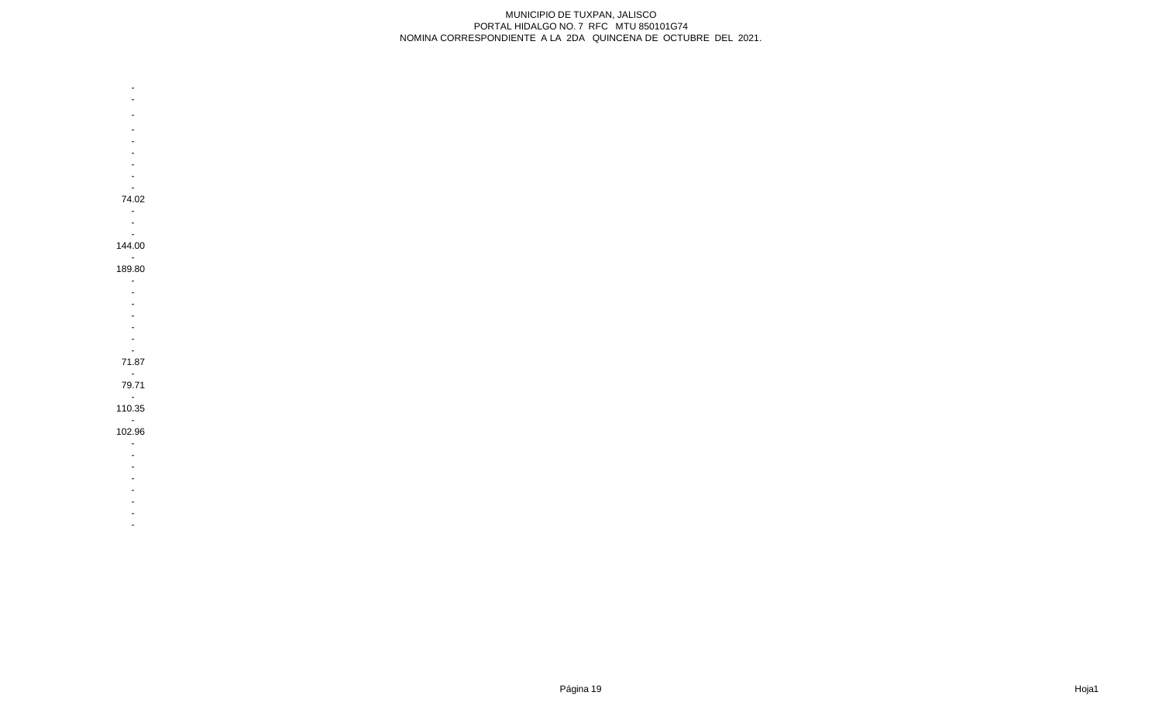# 74.02 144.00 189.80

- 
- 
- 
- 
- 1990 1990<br>1990 1990 1990 1990 1990 1990 1990 1990 1990 1990 1990 1990 1990 1990 1990 1990 - 1990 - 1990 - 1991<br>1991 - 1992 - 1992 - 1992 - 1992 - 1992 - 1992 - 1992 - 1992 - 1992 - 1992 - 1992 - 1992 - 1992 - 1992 - 1992<br>1992 - 1992 - 1992 - 1992 - 1992 - 1992 - 1992 - 1992 - 1992 - 1992 - 1992 - 1992 - 1992 -
	- -

-

 - -

 - - -

-

 - -

 - - 71.87 - 79.71 - 110.35 - 102.96 - -

- 1990 - 1990 - 1991<br>1991 - 1992 - 1992 - 1992 - 1992 - 1992 - 1992 - 1992 - 1992 - 1992 - 1992 - 1992 - 1992 - 1992 - 1992 - 1992<br>1992 - 1992 - 1992 - 1992 - 1992 - 1992 - 1992 - 1992 - 1992 - 1992 - 1992 - 1992 - 1992 - - 1990 - 1990 -- 1990 - 1991<br>1991 - 1992 - 1992

- 1990 - 1991<br>1991 - 1992 - 1992 - 1990 - 1991<br>1991 - 1992 - 1992

- 1990 - 1991<br>1991 - 1992 - 1992 - 100 pm - 1990 - 1991<br>1991 - 1992 - 1992 - 1990 - 1991<br>1991 - 1992 - 1992 - 1990 - 1991<br>1991 - 1992 - 1992 - 1990 - 1991<br>1991 - 1992 - 1992

-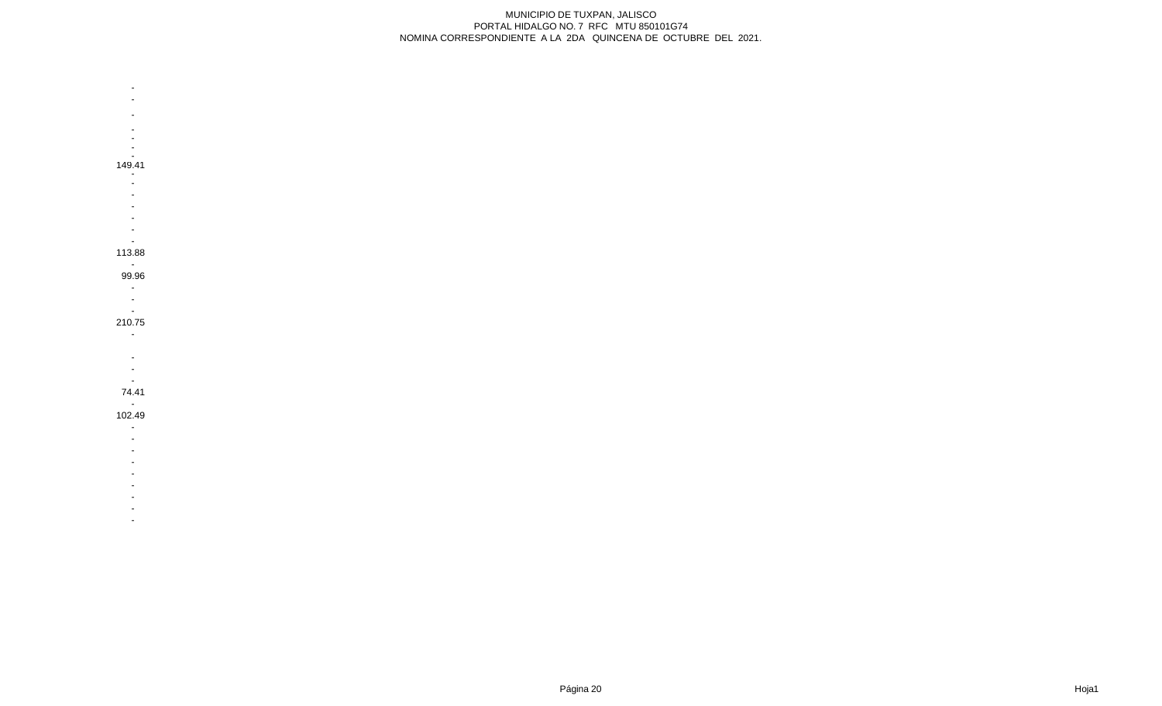- -
- 100 pm
- 1990 1991<br>1991 1992 1992
	- -
- - 149.41
- 100 pm
	- -
- 1990 1991<br>1991 1992 1992
- 1990 1991<br>1991 1992 1992
- 1990 1990<br>1990 1990 1990 1990 1990 1990 1990 1990 1990 1990 1990 1990 1990 1990 1990 1990
	- -
	- -
	- 113.88
		- -
	- 99.96
	- -
	- -
	- -
	- 210.75

- 1990 - 1990<br>1990 - 1990 - 1990 - 1990 - 1990 - 1990 - 1990 - 1990 - 1990 - 1990 - 1990 - 1990 - 1990 - 1990 - 1990 - 1990

- -
- 
- -
- -
- -
- 74.41

#### - 102.49

- -
- -
- 1990 1990 1991<br>1991 1992 1992 1992 1992 1992 1992 1992 1992 1992 1992 1992 1992 1992 1992 1992<br>1992 1992 1992 1992 1992 1992 1992 1992 1992 1992 1992 1992 1992 -
- 1990 1990 -
- 1990 1990 -
- 1990 1990<br>1990 1990 1990 1990 1990 1990 1990 1990 1990 1990 1990 1990 1990 1990 1990 1990
- 1990 1990<br>1990 1990 1990 1990 1990 1990 1990 1990 1990 1990 1990 1990 1990 1990 1990 1990
- 1990 1990<br>1990 1990 1990 1990 1990 1990 1990 1990 1990 1990 1990 1990 1990 1990 1990 1990
- 1990 1990<br>1990 1990 1990 1990 1990 1990 1990 1990 1990 1990 1990 1990 1990 1990 1990 1990
	-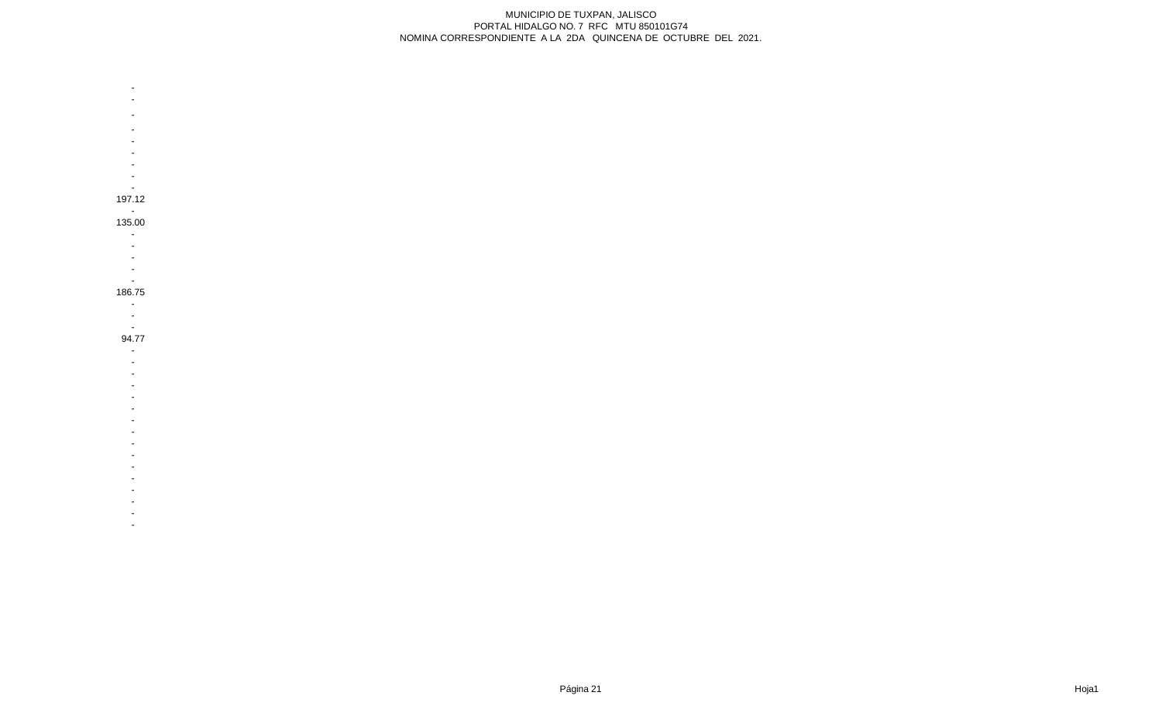- 1990 - 1990<br>1990 - 1990 - 1990 - 1990 - 1990 - 1990 - 1990 - 1990 - 1990 - 1990 - 1990 - 1990 - 1990 - 1990 - 1990 - 1990 - 1990 - 1990 - 1991<br>1991 - 1992 - 1992 - 1992 - 1992 - 1992 - 1992 - 1992 - 1992 - 1992 - 1992 - 1992 - 1992 - 1992 - 1992 - 1992<br>1992 - 1992 - 1992 - 1992 - 1992 - 1992 - 1992 - 1992 - 1992 - 1992 - 1992 - 1992 - 1992 - - 1990 - 1990<br>1990 - 1990 - 1990 - 1990 - 1990 - 1990 - 1990 - 1990 - 1990 - 1990 - 1990 - 1990 - 1990 - 1990 - 1990 - 1990 - 1990 - 1990<br>1990 - 1990 - 1990 - 1990 - 1990 - 1990 - 1990 - 1990 - 1990 - 1990 - 1990 - 1990 - 1990 - 1990 - 1990 - 1990 - 1990 - 1990<br>1990 - 1990 - 1990 - 1990 - 1990 - 1990 - 1990 - 1990 - 1990 - 1990 - 1990 - 1990 - 1990 - 1990 - 1990 - 1990 - 1990 - 1990<br>1990 - 1990 - 1990 - 1990 - 1990 - 1990 - 1990 - 1990 - 1990 - 1990 - 1990 - 1990 - 1990 - 1990 - 1990 - 1990 - - 197.12 - 135.00 - - 1990 - 1990<br>1990 - 1990 - 1990 - 1990 - 1990 - 1990 - 1990 - 1990 - 1990 - 1990 - 1990 - 1990 - 1990 - 1990 - 1990 - 1990 - - - 186.75 - - - 94.77 - 1990 - 1990<br>1990 - 1990 - 1990 - 1990 - 1990 - 1990 - 1990 - 1990 - 1990 - 1990 - 1990 - 1990 - 1990 - 1990 - 1990 - 1990 - - 1990 - 1990<br>1990 - 1990 - 1990 - 1990 - 1990 - 1990 - 1990 - 1990 - 1990 - 1990 - 1990 - 1990 - 1990 - 1990 - 1990 - 1990 - 1990 - 1990 - 1991<br>1991 - 1992 - 1992 - 1992 - 1992 - 1992 - 1992 - 1992 - 1992 - 1992 - 1992 - 1992 - 1992 - 1992 - 1992 - 1992<br>1992 - 1992 - 1992 - 1992 - 1992 - 1992 - 1992 - 1992 - 1992 - 1992 - 1992 - 1992 - 1992 - - 1990 - 1990 - 1991<br>1991 - 1992 - 1992 - 1992 - 1992 - 1992 - 1992 - 1992 - 1992 - 1992 - 1992 - 1992 - 1992 - 1992 - 1992 - 1992<br>1992 - 1992 - 1992 - 1992 - 1992 - 1992 - 1992 - 1992 - 1992 - 1992 - 1992 - 1992 - 1992 - - 1990 - 1990 - 1991<br>1991 - 1992 - 1992 - 1992 - 1992 - 1992 - 1992 - 1992 - 1992 - 1992 - 1992 - 1992 - 1992 - 1992 - 1992 - 1992<br>1992 - 1992 - 1992 - 1992 - 1992 - 1992 - 1992 - 1992 - 1992 - 1992 - 1992 - 1992 - 1992 - - 1990 - 1990 -- 1990 - 1990<br>1990 - 1990 - 1990 - 1990 - 1990 - 1990 - 1990 - 1990 - 1990 - 1990 - 1990 - 1990 - 1990 - 1990 - 1990 - 1990 - 1990 - 1990<br>1990 - 1990 - 1990 - 1990 - 1990 - 1990 - 1990 - 1990 - 1990 - 1990 - 1990 - 1990 - 1990 - 1990 - 1990 - 1990 - 1990 - 1990<br>1990 - 1990 - 1990 - 1990 - 1990 - 1990 - 1990 - 1990 - 1990 - 1990 - 1990 - 1990 - 1990 - 1990 - 1990 - 1990 - 1990 - 1990<br>1990 - 1990 - 1990 - 1990 - 1990 - 1990 - 1990 - 1990 - 1990 - 1990 - 1990 - 1990 - 1990 - 1990 - 1990 - 1990 - 1990 - 1990<br>1990 - 1990 - 1990 - 1990 - 1990 - 1990 - 1990 - 1990 - 1990 - 1990 - 1990 - 1990 - 1990 - 1990 - 1990 - 1990 - 1990 - 1990<br>1990 - 1990 - 1990 - 1990 - 1990 - 1990 - 1990 - 1990 - 1990 - 1990 - 1990 - 1990 - 1990 - 1990 - 1990 - 1990 - 1990 - 1990 - 1991<br>1991 - 1992 - 1992 - 1992 - 1992 - 1992 - 1992 - 1992 - 1992 - 1992 - 1992 - 1992 - 1992 - 1992 - 1992 - 1992<br>1992 - 1992 - 1992 - 1992 - 1992 - 1992 - 1992 - 1992 - 1992 - 1992 - 1992 - 1992 - 1992 - - 1990 - 1990 - 1991<br>1991 - 1992 - 1992 - 1992 - 1992 - 1992 - 1992 - 1992 - 1992 - 1992 - 1992 - 1992 - 1992 - 1992 - 1992 - 1992<br>1992 - 1992 - 1992 - 1992 - 1992 - 1992 - 1992 - 1992 - 1992 - 1992 - 1992 - 1992 - 1992 - - 1990 - 1990 -

-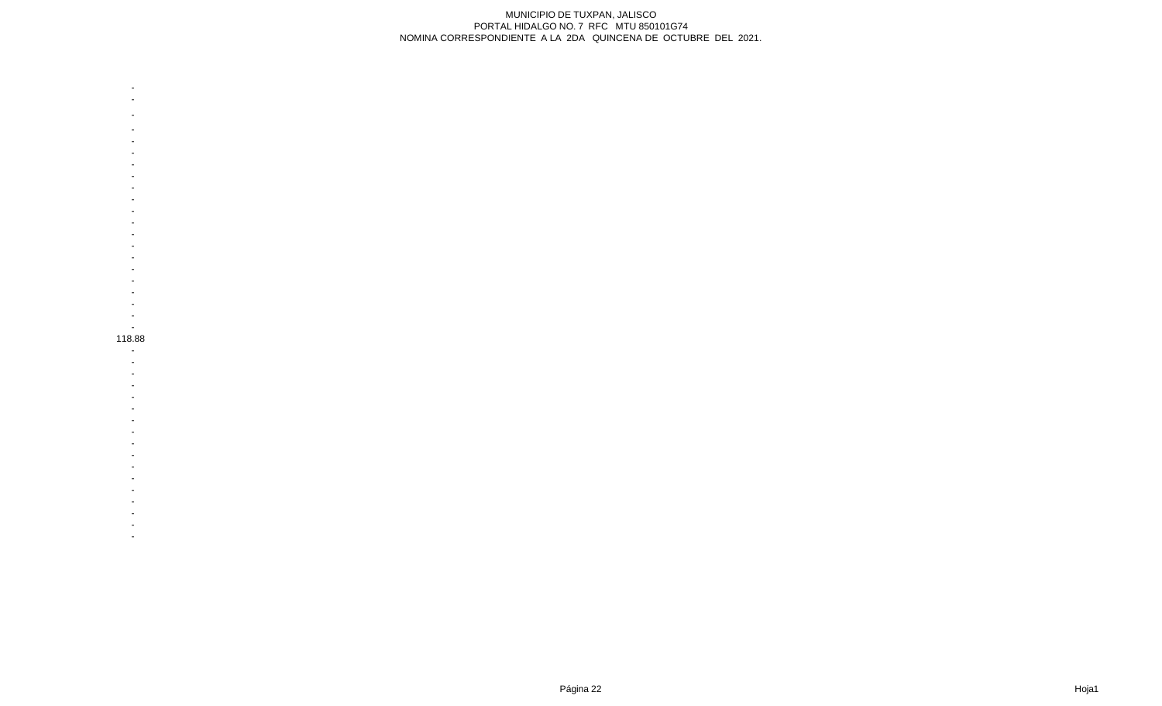- 
- 
- 
- 1990 1990<br>1990 1990 1990 1990 1990 1990 1990 1990 1990 1990 1990 1990 1990 1990 1990 1990
- 1990 1990<br>1990 1990 1990 1990 1990 1990 1990 1990 1990 1990 1990 1990 1990 1990 1990 1990 - 1990 - 1991<br>1991 - 1992 - 1992
- 1990 1991<br>1991 1992 1992
- 100 pm
- 100 pm - 100 pm
- 1990 1990 -
- 1990 1991<br>1991 1992 1992
- 1990 1991<br>1991 1992 1992
- 1990 1991<br>1991 1992 1992
- 1990 1991<br>1991 1992 1992
- 1990 1991<br>1991 1992 1992
- 1990 1991<br>1991 1992 1992
- 100 pm
- 100 pm
- 1990 1990 -

#### - 1990 - 1990<br>1990 - 1990 - 1990 - 1990 - 1990 - 1990 - 1990 - 1990 - 1990 - 1990 - 1990 - 1990 - 1990 - 1990 - 1990 - 1990 118.88

- 1990 - 1990<br>1990 - 1990 - 1990 - 1990 - 1990 - 1990 - 1990 - 1990 - 1990 - 1990 - 1990 - 1990 - 1990 - 1990 - 1990 - 1990 - 1990 - 1990<br>1990 - 1990 - 1990 - 1990 - 1990 - 1990 - 1990 - 1990 - 1990 - 1990 - 1990 - 1990 - 1990 - 1990 - 1990 - 1990 - 1990 - 1990 - 1991<br>1991 - 1992 - 1992 - 1992 - 1992 - 1992 - 1992 - 1992 - 1992 - 1992 - 1992 - 1992 - 1992 - 1992 - 1992 - 1992<br>1992 - 1992 - 1992 - 1992 - 1992 - 1992 - 1992 - 1992 - 1992 - 1992 - 1992 - 1992 - 1992 -

- 1990 1990<br>1990 1990 1990 1990 1990 1990 1990 1990 1990 1990 1990 1990 1990 1990 1990 1990
- 1990 1990<br>1990 1990 1990 1990 1990 1990 1990 1990 1990 1990 1990 1990 1990 1990 1990 1990
- 1990 1990<br>1990 1990 1990 1990 1990 1990 1990 1990 1990 1990 1990 1990 1990 1990 1990 1990
- 1990 1990 1991<br>1991 1992 1992 1992 1992 1992 1992 1992 1992 1992 1992 1992 1992 1992 1992 1992<br>1992 1992 1992 1992 1992 1992 1992 1992 1992 1992 1992 1992 1992 -
- 1990 1990 1991<br>1991 1992 1992 1992 1992 1992 1992 1992 1992 1992 1992 1992 1992 1992 1992 1992<br>1992 1992 1992 1992 1992 1992 1992 1992 1992 1992 1992 1992 1992 -
- 1990 1990 1991<br>1991 1992 1992 1992 1992 1992 1992 1992 1992 1992 1992 1992 1992 1992 1992 1992<br>1992 1992 1992 1992 1992 1992 1992 1992 1992 1992 1992 1992 1992 -
- 1990 1990 -
- 1990 1990<br>1990 1990 1990 1990 1990 1990 1990 1990 1990 1990 1990 1990 1990 1990 1990 1990
- 1990 1990<br>1990 1990 1990 1990 1990 1990 1990 1990 1990 1990 1990 1990 1990 1990 1990 1990
- 1990 1991<br>1991 1992 1992
- 1990 1991<br>1991 1992 1992
- 1990 1991<br>1991 1992 1992
- 1990 1991<br>1991 1992 1992 - 100 pm
- 100 pm
- 1990 1990 -
- 1990 1991<br>1991 1992 1992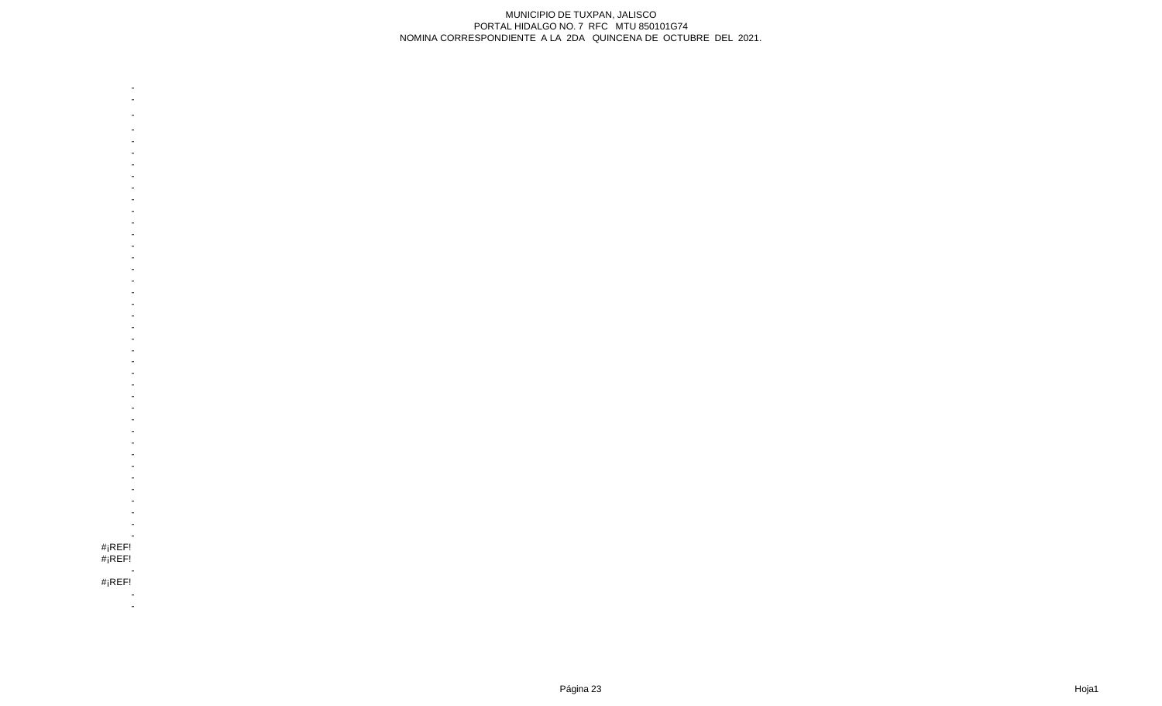

# #¡REF!

- 1990 - 1991<br>1991 - 1992 - 1992 - 1990 - 1991<br>1991 - 1992 - 1992 - 100 pm - 1990 - 1991<br>1991 - 1992 - 1992 - 1990 - 1991<br>1991 - 1992 - 1992 - 1990 - 1991<br>1991 - 1992 - 1992 - 1990 - 1991<br>1991 - 1992 - 1992 - 100 pm - 1990 - 1990 - 1991<br>1991 - 1992 - 1992 - 1992 - 1992 - 1992 - 1992 - 1992 - 1992 - 1992 - 1992 - 1992 - 1992 - 1992 - 1992 - 1992<br>1992 - 1992 - 1992 - 1992 - 1992 - 1992 - 1992 - 1992 - 1992 - 1992 - 1992 - 1992 - 1992 - - 1990 - 1990 - 1991<br>1991 - 1992 - 1992 - 1992 - 1992 - 1992 - 1992 - 1992 - 1992 - 1992 - 1992 - 1992 - 1992 - 1992 - 1992 - 1992<br>1992 - 1992 - 1992 - 1992 - 1992 - 1992 - 1992 - 1992 - 1992 - 1992 - 1992 - 1992 - 1992 - - 1990 - 1990 -- 1990 - 1990<br>1990 - 1990 - 1990 - 1990 - 1990 - 1990 - 1990 - 1990 - 1990 - 1990 - 1990 - 1990 - 1990 - 1990 - 1990 - 1990 - 1990 - 1990<br>1990 - 1990 - 1990 - 1990 - 1990 - 1990 - 1990 - 1990 - 1990 - 1990 - 1990 - 1990 - 1990 - 1990 - 1990 - 1990 - 1990 - 1990<br>1990 - 1990 - 1990 - 1990 - 1990 - 1990 - 1990 - 1990 - 1990 - 1990 - 1990 - 1990 - 1990 - 1990 - 1990 - 1990 - 1990 - 1990<br>1990 - 1990 - 1990 - 1990 - 1990 - 1990 - 1990 - 1990 - 1990 - 1990 - 1990 - 1990 - 1990 - 1990 - 1990 - 1990 - 1990 - 1990<br>1990 - 1990 - 1990 - 1990 - 1990 - 1990 - 1990 - 1990 - 1990 - 1990 - 1990 - 1990 - 1990 - 1990 - 1990 - 1990 - 1990 - 1990<br>1990 - 1990 - 1990 - 1990 - 1990 - 1990 - 1990 - 1990 - 1990 - 1990 - 1990 - 1990 - 1990 - 1990 - 1990 - 1990 - 1990 - 1990 - 1991<br>1991 - 1992 - 1992 - 1992 - 1992 - 1992 - 1992 - 1992 - 1992 - 1992 - 1992 - 1992 - 1992 - 1992 - 1992 - 1992<br>1992 - 1992 - 1992 - 1992 - 1992 - 1992 - 1992 - 1992 - 1992 - 1992 - 1992 - 1992 - 1992 - - 1990 - 1990 - 1991<br>1991 - 1992 - 1992 - 1992 - 1992 - 1992 - 1992 - 1992 - 1992 - 1992 - 1992 - 1992 - 1992 - 1992 - 1992 - 1992<br>1992 - 1992 - 1992 - 1992 - 1992 - 1992 - 1992 - 1992 - 1992 - 1992 - 1992 - 1992 - 1992 - - 1990 - 1990 -- 1990 - 1990<br>1990 - 1990 - 1990 - 1990 - 1990 - 1990 - 1990 - 1990 - 1990 - 1990 - 1990 - 1990 - 1990 - 1990 - 1990 - 1990 - 1990 - 1990<br>1990 - 1990 - 1990 - 1990 - 1990 - 1990 - 1990 - 1990 - 1990 - 1990 - 1990 - 1990 - 1990 - 1990 - 1990 - 1990 - 1990 - 1990<br>1990 - 1990 - 1990 - 1990 - 1990 - 1990 - 1990 - 1990 - 1990 - 1990 - 1990 - 1990 - 1990 - 1990 - 1990 - 1990 - 1990 - 1990 - 1991<br>1991 - 1992 - 1992 - 1992 - 1992 - 1992 - 1992 - 1992 - 1992 - 1992 - 1992 - 1992 - 1992 - 1992 - 1992 - 1992<br>1992 - 1992 - 1992 - 1992 - 1992 - 1992 - 1992 - 1992 - 1992 - 1992 - 1992 - 1992 - 1992 - - 1990 - 1990 - 1991<br>1991 - 1992 - 1992 - 1992 - 1992 - 1992 - 1992 - 1992 - 1992 - 1992 - 1992 - 1992 - 1992 - 1992 - 1992 - 1992<br>1992 - 1992 - 1992 - 1992 - 1992 - 1992 - 1992 - 1992 - 1992 - 1992 - 1992 - 1992 - 1992 - - 1990 - 1990 -- 1990 - 1990<br>1990 - 1990 - 1990 - 1990 - 1990 - 1990 - 1990 - 1990 - 1990 - 1990 - 1990 - 1990 - 1990 - 1990 - 1990 - 1990 - 1990 - 1990<br>1990 - 1990 - 1990 - 1990 - 1990 - 1990 - 1990 - 1990 - 1990 - 1990 - 1990 - 1990 - 1990 - 1990 - 1990 - 1990 - 1990 - 1990<br>1990 - 1990 - 1990 - 1990 - 1990 - 1990 - 1990 - 1990 - 1990 - 1990 - 1990 - 1990 - 1990 - 1990 - 1990 - 1990 - 1990 - 1990<br>1990 - 1990 - 1990 - 1990 - 1990 - 1990 - 1990 - 1990 - 1990 - 1990 - 1990 - 1990 - 1990 - 1990 - 1990 - 1990 - 1990 - 1990<br>1990 - 1990 - 1990 - 1990 - 1990 - 1990 - 1990 - 1990 - 1990 - 1990 - 1990 - 1990 - 1990 - 1990 - 1990 - 1990 - 1990 - 1990<br>1990 - 1990 - 1990 - 1990 - 1990 - 1990 - 1990 - 1990 - 1990 - 1990 - 1990 - 1990 - 1990 - 1990 - 1990 - 1990 - 1990 - 1990 - 1991<br>1991 - 1992 - 1992 - 1992 - 1992 - 1992 - 1992 - 1992 - 1992 - 1992 - 1992 - 1992 - 1992 - 1992 - 1992 - 1992<br>1992 - 1992 - 1992 - 1992 - 1992 - 1992 - 1992 - 1992 - 1992 - 1992 - 1992 - 1992 - 1992 - - 1990 - 1990 - 1991<br>1991 - 1992 - 1992 - 1992 - 1992 - 1992 - 1992 - 1992 - 1992 - 1992 - 1992 - 1992 - 1992 - 1992 - 1992 - 1992<br>1992 - 1992 - 1992 - 1992 - 1992 - 1992 - 1992 - 1992 - 1992 - 1992 - 1992 - 1992 - 1992 - - 1990 - 1990 -- 1990 - 1990 -- 1990 - 1990<br>1990 - 1990 - 1990 - 1990 - 1990 - 1990 - 1990 - 1990 - 1990 - 1990 - 1990 - 1990 - 1990 - 1990 - 1990 - 1990 - 1990 - 1990<br>1990 - 1990 - 1990 - 1990 - 1990 - 1990 - 1990 - 1990 - 1990 - 1990 - 1990 - 1990 - 1990 - 1990 - 1990 - 1990

# - 1990 - 1990 - 1991<br>1991 - 1992 - 1992 - 1992 - 1992 - 1992 - 1992 - 1992 - 1992 - 1992 - 1992 - 1992 - 1992 - 1992 - 1992 - 1992<br>1992 - 1992 - 1992 - 1992 - 1992 - 1992 - 1992 - 1992 - 1992 - 1992 - 1992 - 1992 - 1992 -

#### #¡REF!

- -
- 1990 1990 -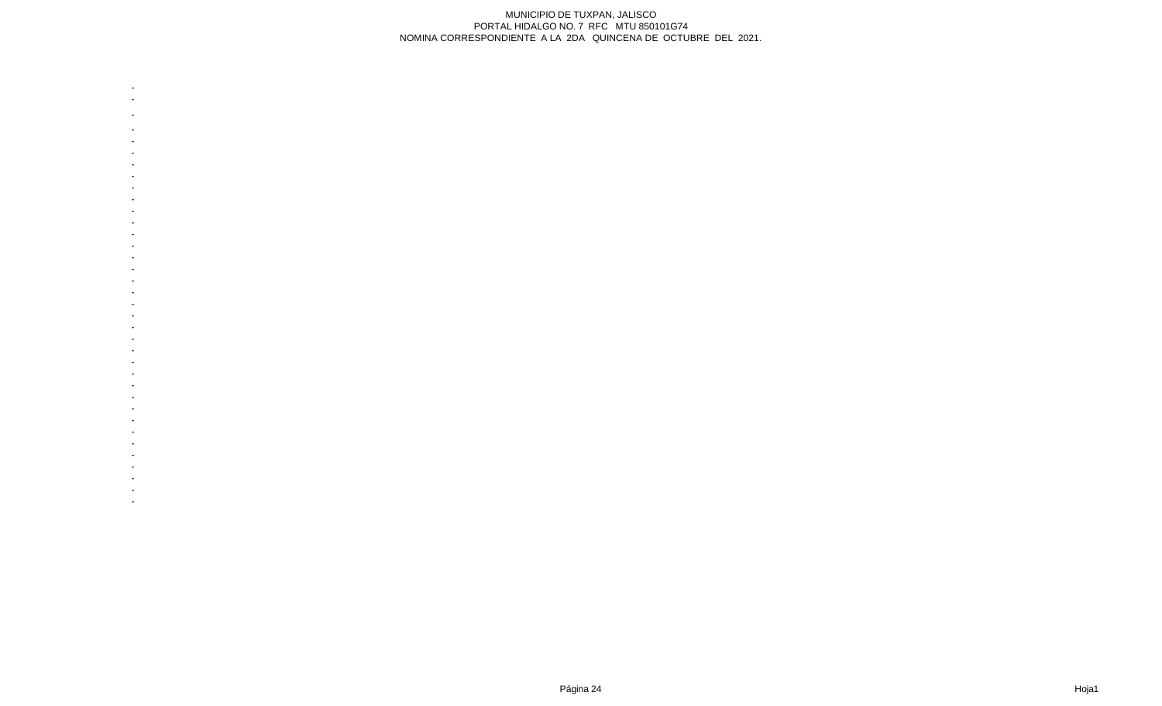- 1990 - 1990<br>1990 - 1990 - 1990 - 1990 - 1990 - 1990 - 1990 - 1990 - 1990 - 1990 - 1990 - 1990 - 1990 - 1990 - 1990 - 1990 - 1990 - 1990<br>1990 - 1990 - 1990 - 1990 - 1990 - 1990 - 1990 - 1990 - 1990 - 1990 - 1990 - 1990 - 1990 - 1990 - 1990 - 1990 - 1990 - 1990 - 1991<br>1991 - 1992 - 1992 - 1992 - 1992 - 1992 - 1992 - 1992 - 1992 - 1992 - 1992 - 1992 - 1992 - 1992 - 1992 - 1992<br>1992 - 1992 - 1992 - 1992 - 1992 - 1992 - 1992 - 1992 - 1992 - 1992 - 1992 - 1992 - 1992 - - 1990 - 1990<br>1990 - 1990 - 1990 - 1990 - 1990 - 1990 - 1990 - 1990 - 1990 - 1990 - 1990 - 1990 - 1990 - 1990 - 1990 - 1990 - 1990 - 1990<br>1990 - 1990 - 1990 - 1990 - 1990 - 1990 - 1990 - 1990 - 1990 - 1990 - 1990 - 1990 - 1990 - 1990 - 1990 - 1990 - 1990 - 1990<br>1990 - 1990 - 1990 - 1990 - 1990 - 1990 - 1990 - 1990 - 1990 - 1990 - 1990 - 1990 - 1990 - 1990 - 1990 - 1990 - 1990 - 1990<br>1990 - 1990 - 1990 - 1990 - 1990 - 1990 - 1990 - 1990 - 1990 - 1990 - 1990 - 1990 - 1990 - 1990 - 1990 - 1990 - 1990 - 1990 - 1991<br>1991 - 1992 - 1992 - 1992 - 1992 - 1992 - 1992 - 1992 - 1992 - 1992 - 1992 - 1992 - 1992 - 1992 - 1992 - 1992<br>1992 - 1992 - 1992 - 1992 - 1992 - 1992 - 1992 - 1992 - 1992 - 1992 - 1992 - 1992 - 1992 - - 1990 - 1990 - 1991<br>1991 - 1992 - 1992 - 1992 - 1992 - 1992 - 1992 - 1992 - 1992 - 1992 - 1992 - 1992 - 1992 - 1992 - 1992 - 1992<br>1992 - 1992 - 1992 - 1992 - 1992 - 1992 - 1992 - 1992 - 1992 - 1992 - 1992 - 1992 - 1992 - - 1990 - 1990 - 1991<br>1991 - 1992 - 1992 - 1992 - 1992 - 1992 - 1992 - 1992 - 1992 - 1992 - 1992 - 1992 - 1992 - 1992 - 1992 - 1992<br>1992 - 1992 - 1992 - 1992 - 1992 - 1992 - 1992 - 1992 - 1992 - 1992 - 1992 - 1992 - 1992 - - 1990 - 1990 -- 1990 - 1991<br>1991 - 1992 - 1992 - 1990 - 1991<br>1991 - 1992 - 1992 - 1990 - 1991<br>1991 - 1992 - 1992 - 1990 - 1991<br>1991 - 1992 - 1992 - 1990 - 1991<br>1991 - 1992 - 1992 - 1990 - 1991<br>1991 - 1992 - 1992 - 100 pm - 100 pm - 1990 - 1990 -- 1990 - 1991<br>1991 - 1992 - 1992 - 1990 - 1991<br>1991 - 1992 - 1992 - 1990 - 1991<br>1991 - 1992 - 1992 - 1990 - 1991<br>1991 - 1992 - 1992 - 1990 - 1991<br>1991 - 1992 - 1992 - 100 pm - 100 pm - 1990 - 1990 - 1991<br>1991 - 1992 - 1992 - 1992 - 1992 - 1992 - 1992 - 1992 - 1992 - 1992 - 1992 - 1992 - 1992 - 1992 - 1992 - 1992<br>1992 - 1992 - 1992 - 1992 - 1992 - 1992 - 1992 - 1992 - 1992 - 1992 - 1992 - 1992 - 1992 - - 1990 - 1990 -- 1990 - 1990<br>1990 - 1990 - 1990 - 1990 - 1990 - 1990 - 1990 - 1990 - 1990 - 1990 - 1990 - 1990 - 1990 - 1990 - 1990 - 1990 - 1990 - 1990<br>1990 - 1990 - 1990 - 1990 - 1990 - 1990 - 1990 - 1990 - 1990 - 1990 - 1990 - 1990 - 1990 - 1990 - 1990 - 1990 - 1990 - 1990<br>1990 - 1990 - 1990 - 1990 - 1990 - 1990 - 1990 - 1990 - 1990 - 1990 - 1990 - 1990 - 1990 - 1990 - 1990 - 1990 - 1990 - 1990<br>1990 - 1990 - 1990 - 1990 - 1990 - 1990 - 1990 - 1990 - 1990 - 1990 - 1990 - 1990 - 1990 - 1990 - 1990 - 1990 - 1990 - 1990<br>1990 - 1990 - 1990 - 1990 - 1990 - 1990 - 1990 - 1990 - 1990 - 1990 - 1990 - 1990 - 1990 - 1990 - 1990 - 1990 - 1990 - 1990<br>1990 - 1990 - 1990 - 1990 - 1990 - 1990 - 1990 - 1990 - 1990 - 1990 - 1990 - 1990 - 1990 - 1990 - 1990 - 1990 - 1990 - 1990 - 1991<br>1991 - 1992 - 1992 - 1992 - 1992 - 1992 - 1992 - 1992 - 1992 - 1992 - 1992 - 1992 - 1992 - 1992 - 1992 - 1992<br>1992 - 1992 - 1992 - 1992 - 1992 - 1992 - 1992 - 1992 - 1992 - 1992 - 1992 - 1992 - 1992 -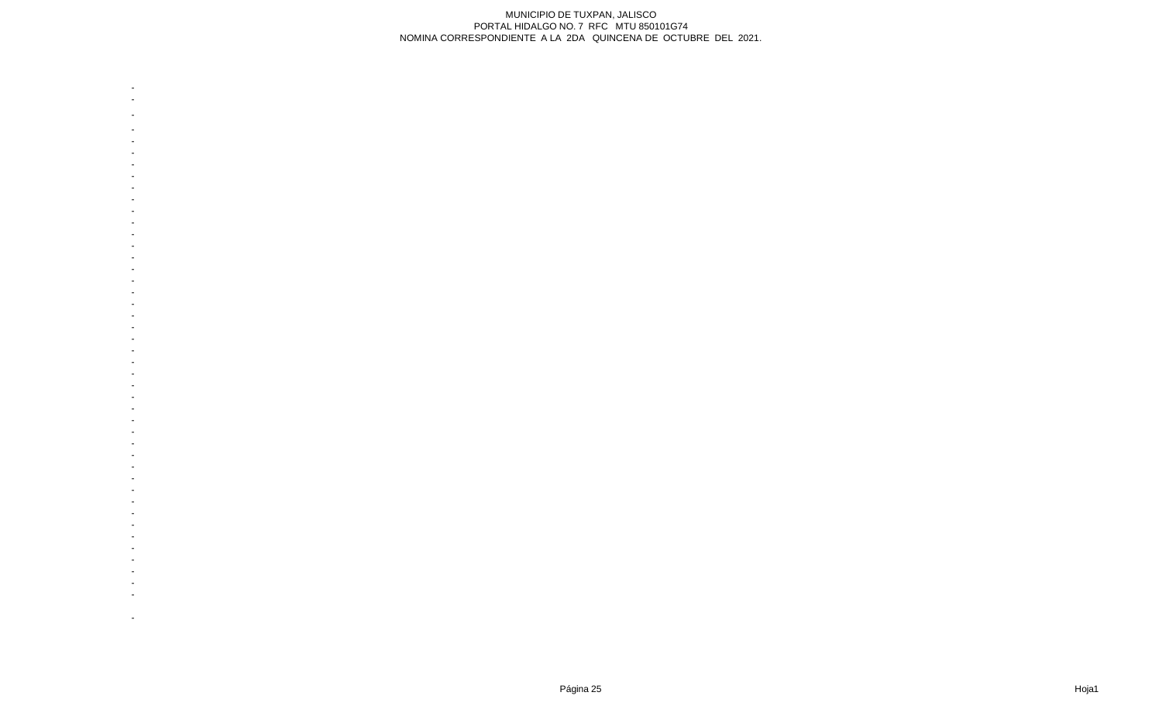- 1990 - 1990<br>1990 - 1990 - 1990 - 1990 - 1990 - 1990 - 1990 - 1990 - 1990 - 1990 - 1990 - 1990 - 1990 - 1990 - 1990 - 1990 - 1990 - 1990<br>1990 - 1990 - 1990 - 1990 - 1990 - 1990 - 1990 - 1990 - 1990 - 1990 - 1990 - 1990 - 1990 - 1990 - 1990 - 1990 - 1990 - 1990 - 1991<br>1991 - 1992 - 1992 - 1992 - 1992 - 1992 - 1992 - 1992 - 1992 - 1992 - 1992 - 1992 - 1992 - 1992 - 1992 - 1992<br>1992 - 1992 - 1992 - 1992 - 1992 - 1992 - 1992 - 1992 - 1992 - 1992 - 1992 - 1992 - 1992 - - 1990 - 1990<br>1990 - 1990 - 1990 - 1990 - 1990 - 1990 - 1990 - 1990 - 1990 - 1990 - 1990 - 1990 - 1990 - 1990 - 1990 - 1990 - 1990 - 1990<br>1990 - 1990 - 1990 - 1990 - 1990 - 1990 - 1990 - 1990 - 1990 - 1990 - 1990 - 1990 - 1990 - 1990 - 1990 - 1990 - 1990 - 1990<br>1990 - 1990 - 1990 - 1990 - 1990 - 1990 - 1990 - 1990 - 1990 - 1990 - 1990 - 1990 - 1990 - 1990 - 1990 - 1990 - 1990 - 1990<br>1990 - 1990 - 1990 - 1990 - 1990 - 1990 - 1990 - 1990 - 1990 - 1990 - 1990 - 1990 - 1990 - 1990 - 1990 - 1990 - 1990 - 1990 - 1991<br>1991 - 1992 - 1992 - 1992 - 1992 - 1992 - 1992 - 1992 - 1992 - 1992 - 1992 - 1992 - 1992 - 1992 - 1992 - 1992<br>1992 - 1992 - 1992 - 1992 - 1992 - 1992 - 1992 - 1992 - 1992 - 1992 - 1992 - 1992 - 1992 - - 1990 - 1990 - 1991<br>1991 - 1992 - 1992 - 1992 - 1992 - 1992 - 1992 - 1992 - 1992 - 1992 - 1992 - 1992 - 1992 - 1992 - 1992 - 1992<br>1992 - 1992 - 1992 - 1992 - 1992 - 1992 - 1992 - 1992 - 1992 - 1992 - 1992 - 1992 - 1992 - - 1990 - 1990 - 1991<br>1991 - 1992 - 1992 - 1992 - 1992 - 1992 - 1992 - 1992 - 1992 - 1992 - 1992 - 1992 - 1992 - 1992 - 1992 - 1992<br>1992 - 1992 - 1992 - 1992 - 1992 - 1992 - 1992 - 1992 - 1992 - 1992 - 1992 - 1992 - 1992 - - 1990 - 1990 -- 1990 - 1990<br>1990 - 1990 - 1990 - 1990 - 1990 - 1990 - 1990 - 1990 - 1990 - 1990 - 1990 - 1990 - 1990 - 1990 - 1990 - 1990 - 1990 - 1990<br>1990 - 1990 - 1990 - 1990 - 1990 - 1990 - 1990 - 1990 - 1990 - 1990 - 1990 - 1990 - 1990 - 1990 - 1990 - 1990 - 1990 - 1990<br>1990 - 1990 - 1990 - 1990 - 1990 - 1990 - 1990 - 1990 - 1990 - 1990 - 1990 - 1990 - 1990 - 1990 - 1990 - 1990 - 1990 - 1990<br>1990 - 1990 - 1990 - 1990 - 1990 - 1990 - 1990 - 1990 - 1990 - 1990 - 1990 - 1990 - 1990 - 1990 - 1990 - 1990 - 1990 - 1990<br>1990 - 1990 - 1990 - 1990 - 1990 - 1990 - 1990 - 1990 - 1990 - 1990 - 1990 - 1990 - 1990 - 1990 - 1990 - 1990 - 1990 - 1990<br>1990 - 1990 - 1990 - 1990 - 1990 - 1990 - 1990 - 1990 - 1990 - 1990 - 1990 - 1990 - 1990 - 1990 - 1990 - 1990 - 1990 - 1990 - 1991<br>1991 - 1992 - 1992 - 1992 - 1992 - 1992 - 1992 - 1992 - 1992 - 1992 - 1992 - 1992 - 1992 - 1992 - 1992 - 1992<br>1992 - 1992 - 1992 - 1992 - 1992 - 1992 - 1992 - 1992 - 1992 - 1992 - 1992 - 1992 - 1992 - - 1990 - 1990 - 1991<br>1991 - 1992 - 1992 - 1992 - 1992 - 1992 - 1992 - 1992 - 1992 - 1992 - 1992 - 1992 - 1992 - 1992 - 1992 - 1992<br>1992 - 1992 - 1992 - 1992 - 1992 - 1992 - 1992 - 1992 - 1992 - 1992 - 1992 - 1992 - 1992 - - 1990 - 1990 -- 1990 - 1990<br>1990 - 1990 - 1990 - 1990 - 1990 - 1990 - 1990 - 1990 - 1990 - 1990 - 1990 - 1990 - 1990 - 1990 - 1990 - 1990 - 1990 - 1990<br>1990 - 1990 - 1990 - 1990 - 1990 - 1990 - 1990 - 1990 - 1990 - 1990 - 1990 - 1990 - 1990 - 1990 - 1990 - 1990 - 1990 - 1990<br>1990 - 1990 - 1990 - 1990 - 1990 - 1990 - 1990 - 1990 - 1990 - 1990 - 1990 - 1990 - 1990 - 1990 - 1990 - 1990 - 1990 - 1990<br>1990 - 1990 - 1990 - 1990 - 1990 - 1990 - 1990 - 1990 - 1990 - 1990 - 1990 - 1990 - 1990 - 1990 - 1990 - 1990 - 1990 - 1990<br>1990 - 1990 - 1990 - 1990 - 1990 - 1990 - 1990 - 1990 - 1990 - 1990 - 1990 - 1990 - 1990 - 1990 - 1990 - 1990 - 1990 - 1990 - 1991<br>1991 - 1992 - 1992 - 1992 - 1992 - 1992 - 1992 - 1992 - 1992 - 1992 - 1992 - 1992 - 1992 - 1992 - 1992 - 1992<br>1992 - 1992 - 1992 - 1992 - 1992 - 1992 - 1992 - 1992 - 1992 - 1992 - 1992 - 1992 - 1992 - - 100 pm - 100 pm - 1990 - 1990 -- 1990 - 1991<br>1991 - 1992 - 1992 - 1990 - 1991<br>1991 - 1992 - 1992 - 1990 - 1991<br>1991 - 1992 - 1992 - 1990 - 1991<br>1991 - 1992 - 1992 - 1990 - 1991<br>1991 - 1992 - 1992 - 1990 - 1991<br>1991 - 1992 - 1992 - 100 pm - 100 pm - 1990 - 1990 -- 1990 - 1991<br>1991 - 1992 - 1992 - 1990 - 1991<br>1991 - 1992 - 1992 - 1990 - 1991<br>1991 - 1992 - 1992 - 1990 - 1991<br>1991 - 1992 - 1992 - 1990 - 1991<br>1991 - 1992 - 1992 - 1990 - 1991<br>1991 - 1992 - 1992

-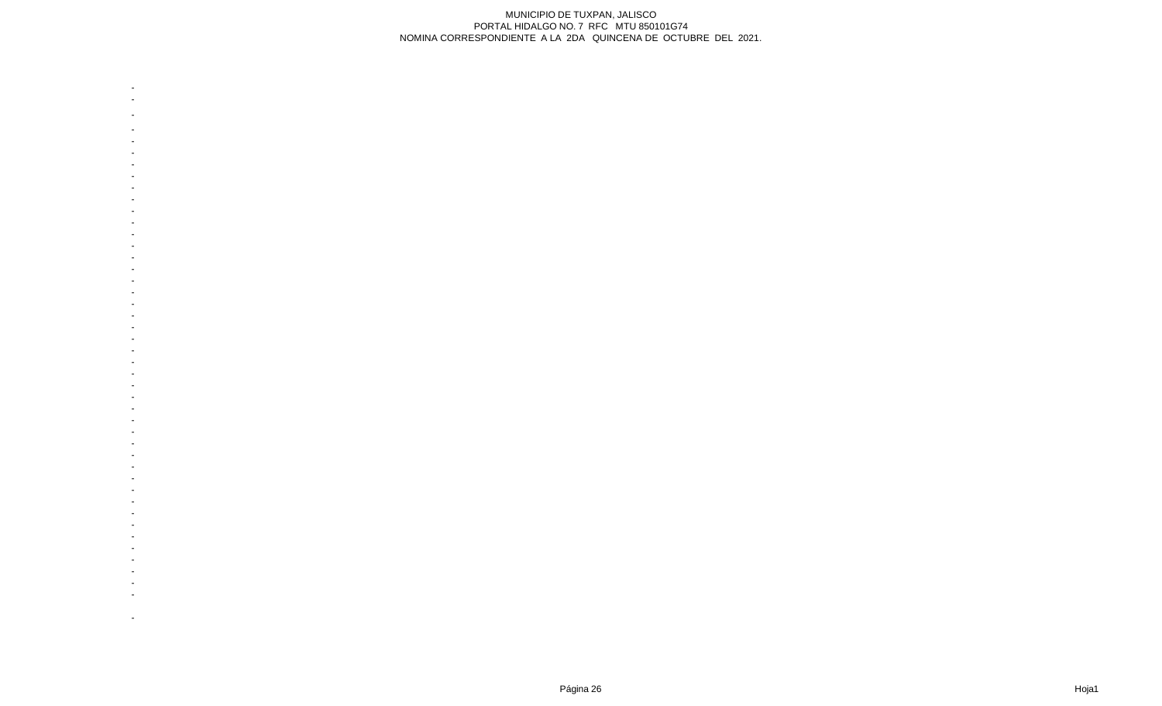- 1990 - 1991<br>1991 - 1992 - 1992 - 1990 - 1991<br>1991 - 1992 - 1992 - 100 pm - 1990 - 1991<br>1991 - 1992 - 1992 - 1990 - 1991<br>1991 - 1992 - 1992 - 1990 - 1991<br>1991 - 1992 - 1992 - 1990 - 1991<br>1991 - 1992 - 1992 - 100 pm - 100 pm - 100 pm - 1990 - 1990 -- 1990 - 1991<br>1991 - 1992 - 1992 - 1990 - 1991<br>1991 - 1992 - 1992 - 1990 - 1991<br>1991 - 1992 - 1992 - 1990 - 1991<br>1991 - 1992 - 1992 - 1990 - 1991<br>1991 - 1992 - 1992 - 1990 - 1991<br>1991 - 1992 - 1992 - 100 pm - 100 pm - 1990 - 1990 -- 1990 - 1991<br>1991 - 1992 - 1992 - 1990 - 1991<br>1991 - 1992 - 1992 - 1990 - 1991<br>1991 - 1992 - 1992 - 1990 - 1991<br>1991 - 1992 - 1992 - 1990 - 1991<br>1991 - 1992 - 1992 - 100 pm - 100 pm - 100 pm - 1990 - 1990 -- 1990 - 1991<br>1991 - 1992 - 1992 - 1990 - 1991<br>1991 - 1992 - 1992 - 1990 - 1990<br>1990 - 1990 - 1990 - 1990 - 1990 - 1990 - 1990 - 1990 - 1990 - 1990 - 1990 - 1990 - 1990 - 1990 - 1990 - 1990 - 1990 - 1990<br>1990 - 1990 - 1990 - 1990 - 1990 - 1990 - 1990 - 1990 - 1990 - 1990 - 1990 - 1990 - 1990 - 1990 - 1990 - 1990 - 1990 - 1990<br>1990 - 1990 - 1990 - 1990 - 1990 - 1990 - 1990 - 1990 - 1990 - 1990 - 1990 - 1990 - 1990 - 1990 - 1990 - 1990 - 1990 - 1990<br>1990 - 1990 - 1990 - 1990 - 1990 - 1990 - 1990 - 1990 - 1990 - 1990 - 1990 - 1990 - 1990 - 1990 - 1990 - 1990 - 1990 - 1990 - 1991<br>1991 - 1992 - 1992 - 1992 - 1992 - 1992 - 1992 - 1992 - 1992 - 1992 - 1992 - 1992 - 1992 - 1992 - 1992 - 1992<br>1992 - 1992 - 1992 - 1992 - 1992 - 1992 - 1992 - 1992 - 1992 - 1992 - 1992 - 1992 - 1992 - - 1990 - 1990 - 1991<br>1991 - 1992 - 1992 - 1992 - 1992 - 1992 - 1992 - 1992 - 1992 - 1992 - 1992 - 1992 - 1992 - 1992 - 1992 - 1992<br>1992 - 1992 - 1992 - 1992 - 1992 - 1992 - 1992 - 1992 - 1992 - 1992 - 1992 - 1992 - 1992 - - 1990 - 1990 -- 1990 - 1990<br>1990 - 1990 - 1990 - 1990 - 1990 - 1990 - 1990 - 1990 - 1990 - 1990 - 1990 - 1990 - 1990 - 1990 - 1990 - 1990 - 1990 - 1990<br>1990 - 1990 - 1990 - 1990 - 1990 - 1990 - 1990 - 1990 - 1990 - 1990 - 1990 - 1990 - 1990 - 1990 - 1990 - 1990 - 1990 - 1990<br>1990 - 1990 - 1990 - 1990 - 1990 - 1990 - 1990 - 1990 - 1990 - 1990 - 1990 - 1990 - 1990 - 1990 - 1990 - 1990 - 1990 - 1990<br>1990 - 1990 - 1990 - 1990 - 1990 - 1990 - 1990 - 1990 - 1990 - 1990 - 1990 - 1990 - 1990 - 1990 - 1990 - 1990 - 1990 - 1990<br>1990 - 1990 - 1990 - 1990 - 1990 - 1990 - 1990 - 1990 - 1990 - 1990 - 1990 - 1990 - 1990 - 1990 - 1990 - 1990 - 1990 - 1990<br>1990 - 1990 - 1990 - 1990 - 1990 - 1990 - 1990 - 1990 - 1990 - 1990 - 1990 - 1990 - 1990 - 1990 - 1990 - 1990

-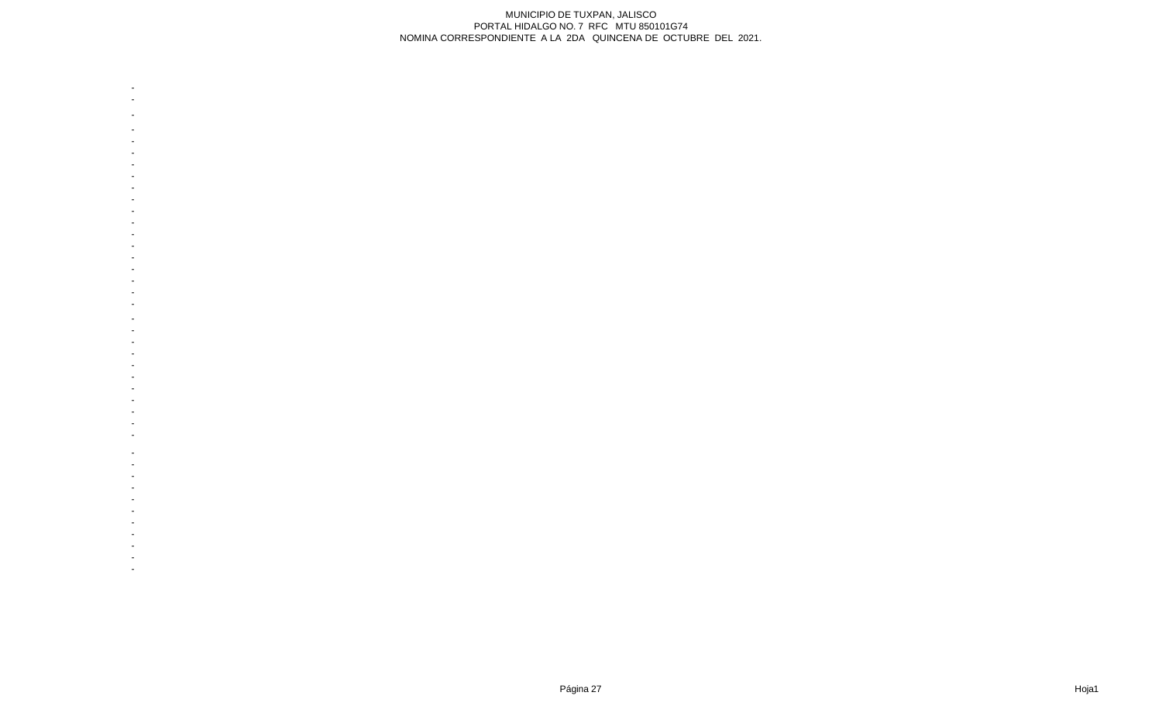- 1990 - 1991<br>1991 - 1992 - 1992 - 1990 - 1991<br>1991 - 1992 - 1992 - 100 pm - 1990 - 1991<br>1991 - 1992 - 1992 - 1990 - 1991<br>1991 - 1992 - 1992 - 1990 - 1991<br>1991 - 1992 - 1992 - 1990 - 1991<br>1991 - 1992 - 1992 - 100 pm - 100 pm - 100 pm - 1990 - 1990 -- 1990 - 1991<br>1991 - 1992 - 1992 - 1990 - 1991<br>1991 - 1992 - 1992 - 1990 - 1991<br>1991 - 1992 - 1992 - 1990 - 1991<br>1991 - 1992 - 1992 - 1990 - 1991<br>1991 - 1992 - 1992 - 1990 - 1990<br>1990 - 1990 - 1990 - 1990 - 1990 - 1990 - 1990 - 1990 - 1990 - 1990 - 1990 - 1990 - 1990 - 1990 - 1990 - 1990 - 1990 - 1990 - 1991<br>1991 - 1992 - 1992 - 1992 - 1992 - 1992 - 1992 - 1992 - 1992 - 1992 - 1992 - 1992 - 1992 - 1992 - 1992 - 1992<br>1992 - 1992 - 1992 - 1992 - 1992 - 1992 - 1992 - 1992 - 1992 - 1992 - 1992 - 1992 - 1992 - - 1990 - 1990 - 1991<br>1991 - 1992 - 1992 - 1992 - 1992 - 1992 - 1992 - 1992 - 1992 - 1992 - 1992 - 1992 - 1992 - 1992 - 1992 - 1992<br>1992 - 1992 - 1992 - 1992 - 1992 - 1992 - 1992 - 1992 - 1992 - 1992 - 1992 - 1992 - 1992 - - 1990 - 1990<br>1990 - 1990 - 1990 - 1990 - 1990 - 1990 - 1990 - 1990 - 1990 - 1990 - 1990 - 1990 - 1990 - 1990 - 1990 - 1990 - 1990 - 1990 - 1991<br>1991 - 1992 - 1992 - 1992 - 1992 - 1992 - 1992 - 1992 - 1992 - 1992 - 1992 - 1992 - 1992 - 1992 - 1992 - 1992<br>1992 - 1992 - 1992 - 1992 - 1992 - 1992 - 1992 - 1992 - 1992 - 1992 - 1992 - 1992 - 1992 - - 1990 - 1990 - 1991<br>1991 - 1992 - 1992 - 1992 - 1992 - 1992 - 1992 - 1992 - 1992 - 1992 - 1992 - 1992 - 1992 - 1992 - 1992 - 1992<br>1992 - 1992 - 1992 - 1992 - 1992 - 1992 - 1992 - 1992 - 1992 - 1992 - 1992 - 1992 - 1992 - - 1990 - 1990 -- 1990 - 1990 -- 1990 - 1990<br>1990 - 1990 - 1990 - 1990 - 1990 - 1990 - 1990 - 1990 - 1990 - 1990 - 1990 - 1990 - 1990 - 1990 - 1990 - 1990 - 1990 - 1990<br>1990 - 1990 - 1990 - 1990 - 1990 - 1990 - 1990 - 1990 - 1990 - 1990 - 1990 - 1990 - 1990 - 1990 - 1990 - 1990 - 1990 - 1990<br>1990 - 1990 - 1990 - 1990 - 1990 - 1990 - 1990 - 1990 - 1990 - 1990 - 1990 - 1990 - 1990 - 1990 - 1990 - 1990 - 1990 - 1990<br>1990 - 1990 - 1990 - 1990 - 1990 - 1990 - 1990 - 1990 - 1990 - 1990 - 1990 - 1990 - 1990 - 1990 - 1990 - 1990 - 1990 - 1990<br>1990 - 1990 - 1990 - 1990 - 1990 - 1990 - 1990 - 1990 - 1990 - 1990 - 1990 - 1990 - 1990 - 1990 - 1990 - 1990 - 100 pm - 100 pm - 100 pm - 1990 - 1990 -- 1990 - 1990 -- 1990 - 1991<br>1991 - 1992 - 1992 - 1990 - 1991<br>1991 - 1992 - 1992 - 1990 - 1991<br>1991 - 1992 - 1992 - 1990 - 1991<br>1991 - 1992 - 1992 - 1990 - 1991<br>1991 - 1992 - 1992 - 100 pm - 100 pm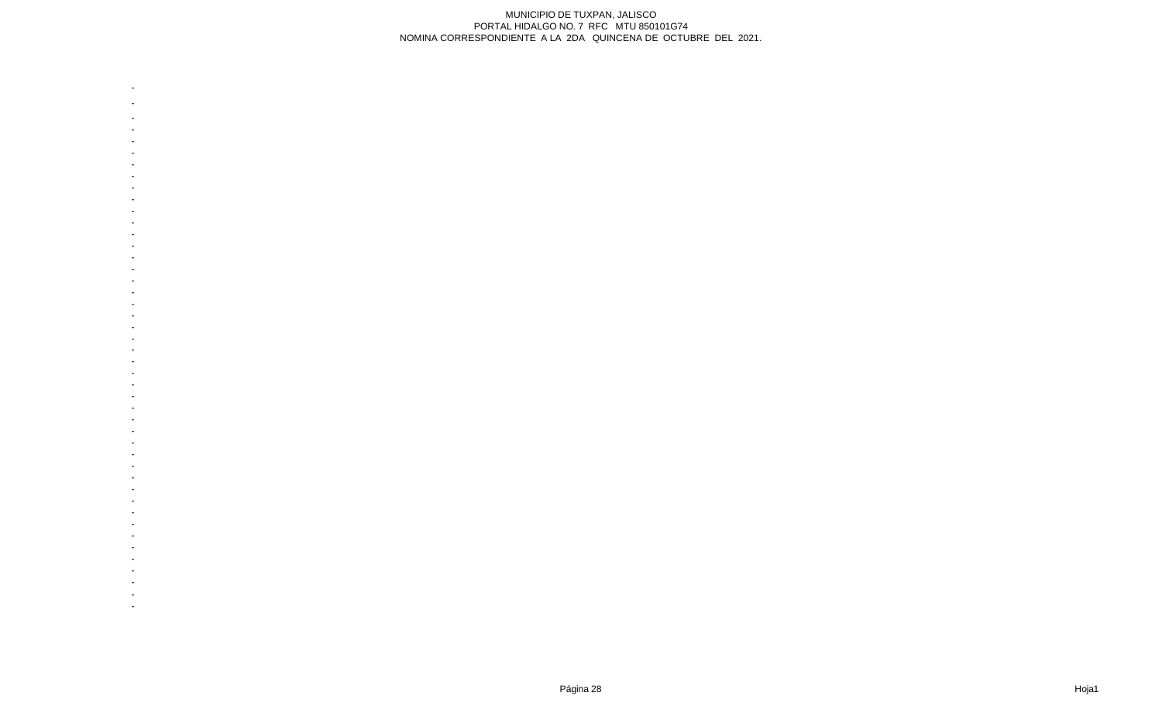- 100 pm - 1990 - 1991<br>1991 - 1992 - 1992 - 1990 - 1991<br>1991 - 1992 - 1992 - 1990 - 1991<br>1991 - 1992 - 1992 - 1990 - 1991<br>1991 - 1992 - 1992 - 1990 - 1991<br>1991 - 1992 - 1992 - 1990 - 1990 - 1991<br>1991 - 1992 - 1992 - 1992 - 1992 - 1992 - 1992 - 1992 - 1992 - 1992 - 1992 - 1992 - 1992 - 1992 - 1992 - 1992<br>1992 - 1992 - 1992 - 1992 - 1992 - 1992 - 1992 - 1992 - 1992 - 1992 - 1992 - 1992 - 1992 - - 1990 - 1990 - 1991<br>1991 - 1992 - 1992 - 1992 - 1992 - 1992 - 1992 - 1992 - 1992 - 1992 - 1992 - 1992 - 1992 - 1992 - 1992 - 1992<br>1992 - 1992 - 1992 - 1992 - 1992 - 1992 - 1992 - 1992 - 1992 - 1992 - 1992 - 1992 - 1992 - - 1990 - 1990 - 1991<br>1991 - 1992 - 1992 - 1992 - 1992 - 1992 - 1992 - 1992 - 1992 - 1992 - 1992 - 1992 - 1992 - 1992 - 1992 - 1992<br>1992 - 1992 - 1992 - 1992 - 1992 - 1992 - 1992 - 1992 - 1992 - 1992 - 1992 - 1992 - 1992 - - 1990 - 1990 -- 1990 - 1990<br>1990 - 1990 - 1990 - 1990 - 1990 - 1990 - 1990 - 1990 - 1990 - 1990 - 1990 - 1990 - 1990 - 1990 - 1990 - 1990 - 1990 - 1990<br>1990 - 1990 - 1990 - 1990 - 1990 - 1990 - 1990 - 1990 - 1990 - 1990 - 1990 - 1990 - 1990 - 1990 - 1990 - 1990 - 1990 - 1990<br>1990 - 1990 - 1990 - 1990 - 1990 - 1990 - 1990 - 1990 - 1990 - 1990 - 1990 - 1990 - 1990 - 1990 - 1990 - 1990 - 1990 - 1990<br>1990 - 1990 - 1990 - 1990 - 1990 - 1990 - 1990 - 1990 - 1990 - 1990 - 1990 - 1990 - 1990 - 1990 - 1990 - 1990 - 1990 - 1990<br>1990 - 1990 - 1990 - 1990 - 1990 - 1990 - 1990 - 1990 - 1990 - 1990 - 1990 - 1990 - 1990 - 1990 - 1990 - 1990 - 1990 - 1990<br>1990 - 1990 - 1990 - 1990 - 1990 - 1990 - 1990 - 1990 - 1990 - 1990 - 1990 - 1990 - 1990 - 1990 - 1990 - 1990 - 1990 - 1990 - 1991<br>1991 - 1992 - 1992 - 1992 - 1992 - 1992 - 1992 - 1992 - 1992 - 1992 - 1992 - 1992 - 1992 - 1992 - 1992 - 1992<br>1992 - 1992 - 1992 - 1992 - 1992 - 1992 - 1992 - 1992 - 1992 - 1992 - 1992 - 1992 - 1992 - - 1990 - 1990 - 1991<br>1991 - 1992 - 1992 - 1992 - 1992 - 1992 - 1992 - 1992 - 1992 - 1992 - 1992 - 1992 - 1992 - 1992 - 1992 - 1992<br>1992 - 1992 - 1992 - 1992 - 1992 - 1992 - 1992 - 1992 - 1992 - 1992 - 1992 - 1992 - 1992 - - 1990 - 1990 -- 1990 - 1990<br>1990 - 1990 - 1990 - 1990 - 1990 - 1990 - 1990 - 1990 - 1990 - 1990 - 1990 - 1990 - 1990 - 1990 - 1990 - 1990 - 1990 - 1990<br>1990 - 1990 - 1990 - 1990 - 1990 - 1990 - 1990 - 1990 - 1990 - 1990 - 1990 - 1990 - 1990 - 1990 - 1990 - 1990 - 1990 - 1990<br>1990 - 1990 - 1990 - 1990 - 1990 - 1990 - 1990 - 1990 - 1990 - 1990 - 1990 - 1990 - 1990 - 1990 - 1990 - 1990 - 1990 - 1990 - 1991<br>1991 - 1992 - 1992 - 1992 - 1992 - 1992 - 1992 - 1992 - 1992 - 1992 - 1992 - 1992 - 1992 - 1992 - 1992 - 1992<br>1992 - 1992 - 1992 - 1992 - 1992 - 1992 - 1992 - 1992 - 1992 - 1992 - 1992 - 1992 - 1992 - - 1990 - 1990 - 1991<br>1991 - 1992 - 1992 - 1992 - 1992 - 1992 - 1992 - 1992 - 1992 - 1992 - 1992 - 1992 - 1992 - 1992 - 1992 - 1992<br>1992 - 1992 - 1992 - 1992 - 1992 - 1992 - 1992 - 1992 - 1992 - 1992 - 1992 - 1992 - 1992 - - 1990 - 1990 -- 1990 - 1990<br>1990 - 1990 - 1990 - 1990 - 1990 - 1990 - 1990 - 1990 - 1990 - 1990 - 1990 - 1990 - 1990 - 1990 - 1990 - 1990 - 1990 - 1990<br>1990 - 1990 - 1990 - 1990 - 1990 - 1990 - 1990 - 1990 - 1990 - 1990 - 1990 - 1990 - 1990 - 1990 - 1990 - 1990 - 1990 - 1990<br>1990 - 1990 - 1990 - 1990 - 1990 - 1990 - 1990 - 1990 - 1990 - 1990 - 1990 - 1990 - 1990 - 1990 - 1990 - 1990 - 1990 - 1990<br>1990 - 1990 - 1990 - 1990 - 1990 - 1990 - 1990 - 1990 - 1990 - 1990 - 1990 - 1990 - 1990 - 1990 - 1990 - 1990 - 1990 - 1990<br>1990 - 1990 - 1990 - 1990 - 1990 - 1990 - 1990 - 1990 - 1990 - 1990 - 1990 - 1990 - 1990 - 1990 - 1990 - 1990 - 1990 - 1990<br>1990 - 1990 - 1990 - 1990 - 1990 - 1990 - 1990 - 1990 - 1990 - 1990 - 1990 - 1990 - 1990 - 1990 - 1990 - 1990 - 1990 - 1990 - 1991<br>1991 - 1992 - 1992 - 1992 - 1992 - 1992 - 1992 - 1992 - 1992 - 1992 - 1992 - 1992 - 1992 - 1992 - 1992 - 1992<br>1992 - 1992 - 1992 - 1992 - 1992 - 1992 - 1992 - 1992 - 1992 - 1992 - 1992 - 1992 - 1992 - - 1990 - 1990 - 1991<br>1991 - 1992 - 1992 - 1992 - 1992 - 1992 - 1992 - 1992 - 1992 - 1992 - 1992 - 1992 - 1992 - 1992 - 1992 - 1992<br>1992 - 1992 - 1992 - 1992 - 1992 - 1992 - 1992 - 1992 - 1992 - 1992 - 1992 - 1992 - 1992 - - 1990 - 1990 -- 1990 - 1990 -- 1990 - 1990<br>1990 - 1990 - 1990 - 1990 - 1990 - 1990 - 1990 - 1990 - 1990 - 1990 - 1990 - 1990 - 1990 - 1990 - 1990 - 1990 - 1990 - 1990<br>1990 - 1990 - 1990 - 1990 - 1990 - 1990 - 1990 - 1990 - 1990 - 1990 - 1990 - 1990 - 1990 - 1990 - 1990 - 1990 - 1990 - 1990<br>1990 - 1990 - 1990 - 1990 - 1990 - 1990 - 1990 - 1990 - 1990 - 1990 - 1990 - 1990 - 1990 - 1990 - 1990 - 1990 - 1990 - 1990<br>1990 - 1990 - 1990 - 1990 - 1990 - 1990 - 1990 - 1990 - 1990 - 1990 - 1990 - 1990 - 1990 - 1990 - 1990 - 1990 - 1990 - 1990<br>1990 - 1990 - 1990 - 1990 - 1990 - 1990 - 1990 - 1990 - 1990 - 1990 - 1990 - 1990 - 1990 - 1990 - 1990 - 1990 - 1990 - 1990 - 1991<br>1991 - 1992 - 1992 - 1992 - 1992 - 1992 - 1992 - 1992 - 1992 - 1992 - 1992 - 1992 - 1992 - 1992 - 1992 - 1992<br>1992 - 1992 - 1992 - 1992 - 1992 - 1992 - 1992 - 1992 - 1992 - 1992 - 1992 - 1992 - 1992 - - 1990 - 1990 - 1991<br>1991 - 1992 - 1992 - 1992 - 1992 - 1992 - 1992 - 1992 - 1992 - 1992 - 1992 - 1992 - 1992 - 1992 - 1992 - 1992<br>1992 - 1992 - 1992 - 1992 - 1992 - 1992 - 1992 - 1992 - 1992 - 1992 - 1992 - 1992 - 1992 -

- 1990 - 1990 -- 1990 - 1990 -

- 1990 - 1990<br>1990 - 1990 - 1990 - 1990 - 1990 - 1990 - 1990 - 1990 - 1990 - 1990 - 1990 - 1990 - 1990 - 1990 - 1990 - 1990